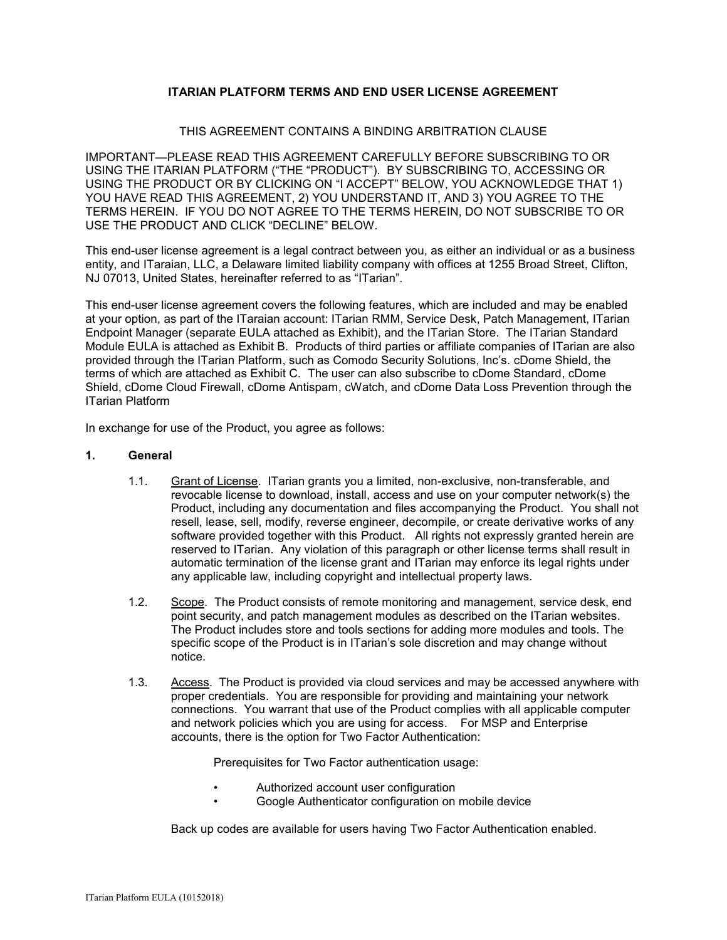# **ITARIAN PLATFORM TERMS AND END USER LICENSE AGREEMENT**

### THIS AGREEMENT CONTAINS A BINDING ARBITRATION CLAUSE

IMPORTANT—PLEASE READ THIS AGREEMENT CAREFULLY BEFORE SUBSCRIBING TO OR USING THE ITARIAN PLATFORM ("THE "PRODUCT"). BY SUBSCRIBING TO, ACCESSING OR USING THE PRODUCT OR BY CLICKING ON "I ACCEPT" BELOW, YOU ACKNOWLEDGE THAT 1) YOU HAVE READ THIS AGREEMENT, 2) YOU UNDERSTAND IT, AND 3) YOU AGREE TO THE TERMS HEREIN. IF YOU DO NOT AGREE TO THE TERMS HEREIN, DO NOT SUBSCRIBE TO OR USE THE PRODUCT AND CLICK "DECLINE" BELOW.

This end-user license agreement is a legal contract between you, as either an individual or as a business entity, and ITaraian, LLC, a Delaware limited liability company with offices at 1255 Broad Street, Clifton, NJ 07013, United States, hereinafter referred to as "ITarian".

This end-user license agreement covers the following features, which are included and may be enabled at your option, as part of the ITaraian account: ITarian RMM, Service Desk, Patch Management, ITarian Endpoint Manager (separate EULA attached as Exhibit), and the ITarian Store. The ITarian Standard Module EULA is attached as Exhibit B. Products of third parties or affiliate companies of ITarian are also provided through the ITarian Platform, such as Comodo Security Solutions, Inc's. cDome Shield, the terms of which are attached as Exhibit C. The user can also subscribe to cDome Standard, cDome Shield, cDome Cloud Firewall, cDome Antispam, cWatch, and cDome Data Loss Prevention through the ITarian Platform

In exchange for use of the Product, you agree as follows:

### **1. General**

- 1.1. Grant of License. ITarian grants you a limited, non-exclusive, non-transferable, and revocable license to download, install, access and use on your computer network(s) the Product, including any documentation and files accompanying the Product. You shall not resell, lease, sell, modify, reverse engineer, decompile, or create derivative works of any software provided together with this Product. All rights not expressly granted herein are reserved to ITarian. Any violation of this paragraph or other license terms shall result in automatic termination of the license grant and ITarian may enforce its legal rights under any applicable law, including copyright and intellectual property laws.
- 1.2. Scope. The Product consists of remote monitoring and management, service desk, end point security, and patch management modules as described on the ITarian websites. The Product includes store and tools sections for adding more modules and tools. The specific scope of the Product is in ITarian's sole discretion and may change without notice.
- 1.3. Access. The Product is provided via cloud services and may be accessed anywhere with proper credentials. You are responsible for providing and maintaining your network connections. You warrant that use of the Product complies with all applicable computer and network policies which you are using for access. For MSP and Enterprise accounts, there is the option for Two Factor Authentication:

Prerequisites for Two Factor authentication usage:

- Authorized account user configuration
- Google Authenticator configuration on mobile device

Back up codes are available for users having Two Factor Authentication enabled.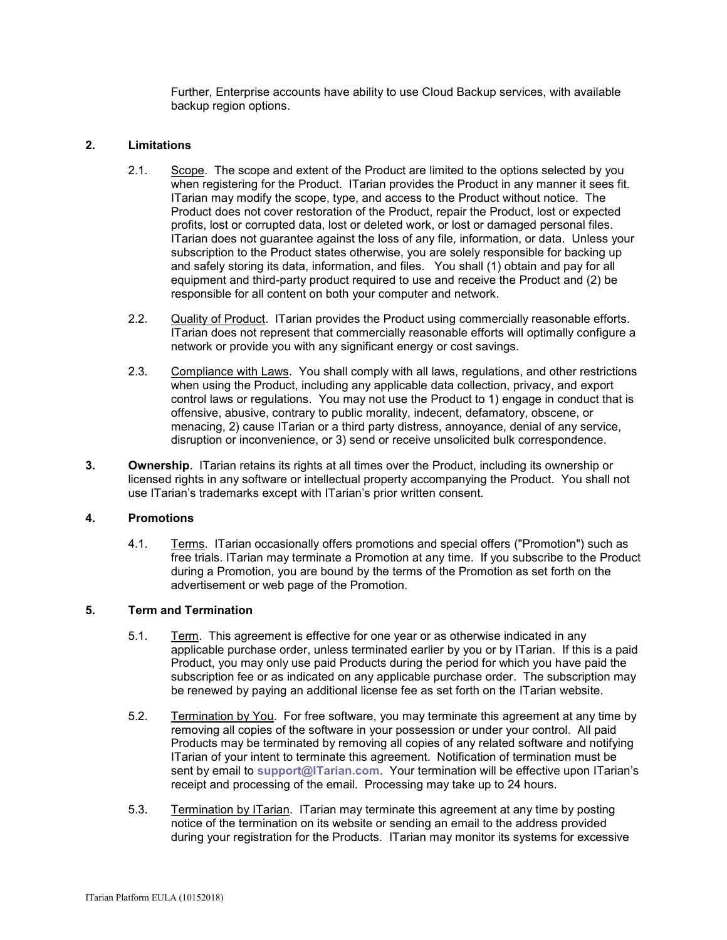Further, Enterprise accounts have ability to use Cloud Backup services, with available backup region options.

### **2. Limitations**

- 2.1. Scope. The scope and extent of the Product are limited to the options selected by you when registering for the Product. ITarian provides the Product in any manner it sees fit. ITarian may modify the scope, type, and access to the Product without notice. The Product does not cover restoration of the Product, repair the Product, lost or expected profits, lost or corrupted data, lost or deleted work, or lost or damaged personal files. ITarian does not guarantee against the loss of any file, information, or data. Unless your subscription to the Product states otherwise, you are solely responsible for backing up and safely storing its data, information, and files. You shall (1) obtain and pay for all equipment and third-party product required to use and receive the Product and (2) be responsible for all content on both your computer and network.
- 2.2. Quality of Product. ITarian provides the Product using commercially reasonable efforts. ITarian does not represent that commercially reasonable efforts will optimally configure a network or provide you with any significant energy or cost savings.
- 2.3. Compliance with Laws. You shall comply with all laws, regulations, and other restrictions when using the Product, including any applicable data collection, privacy, and export control laws or regulations. You may not use the Product to 1) engage in conduct that is offensive, abusive, contrary to public morality, indecent, defamatory, obscene, or menacing, 2) cause ITarian or a third party distress, annoyance, denial of any service, disruption or inconvenience, or 3) send or receive unsolicited bulk correspondence.
- **3. Ownership**. ITarian retains its rights at all times over the Product, including its ownership or licensed rights in any software or intellectual property accompanying the Product. You shall not use ITarian's trademarks except with ITarian's prior written consent.

### **4. Promotions**

4.1. Terms. ITarian occasionally offers promotions and special offers ("Promotion") such as free trials. ITarian may terminate a Promotion at any time. If you subscribe to the Product during a Promotion, you are bound by the terms of the Promotion as set forth on the advertisement or web page of the Promotion.

# **5. Term and Termination**

- 5.1. Term.This agreement is effective for one year or as otherwise indicated in any applicable purchase order, unless terminated earlier by you or by ITarian. If this is a paid Product, you may only use paid Products during the period for which you have paid the subscription fee or as indicated on any applicable purchase order. The subscription may be renewed by paying an additional license fee as set forth on the ITarian website.
- 5.2. Termination by You. For free software, you may terminate this agreement at any time by removing all copies of the software in your possession or under your control. All paid Products may be terminated by removing all copies of any related software and notifying ITarian of your intent to terminate this agreement. Notification of termination must be sent by email to **[support@ITarian.com](mailto:support@ITarian.com)**. Your termination will be effective upon ITarian's receipt and processing of the email. Processing may take up to 24 hours.
- 5.3. Termination by ITarian. ITarian may terminate this agreement at any time by posting notice of the termination on its website or sending an email to the address provided during your registration for the Products. ITarian may monitor its systems for excessive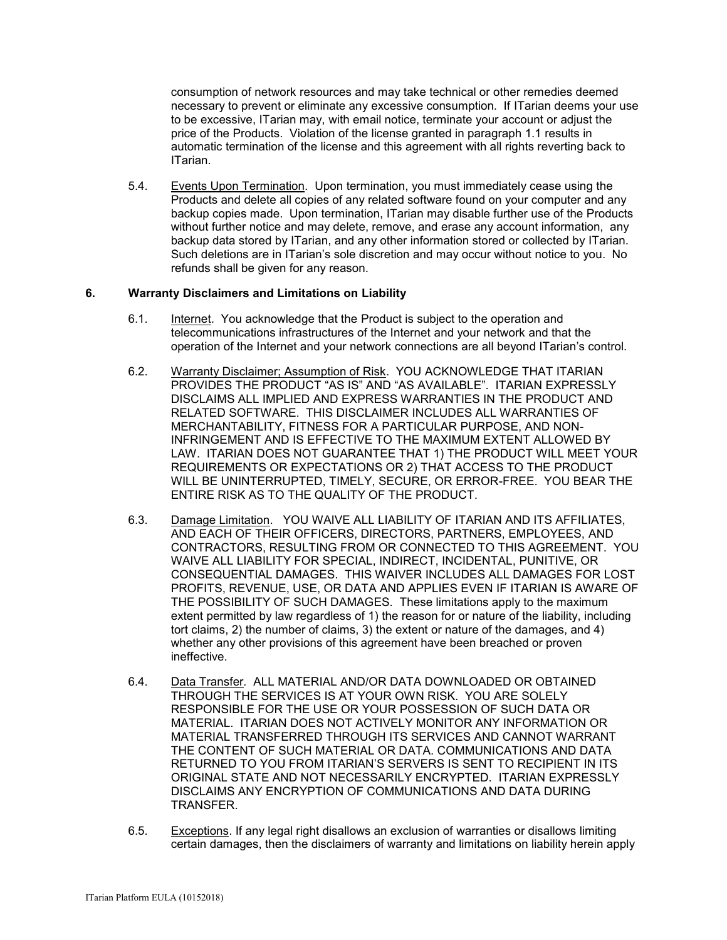consumption of network resources and may take technical or other remedies deemed necessary to prevent or eliminate any excessive consumption. If ITarian deems your use to be excessive, ITarian may, with email notice, terminate your account or adjust the price of the Products. Violation of the license granted in paragraph 1.1 results in automatic termination of the license and this agreement with all rights reverting back to ITarian.

5.4. Events Upon Termination. Upon termination, you must immediately cease using the Products and delete all copies of any related software found on your computer and any backup copies made. Upon termination, ITarian may disable further use of the Products without further notice and may delete, remove, and erase any account information, any backup data stored by ITarian, and any other information stored or collected by ITarian. Such deletions are in ITarian's sole discretion and may occur without notice to you. No refunds shall be given for any reason.

### **6. Warranty Disclaimers and Limitations on Liability**

- 6.1. Internet. You acknowledge that the Product is subject to the operation and telecommunications infrastructures of the Internet and your network and that the operation of the Internet and your network connections are all beyond ITarian's control.
- 6.2. Warranty Disclaimer; Assumption of Risk. YOU ACKNOWLEDGE THAT ITARIAN PROVIDES THE PRODUCT "AS IS" AND "AS AVAILABLE". ITARIAN EXPRESSLY DISCLAIMS ALL IMPLIED AND EXPRESS WARRANTIES IN THE PRODUCT AND RELATED SOFTWARE. THIS DISCLAIMER INCLUDES ALL WARRANTIES OF MERCHANTABILITY, FITNESS FOR A PARTICULAR PURPOSE, AND NON-INFRINGEMENT AND IS EFFECTIVE TO THE MAXIMUM EXTENT ALLOWED BY LAW. ITARIAN DOES NOT GUARANTEE THAT 1) THE PRODUCT WILL MEET YOUR REQUIREMENTS OR EXPECTATIONS OR 2) THAT ACCESS TO THE PRODUCT WILL BE UNINTERRUPTED, TIMELY, SECURE, OR ERROR-FREE. YOU BEAR THE ENTIRE RISK AS TO THE QUALITY OF THE PRODUCT.
- 6.3. Damage Limitation. YOU WAIVE ALL LIABILITY OF ITARIAN AND ITS AFFILIATES, AND EACH OF THEIR OFFICERS, DIRECTORS, PARTNERS, EMPLOYEES, AND CONTRACTORS, RESULTING FROM OR CONNECTED TO THIS AGREEMENT. YOU WAIVE ALL LIABILITY FOR SPECIAL, INDIRECT, INCIDENTAL, PUNITIVE, OR CONSEQUENTIAL DAMAGES. THIS WAIVER INCLUDES ALL DAMAGES FOR LOST PROFITS, REVENUE, USE, OR DATA AND APPLIES EVEN IF ITARIAN IS AWARE OF THE POSSIBILITY OF SUCH DAMAGES. These limitations apply to the maximum extent permitted by law regardless of 1) the reason for or nature of the liability, including tort claims, 2) the number of claims, 3) the extent or nature of the damages, and 4) whether any other provisions of this agreement have been breached or proven ineffective.
- 6.4. Data Transfer*.* ALL MATERIAL AND/OR DATA DOWNLOADED OR OBTAINED THROUGH THE SERVICES IS AT YOUR OWN RISK. YOU ARE SOLELY RESPONSIBLE FOR THE USE OR YOUR POSSESSION OF SUCH DATA OR MATERIAL. ITARIAN DOES NOT ACTIVELY MONITOR ANY INFORMATION OR MATERIAL TRANSFERRED THROUGH ITS SERVICES AND CANNOT WARRANT THE CONTENT OF SUCH MATERIAL OR DATA. COMMUNICATIONS AND DATA RETURNED TO YOU FROM ITARIAN'S SERVERS IS SENT TO RECIPIENT IN ITS ORIGINAL STATE AND NOT NECESSARILY ENCRYPTED. ITARIAN EXPRESSLY DISCLAIMS ANY ENCRYPTION OF COMMUNICATIONS AND DATA DURING TRANSFER.
- 6.5. Exceptions. If any legal right disallows an exclusion of warranties or disallows limiting certain damages, then the disclaimers of warranty and limitations on liability herein apply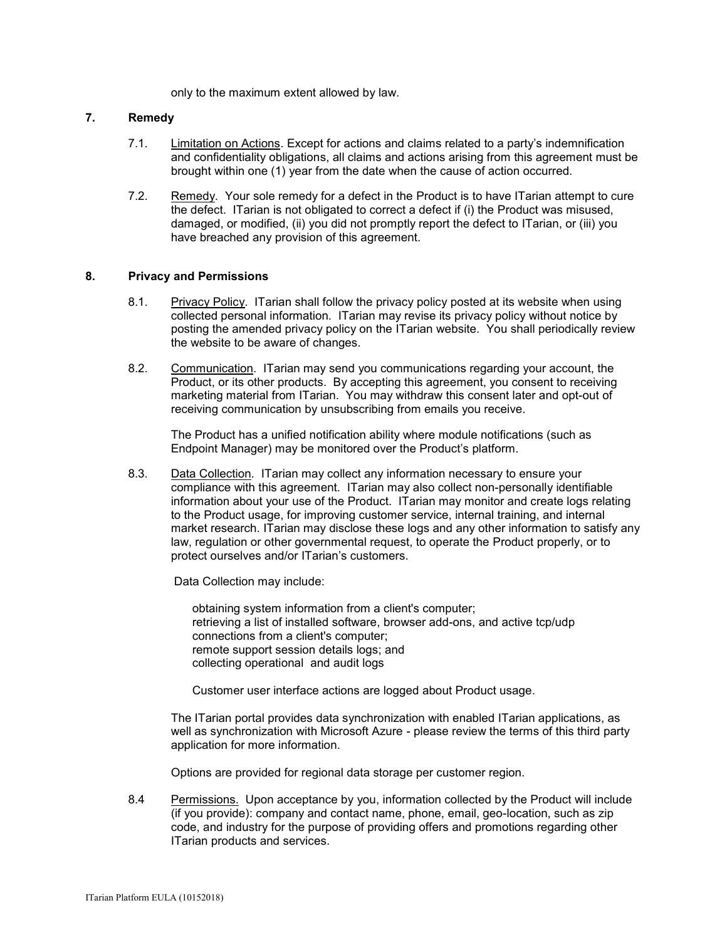only to the maximum extent allowed by law.

### **7. Remedy**

- 7.1. Limitation on Actions. Except for actions and claims related to a party's indemnification and confidentiality obligations, all claims and actions arising from this agreement must be brought within one (1) year from the date when the cause of action occurred.
- 7.2. Remedy. Your sole remedy for a defect in the Product is to have ITarian attempt to cure the defect. ITarian is not obligated to correct a defect if (i) the Product was misused, damaged, or modified, (ii) you did not promptly report the defect to ITarian, or (iii) you have breached any provision of this agreement.

#### **8. Privacy and Permissions**

- 8.1. Privacy Policy. ITarian shall follow the privacy policy posted at its website when using collected personal information. ITarian may revise its privacy policy without notice by posting the amended privacy policy on the ITarian website. You shall periodically review the website to be aware of changes.
- 8.2. Communication. ITarian may send you communications regarding your account, the Product, or its other products. By accepting this agreement, you consent to receiving marketing material from ITarian. You may withdraw this consent later and opt-out of receiving communication by unsubscribing from emails you receive.

The Product has a unified notification ability where module notifications (such as Endpoint Manager) may be monitored over the Product's platform.

8.3. Data Collection*.* ITarian may collect any information necessary to ensure your compliance with this agreement. ITarian may also collect non-personally identifiable information about your use of the Product. ITarian may monitor and create logs relating to the Product usage, for improving customer service, internal training, and internal market research. ITarian may disclose these logs and any other information to satisfy any law, regulation or other governmental request, to operate the Product properly, or to protect ourselves and/or ITarian's customers.

Data Collection may include:

obtaining system information from a client's computer; retrieving a list of installed software, browser add-ons, and active tcp/udp connections from a client's computer; remote support session details logs; and collecting operational and audit logs

Customer user interface actions are logged about Product usage.

The ITarian portal provides data synchronization with enabled ITarian applications, as well as synchronization with Microsoft Azure - please review the terms of this third party application for more information.

Options are provided for regional data storage per customer region.

8.4 Permissions. Upon acceptance by you, information collected by the Product will include (if you provide): company and contact name, phone, email, geo-location, such as zip code, and industry for the purpose of providing offers and promotions regarding other ITarian products and services.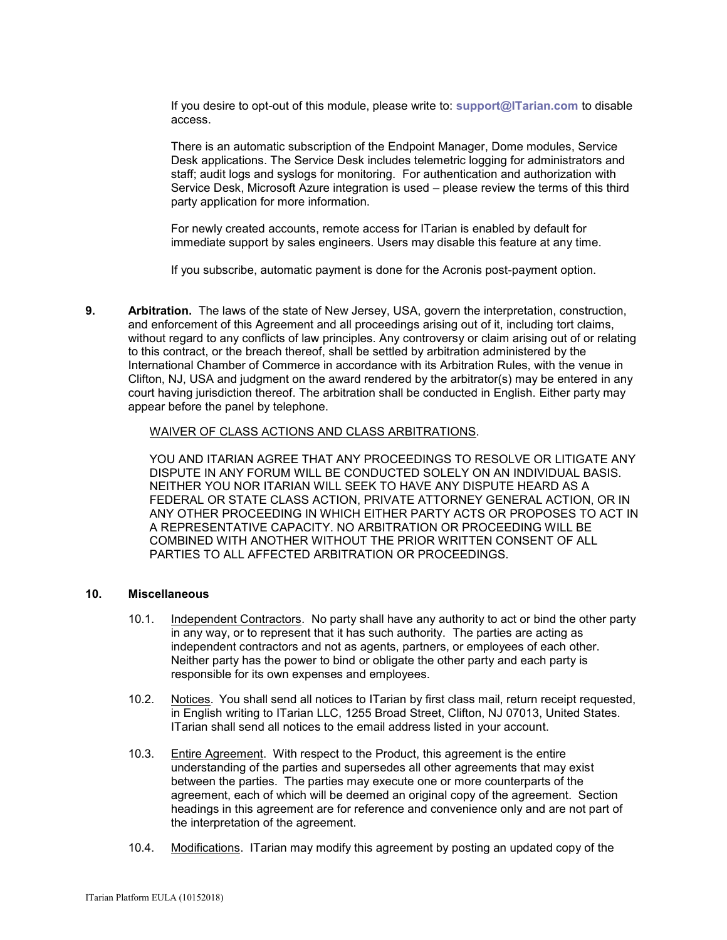If you desire to opt-out of this module, please write to: **[support@ITarian.com](mailto:support@ITarian.com)** to disable access.

There is an automatic subscription of the Endpoint Manager, Dome modules, Service Desk applications. The Service Desk includes telemetric logging for administrators and staff; audit logs and syslogs for monitoring. For authentication and authorization with Service Desk, Microsoft Azure integration is used – please review the terms of this third party application for more information.

For newly created accounts, remote access for ITarian is enabled by default for immediate support by sales engineers. Users may disable this feature at any time.

If you subscribe, automatic payment is done for the Acronis post-payment option.

**9. Arbitration.** The laws of the state of New Jersey, USA, govern the interpretation, construction, and enforcement of this Agreement and all proceedings arising out of it, including tort claims, without regard to any conflicts of law principles. Any controversy or claim arising out of or relating to this contract, or the breach thereof, shall be settled by arbitration administered by the International Chamber of Commerce in accordance with its Arbitration Rules, with the venue in Clifton, NJ, USA and judgment on the award rendered by the arbitrator(s) may be entered in any court having jurisdiction thereof. The arbitration shall be conducted in English. Either party may appear before the panel by telephone.

### WAIVER OF CLASS ACTIONS AND CLASS ARBITRATIONS.

YOU AND ITARIAN AGREE THAT ANY PROCEEDINGS TO RESOLVE OR LITIGATE ANY DISPUTE IN ANY FORUM WILL BE CONDUCTED SOLELY ON AN INDIVIDUAL BASIS. NEITHER YOU NOR ITARIAN WILL SEEK TO HAVE ANY DISPUTE HEARD AS A FEDERAL OR STATE CLASS ACTION, PRIVATE ATTORNEY GENERAL ACTION, OR IN ANY OTHER PROCEEDING IN WHICH EITHER PARTY ACTS OR PROPOSES TO ACT IN A REPRESENTATIVE CAPACITY. NO ARBITRATION OR PROCEEDING WILL BE COMBINED WITH ANOTHER WITHOUT THE PRIOR WRITTEN CONSENT OF ALL PARTIES TO ALL AFFECTED ARBITRATION OR PROCEEDINGS.

### **10. Miscellaneous**

- 10.1. Independent Contractors. No party shall have any authority to act or bind the other party in any way, or to represent that it has such authority. The parties are acting as independent contractors and not as agents, partners, or employees of each other. Neither party has the power to bind or obligate the other party and each party is responsible for its own expenses and employees.
- 10.2. Notices. You shall send all notices to ITarian by first class mail, return receipt requested, in English writing to ITarian LLC, 1255 Broad Street, Clifton, NJ 07013, United States. ITarian shall send all notices to the email address listed in your account.
- 10.3. Entire Agreement. With respect to the Product, this agreement is the entire understanding of the parties and supersedes all other agreements that may exist between the parties. The parties may execute one or more counterparts of the agreement, each of which will be deemed an original copy of the agreement. Section headings in this agreement are for reference and convenience only and are not part of the interpretation of the agreement.
- 10.4. Modifications. ITarian may modify this agreement by posting an updated copy of the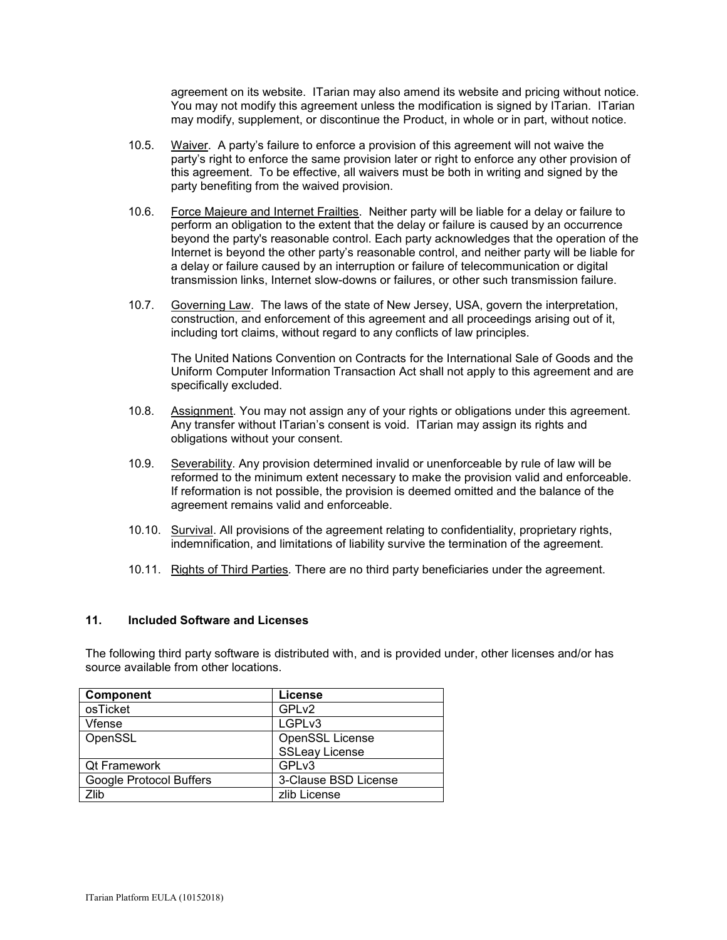agreement on its website. ITarian may also amend its website and pricing without notice. You may not modify this agreement unless the modification is signed by ITarian. ITarian may modify, supplement, or discontinue the Product, in whole or in part, without notice.

- 10.5. Waiver. A party's failure to enforce a provision of this agreement will not waive the party's right to enforce the same provision later or right to enforce any other provision of this agreement. To be effective, all waivers must be both in writing and signed by the party benefiting from the waived provision.
- 10.6. Force Majeure and Internet Frailties. Neither party will be liable for a delay or failure to perform an obligation to the extent that the delay or failure is caused by an occurrence beyond the party's reasonable control. Each party acknowledges that the operation of the Internet is beyond the other party's reasonable control, and neither party will be liable for a delay or failure caused by an interruption or failure of telecommunication or digital transmission links, Internet slow-downs or failures, or other such transmission failure.
- 10.7. Governing Law. The laws of the state of New Jersey, USA, govern the interpretation, construction, and enforcement of this agreement and all proceedings arising out of it, including tort claims, without regard to any conflicts of law principles.

The United Nations Convention on Contracts for the International Sale of Goods and the Uniform Computer Information Transaction Act shall not apply to this agreement and are specifically excluded.

- 10.8. Assignment. You may not assign any of your rights or obligations under this agreement. Any transfer without ITarian's consent is void. ITarian may assign its rights and obligations without your consent.
- 10.9. Severability. Any provision determined invalid or unenforceable by rule of law will be reformed to the minimum extent necessary to make the provision valid and enforceable. If reformation is not possible, the provision is deemed omitted and the balance of the agreement remains valid and enforceable.
- 10.10. Survival. All provisions of the agreement relating to confidentiality, proprietary rights, indemnification, and limitations of liability survive the termination of the agreement.
- 10.11. Rights of Third Parties*.* There are no third party beneficiaries under the agreement.

### **11. Included Software and Licenses**

The following third party software is distributed with, and is provided under, other licenses and/or has source available from other locations.

| <b>Component</b>        | License               |
|-------------------------|-----------------------|
| osTicket                | GPL <sub>v2</sub>     |
| Vfense                  | LGPLv3                |
| OpenSSL                 | OpenSSL License       |
|                         | <b>SSLeay License</b> |
| <b>Qt Framework</b>     | GPLv3                 |
| Google Protocol Buffers | 3-Clause BSD License  |
| Zlib                    | zlib License          |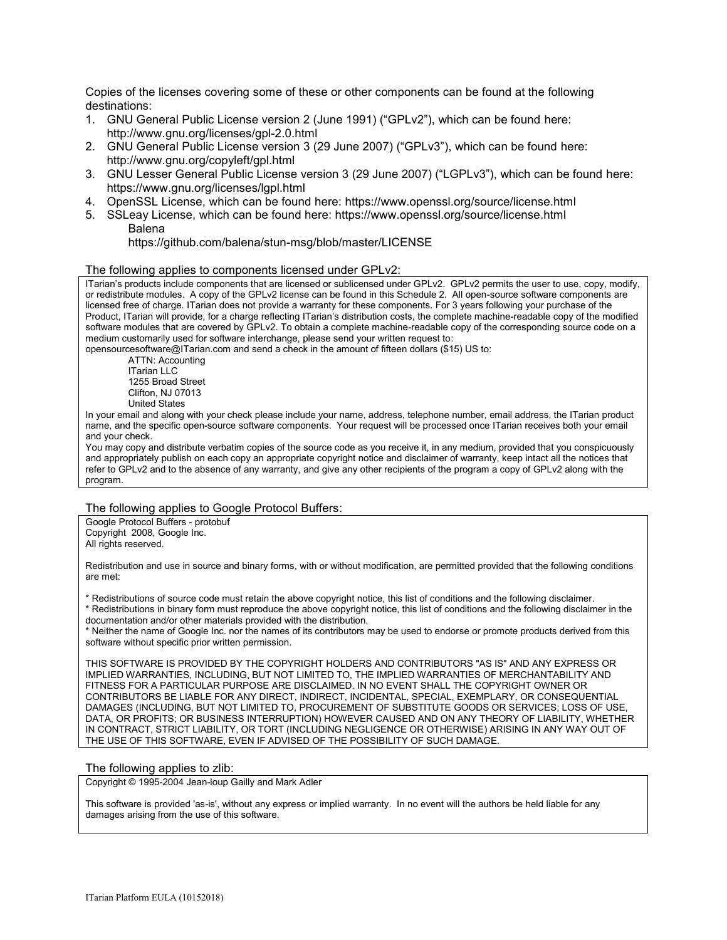Copies of the licenses covering some of these or other components can be found at the following destinations:

- 1. GNU General Public License version 2 (June 1991) ("GPLv2"), which can be found here: http://www.gnu.org/licenses/gpl-2.0.html
- 2. GNU General Public License version 3 (29 June 2007) ("GPLv3"), which can be found here: http://www.gnu.org/copyleft/gpl.html
- 3. GNU Lesser General Public License version 3 (29 June 2007) ("LGPLv3"), which can be found here: https://www.gnu.org/licenses/lgpl.html
- 4. OpenSSL License, which can be found here: https://www.openssl.org/source/license.html
- 5. SSLeay License, which can be found here: https://www.openssl.org/source/license.html Balena

https://github.com/balena/stun-msg/blob/master/LICENSE

#### The following applies to components licensed under GPLv2:

ITarian's products include components that are licensed or sublicensed under GPLv2. GPLv2 permits the user to use, copy, modify, or redistribute modules. A copy of the GPLv2 license can be found in this Schedule 2. All open-source software components are licensed free of charge. ITarian does not provide a warranty for these components. For 3 years following your purchase of the Product, ITarian will provide, for a charge reflecting ITarian's distribution costs, the complete machine-readable copy of the modified software modules that are covered by GPLv2. To obtain a complete machine-readable copy of the corresponding source code on a medium customarily used for software interchange, please send your written request to:

opensourcesoftware@ITarian.com and send a check in the amount of fifteen dollars (\$15) US to:

ATTN: Accounting ITarian LLC 1255 Broad Street Clifton, NJ 07013 United States

In your email and along with your check please include your name, address, telephone number, email address, the ITarian product name, and the specific open-source software components. Your request will be processed once ITarian receives both your email and your check.

You may copy and distribute verbatim copies of the source code as you receive it, in any medium, provided that you conspicuously and appropriately publish on each copy an appropriate copyright notice and disclaimer of warranty, keep intact all the notices that refer to GPLv2 and to the absence of any warranty, and give any other recipients of the program a copy of GPLv2 along with the program.

### The following applies to Google Protocol Buffers:

Google Protocol Buffers - protobuf Copyright 2008, Google Inc. All rights reserved.

Redistribution and use in source and binary forms, with or without modification, are permitted provided that the following conditions are met:

\* Redistributions of source code must retain the above copyright notice, this list of conditions and the following disclaimer.

\* Redistributions in binary form must reproduce the above copyright notice, this list of conditions and the following disclaimer in the documentation and/or other materials provided with the distribution.

\* Neither the name of Google Inc. nor the names of its contributors may be used to endorse or promote products derived from this software without specific prior written permission.

THIS SOFTWARE IS PROVIDED BY THE COPYRIGHT HOLDERS AND CONTRIBUTORS "AS IS" AND ANY EXPRESS OR IMPLIED WARRANTIES, INCLUDING, BUT NOT LIMITED TO, THE IMPLIED WARRANTIES OF MERCHANTABILITY AND FITNESS FOR A PARTICULAR PURPOSE ARE DISCLAIMED. IN NO EVENT SHALL THE COPYRIGHT OWNER OR CONTRIBUTORS BE LIABLE FOR ANY DIRECT, INDIRECT, INCIDENTAL, SPECIAL, EXEMPLARY, OR CONSEQUENTIAL DAMAGES (INCLUDING, BUT NOT LIMITED TO, PROCUREMENT OF SUBSTITUTE GOODS OR SERVICES; LOSS OF USE DATA, OR PROFITS; OR BUSINESS INTERRUPTION) HOWEVER CAUSED AND ON ANY THEORY OF LIABILITY, WHETHER IN CONTRACT, STRICT LIABILITY, OR TORT (INCLUDING NEGLIGENCE OR OTHERWISE) ARISING IN ANY WAY OUT OF THE USE OF THIS SOFTWARE, EVEN IF ADVISED OF THE POSSIBILITY OF SUCH DAMAGE.

#### The following applies to zlib:

Copyright © 1995-2004 Jean-loup Gailly and Mark Adler

This software is provided 'as-is', without any express or implied warranty. In no event will the authors be held liable for any damages arising from the use of this software.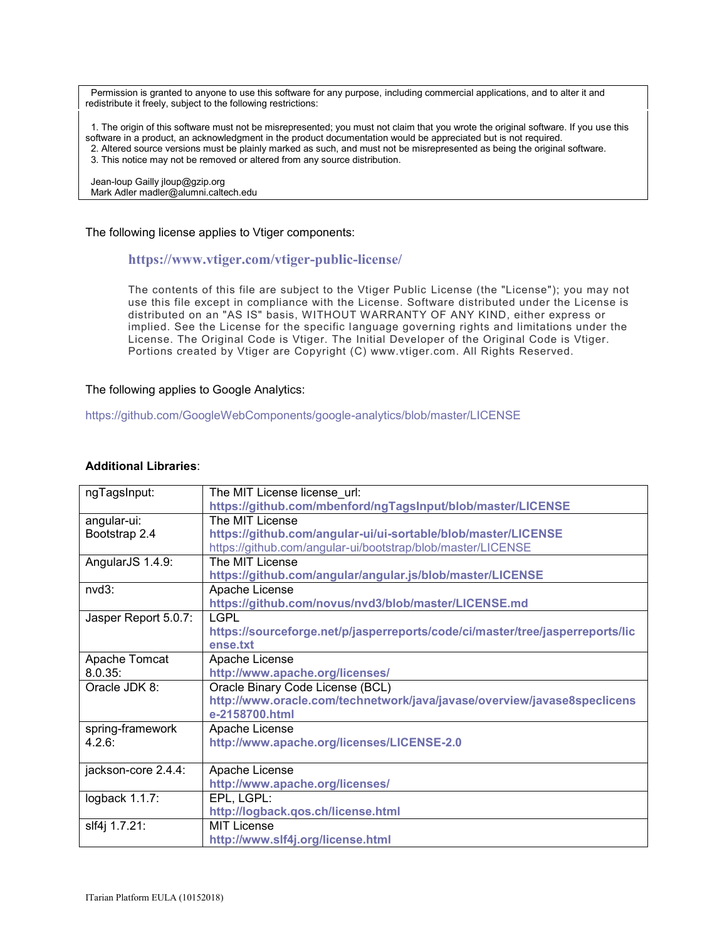Permission is granted to anyone to use this software for any purpose, including commercial applications, and to alter it and redistribute it freely, subject to the following restrictions:

 1. The origin of this software must not be misrepresented; you must not claim that you wrote the original software. If you use this software in a product, an acknowledgment in the product documentation would be appreciated but is not required. 2. Altered source versions must be plainly marked as such, and must not be misrepresented as being the original software. 3. This notice may not be removed or altered from any source distribution.

 Jean-loup Gailly jloup@gzip.org Mark Adler madler@alumni.caltech.edu

The following license applies to Vtiger components:

#### **<https://www.vtiger.com/vtiger-public-license/>**

The contents of this file are subject to the Vtiger Public License (the "License"); you may not use this file except in compliance with the License. Software distributed under the License is distributed on an "AS IS" basis, WITHOUT WARRANTY OF ANY KIND, either express or implied. See the License for the specific language governing rights and limitations under the License. The Original Code is Vtiger. The Initial Developer of the Original Code is Vtiger. Portions created by Vtiger are Copyright (C) www.vtiger.com. All Rights Reserved.

#### The following applies to Google Analytics:

<https://github.com/GoogleWebComponents/google-analytics/blob/master/LICENSE>

#### **Additional Libraries**:

| ngTagsInput:         | The MIT License license url:                                                  |
|----------------------|-------------------------------------------------------------------------------|
|                      | https://github.com/mbenford/ngTagsInput/blob/master/LICENSE                   |
| angular-ui:          | The MIT License                                                               |
| Bootstrap 2.4        | https://github.com/angular-ui/ui-sortable/blob/master/LICENSE                 |
|                      | https://github.com/angular-ui/bootstrap/blob/master/LICENSE                   |
| AngularJS 1.4.9:     | The MIT License                                                               |
|                      | https://github.com/angular/angular.js/blob/master/LICENSE                     |
| nvd3:                | Apache License                                                                |
|                      | https://github.com/novus/nvd3/blob/master/LICENSE.md                          |
| Jasper Report 5.0.7: | <b>LGPL</b>                                                                   |
|                      | https://sourceforge.net/p/jasperreports/code/ci/master/tree/jasperreports/lic |
|                      | ense.txt                                                                      |
| Apache Tomcat        | Apache License                                                                |
| 8.0.35:              | http://www.apache.org/licenses/                                               |
| Oracle JDK 8:        | Oracle Binary Code License (BCL)                                              |
|                      | http://www.oracle.com/technetwork/java/javase/overview/javase8speclicens      |
|                      | e-2158700.html                                                                |
| spring-framework     | Apache License                                                                |
| 4.2.6:               | http://www.apache.org/licenses/LICENSE-2.0                                    |
|                      |                                                                               |
| jackson-core 2.4.4:  | Apache License                                                                |
|                      | http://www.apache.org/licenses/                                               |
| logback 1.1.7:       | EPL, LGPL:                                                                    |
|                      | http://logback.qos.ch/license.html                                            |
| slf4j 1.7.21:        | <b>MIT License</b>                                                            |
|                      | http://www.slf4j.org/license.html                                             |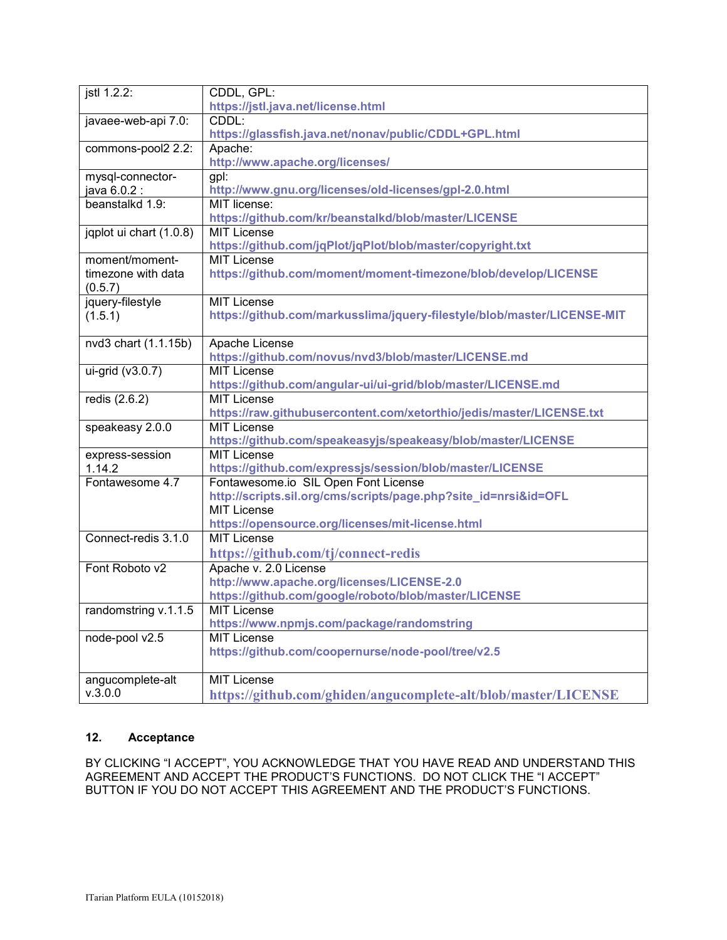| jstl 1.2.2:               | CDDL, GPL:                                                              |
|---------------------------|-------------------------------------------------------------------------|
|                           | https://jstl.java.net/license.html                                      |
| javaee-web-api 7.0:       | CDDL:                                                                   |
|                           | https://glassfish.java.net/nonav/public/CDDL+GPL.html                   |
| commons-pool2 2.2:        | Apache:                                                                 |
|                           | http://www.apache.org/licenses/                                         |
| mysql-connector-          | gpl:                                                                    |
| java 6.0.2 :              | http://www.gnu.org/licenses/old-licenses/gpl-2.0.html                   |
| beanstalkd 1.9:           | MIT license:                                                            |
|                           | https://github.com/kr/beanstalkd/blob/master/LICENSE                    |
| jqplot ui chart (1.0.8)   | <b>MIT License</b>                                                      |
|                           | https://github.com/jqPlot/jqPlot/blob/master/copyright.txt              |
| moment/moment-            | <b>MIT License</b>                                                      |
| timezone with data        | https://github.com/moment/moment-timezone/blob/develop/LICENSE          |
| (0.5.7)                   |                                                                         |
| jquery-filestyle          | <b>MIT License</b>                                                      |
| (1.5.1)                   | https://github.com/markusslima/jquery-filestyle/blob/master/LICENSE-MIT |
|                           |                                                                         |
| nvd3 chart (1.1.15b)      | Apache License                                                          |
|                           | https://github.com/novus/nvd3/blob/master/LICENSE.md                    |
| $ui\text{-grid}$ (v3.0.7) | <b>MIT License</b>                                                      |
|                           | https://github.com/angular-ui/ui-grid/blob/master/LICENSE.md            |
| redis (2.6.2)             | <b>MIT License</b>                                                      |
|                           | https://raw.githubusercontent.com/xetorthio/jedis/master/LICENSE.txt    |
| speakeasy 2.0.0           | <b>MIT License</b>                                                      |
|                           | https://github.com/speakeasyjs/speakeasy/blob/master/LICENSE            |
| express-session           | <b>MIT License</b>                                                      |
| 1.14.2                    | https://github.com/expressjs/session/blob/master/LICENSE                |
| Fontawesome 4.7           | Fontawesome.io SIL Open Font License                                    |
|                           | http://scripts.sil.org/cms/scripts/page.php?site_id=nrsi&id=OFL         |
|                           | <b>MIT License</b>                                                      |
|                           | https://opensource.org/licenses/mit-license.html                        |
| Connect-redis 3.1.0       | <b>MIT License</b>                                                      |
|                           | https://github.com/tj/connect-redis                                     |
| Font Roboto v2            | Apache v. 2.0 License                                                   |
|                           | http://www.apache.org/licenses/LICENSE-2.0                              |
|                           | https://github.com/google/roboto/blob/master/LICENSE                    |
| randomstring v.1.1.5      | <b>MIT License</b>                                                      |
|                           | https://www.npmjs.com/package/randomstring                              |
| node-pool v2.5            | <b>MIT License</b>                                                      |
|                           | https://github.com/coopernurse/node-pool/tree/v2.5                      |
|                           |                                                                         |
| angucomplete-alt          | <b>MIT License</b>                                                      |
| V.3.0.0                   | https://github.com/ghiden/angucomplete-alt/blob/master/LICENSE          |

# **12. Acceptance**

BY CLICKING "I ACCEPT", YOU ACKNOWLEDGE THAT YOU HAVE READ AND UNDERSTAND THIS AGREEMENT AND ACCEPT THE PRODUCT'S FUNCTIONS. DO NOT CLICK THE "I ACCEPT" BUTTON IF YOU DO NOT ACCEPT THIS AGREEMENT AND THE PRODUCT'S FUNCTIONS.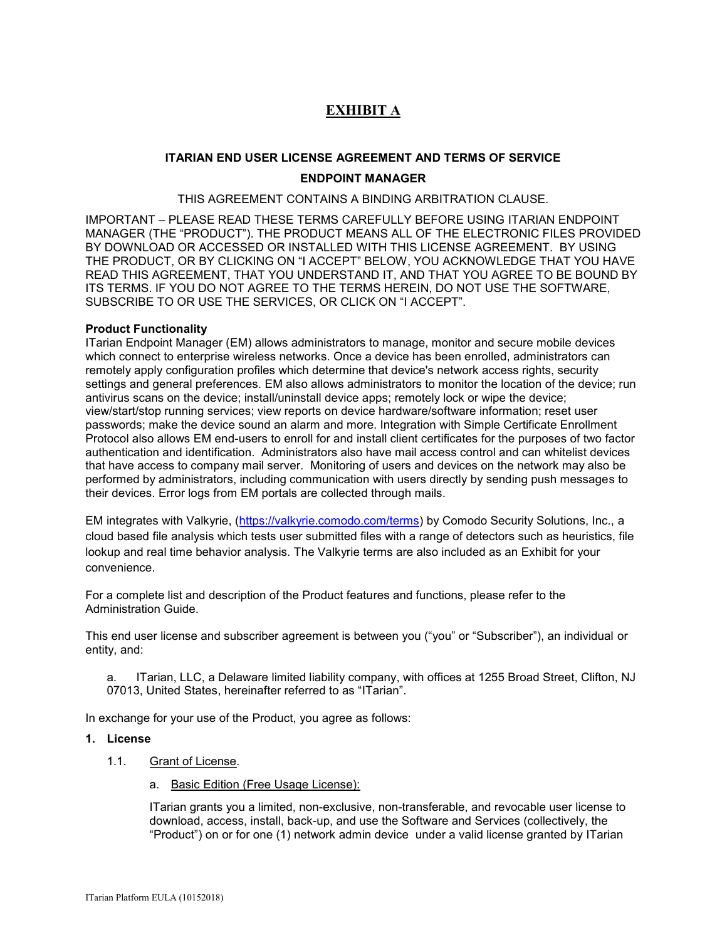# **EXHIBIT A**

# **ITARIAN END USER LICENSE AGREEMENT AND TERMS OF SERVICE ENDPOINT MANAGER**

THIS AGREEMENT CONTAINS A BINDING ARBITRATION CLAUSE.

IMPORTANT – PLEASE READ THESE TERMS CAREFULLY BEFORE USING ITARIAN ENDPOINT MANAGER (THE "PRODUCT"). THE PRODUCT MEANS ALL OF THE ELECTRONIC FILES PROVIDED BY DOWNLOAD OR ACCESSED OR INSTALLED WITH THIS LICENSE AGREEMENT. BY USING THE PRODUCT, OR BY CLICKING ON "I ACCEPT" BELOW, YOU ACKNOWLEDGE THAT YOU HAVE READ THIS AGREEMENT, THAT YOU UNDERSTAND IT, AND THAT YOU AGREE TO BE BOUND BY ITS TERMS. IF YOU DO NOT AGREE TO THE TERMS HEREIN, DO NOT USE THE SOFTWARE, SUBSCRIBE TO OR USE THE SERVICES, OR CLICK ON "I ACCEPT".

### **Product Functionality**

ITarian Endpoint Manager (EM) allows administrators to manage, monitor and secure mobile devices which connect to enterprise wireless networks. Once a device has been enrolled, administrators can remotely apply configuration profiles which determine that device's network access rights, security settings and general preferences. EM also allows administrators to monitor the location of the device; run antivirus scans on the device; install/uninstall device apps; remotely lock or wipe the device; view/start/stop running services; view reports on device hardware/software information; reset user passwords; make the device sound an alarm and more. Integration with Simple Certificate Enrollment Protocol also allows EM end-users to enroll for and install client certificates for the purposes of two factor authentication and identification. Administrators also have mail access control and can whitelist devices that have access to company mail server. Monitoring of users and devices on the network may also be performed by administrators, including communication with users directly by sending push messages to their devices. Error logs from EM portals are collected through mails.

EM integrates with Valkyrie, [\(https://valkyrie.comodo.com/terms\)](https://valkyrie.comodo.com/terms) by Comodo Security Solutions, Inc., a cloud based file analysis which tests user submitted files with a range of detectors such as heuristics, file lookup and real time behavior analysis. The Valkyrie terms are also included as an Exhibit for your convenience.

For a complete list and description of the Product features and functions, please refer to the Administration Guide.

This end user license and subscriber agreement is between you ("you" or "Subscriber"), an individual or entity, and:

a. ITarian, LLC, a Delaware limited liability company, with offices at 1255 Broad Street, Clifton, NJ 07013, United States, hereinafter referred to as "ITarian".

In exchange for your use of the Product, you agree as follows:

### **1. License**

- 1.1. Grant of License*.* 
	- a. Basic Edition (Free Usage License):

ITarian grants you a limited, non-exclusive, non-transferable, and revocable user license to download, access, install, back-up, and use the Software and Services (collectively, the "Product") on or for one (1) network admin device under a valid license granted by ITarian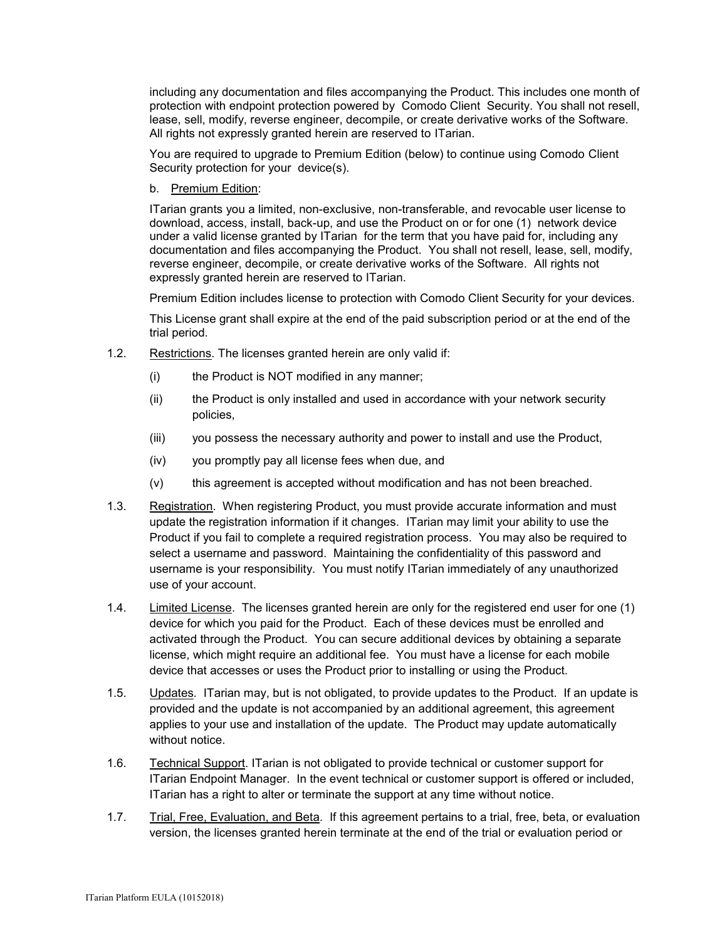including any documentation and files accompanying the Product. This includes one month of protection with endpoint protection powered by Comodo Client Security. You shall not resell, lease, sell, modify, reverse engineer, decompile, or create derivative works of the Software. All rights not expressly granted herein are reserved to ITarian.

You are required to upgrade to Premium Edition (below) to continue using Comodo Client Security protection for your device(s).

b. Premium Edition:

ITarian grants you a limited, non-exclusive, non-transferable, and revocable user license to download, access, install, back-up, and use the Product on or for one (1) network device under a valid license granted by ITarian for the term that you have paid for, including any documentation and files accompanying the Product. You shall not resell, lease, sell, modify, reverse engineer, decompile, or create derivative works of the Software. All rights not expressly granted herein are reserved to ITarian.

Premium Edition includes license to protection with Comodo Client Security for your devices.

This License grant shall expire at the end of the paid subscription period or at the end of the trial period.

- 1.2. Restrictions*.* The licenses granted herein are only valid if:
	- (i) the Product is NOT modified in any manner;
	- (ii) the Product is only installed and used in accordance with your network security policies,
	- (iii) you possess the necessary authority and power to install and use the Product,
	- (iv) you promptly pay all license fees when due, and
	- (v) this agreement is accepted without modification and has not been breached.
- 1.3. Registration. When registering Product, you must provide accurate information and must update the registration information if it changes. ITarian may limit your ability to use the Product if you fail to complete a required registration process. You may also be required to select a username and password. Maintaining the confidentiality of this password and username is your responsibility. You must notify ITarian immediately of any unauthorized use of your account.
- 1.4. Limited License. The licenses granted herein are only for the registered end user for one (1) device for which you paid for the Product. Each of these devices must be enrolled and activated through the Product. You can secure additional devices by obtaining a separate license, which might require an additional fee. You must have a license for each mobile device that accesses or uses the Product prior to installing or using the Product.
- 1.5. Updates*.* ITarian may, but is not obligated, to provide updates to the Product. If an update is provided and the update is not accompanied by an additional agreement, this agreement applies to your use and installation of the update. The Product may update automatically without notice.
- 1.6. Technical Support. ITarian is not obligated to provide technical or customer support for ITarian Endpoint Manager. In the event technical or customer support is offered or included, ITarian has a right to alter or terminate the support at any time without notice.
- 1.7. Trial, Free, Evaluation, and Beta*.* If this agreement pertains to a trial, free, beta, or evaluation version, the licenses granted herein terminate at the end of the trial or evaluation period or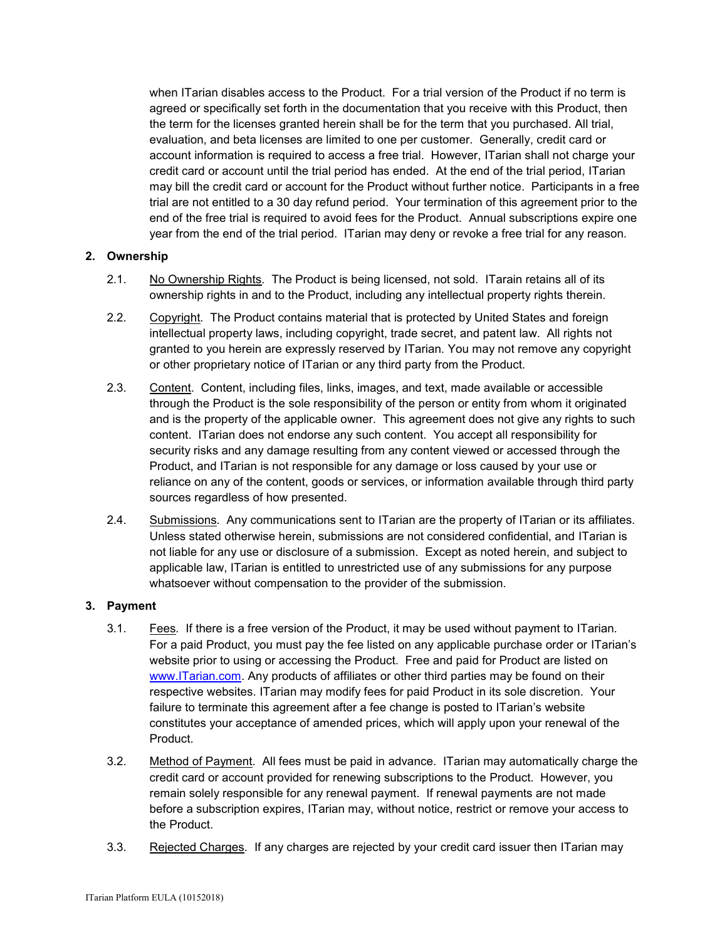when ITarian disables access to the Product. For a trial version of the Product if no term is agreed or specifically set forth in the documentation that you receive with this Product, then the term for the licenses granted herein shall be for the term that you purchased. All trial, evaluation, and beta licenses are limited to one per customer. Generally, credit card or account information is required to access a free trial. However, ITarian shall not charge your credit card or account until the trial period has ended. At the end of the trial period, ITarian may bill the credit card or account for the Product without further notice. Participants in a free trial are not entitled to a 30 day refund period. Your termination of this agreement prior to the end of the free trial is required to avoid fees for the Product. Annual subscriptions expire one year from the end of the trial period. ITarian may deny or revoke a free trial for any reason.

# **2. Ownership**

- 2.1. No Ownership Rights*.* The Product is being licensed, not sold. ITarain retains all of its ownership rights in and to the Product, including any intellectual property rights therein.
- 2.2. Copyright*.* The Product contains material that is protected by United States and foreign intellectual property laws, including copyright, trade secret, and patent law. All rights not granted to you herein are expressly reserved by ITarian. You may not remove any copyright or other proprietary notice of ITarian or any third party from the Product.
- 2.3. Content. Content, including files, links, images, and text, made available or accessible through the Product is the sole responsibility of the person or entity from whom it originated and is the property of the applicable owner. This agreement does not give any rights to such content. ITarian does not endorse any such content. You accept all responsibility for security risks and any damage resulting from any content viewed or accessed through the Product, and ITarian is not responsible for any damage or loss caused by your use or reliance on any of the content, goods or services, or information available through third party sources regardless of how presented.
- 2.4. Submissions*.* Any communications sent to ITarian are the property of ITarian or its affiliates. Unless stated otherwise herein, submissions are not considered confidential, and ITarian is not liable for any use or disclosure of a submission. Except as noted herein, and subject to applicable law, ITarian is entitled to unrestricted use of any submissions for any purpose whatsoever without compensation to the provider of the submission.

### **3. Payment**

- 3.1. Fees*.* If there is a free version of the Product, it may be used without payment to ITarian. For a paid Product, you must pay the fee listed on any applicable purchase order or ITarian's website prior to using or accessing the Product. Free and paid for Product are listed on [www.ITarian.com.](http://www.comodo.com/) Any products of affiliates or other third parties may be found on their respective websites. ITarian may modify fees for paid Product in its sole discretion. Your failure to terminate this agreement after a fee change is posted to ITarian's website constitutes your acceptance of amended prices, which will apply upon your renewal of the Product.
- 3.2. Method of Payment*.* All fees must be paid in advance. ITarian may automatically charge the credit card or account provided for renewing subscriptions to the Product. However, you remain solely responsible for any renewal payment. If renewal payments are not made before a subscription expires, ITarian may, without notice, restrict or remove your access to the Product.
- 3.3. Rejected Charges*.* If any charges are rejected by your credit card issuer then ITarian may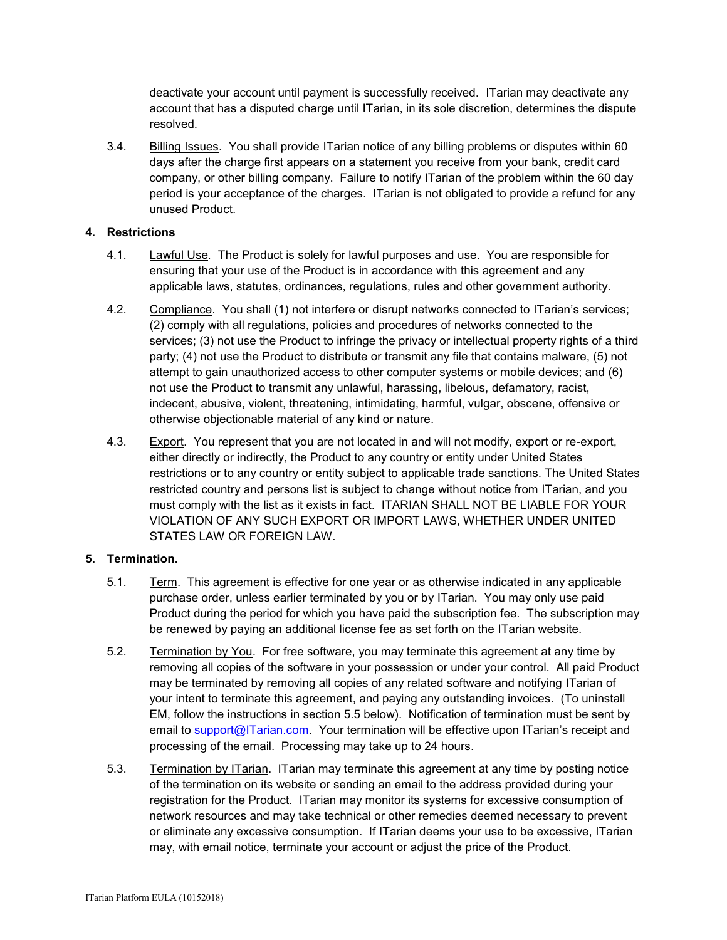deactivate your account until payment is successfully received. ITarian may deactivate any account that has a disputed charge until ITarian, in its sole discretion, determines the dispute resolved.

3.4. Billing Issues. You shall provide ITarian notice of any billing problems or disputes within 60 days after the charge first appears on a statement you receive from your bank, credit card company, or other billing company. Failure to notify ITarian of the problem within the 60 day period is your acceptance of the charges. ITarian is not obligated to provide a refund for any unused Product.

# **4. Restrictions**

- 4.1. Lawful Use*.* The Product is solely for lawful purposes and use. You are responsible for ensuring that your use of the Product is in accordance with this agreement and any applicable laws, statutes, ordinances, regulations, rules and other government authority.
- 4.2. Compliance. You shall (1) not interfere or disrupt networks connected to ITarian's services; (2) comply with all regulations, policies and procedures of networks connected to the services; (3) not use the Product to infringe the privacy or intellectual property rights of a third party; (4) not use the Product to distribute or transmit any file that contains malware, (5) not attempt to gain unauthorized access to other computer systems or mobile devices; and (6) not use the Product to transmit any unlawful, harassing, libelous, defamatory, racist, indecent, abusive, violent, threatening, intimidating, harmful, vulgar, obscene, offensive or otherwise objectionable material of any kind or nature.
- 4.3. Export. You represent that you are not located in and will not modify, export or re-export, either directly or indirectly, the Product to any country or entity under United States restrictions or to any country or entity subject to applicable trade sanctions. The United States restricted country and persons list is subject to change without notice from ITarian, and you must comply with the list as it exists in fact. ITARIAN SHALL NOT BE LIABLE FOR YOUR VIOLATION OF ANY SUCH EXPORT OR IMPORT LAWS, WHETHER UNDER UNITED STATES LAW OR FOREIGN LAW.

# **5. Termination.**

- 5.1. Term.This agreement is effective for one year or as otherwise indicated in any applicable purchase order, unless earlier terminated by you or by ITarian. You may only use paid Product during the period for which you have paid the subscription fee. The subscription may be renewed by paying an additional license fee as set forth on the ITarian website.
- 5.2. Termination by You. For free software, you may terminate this agreement at any time by removing all copies of the software in your possession or under your control. All paid Product may be terminated by removing all copies of any related software and notifying ITarian of your intent to terminate this agreement, and paying any outstanding invoices. (To uninstall EM, follow the instructions in section 5.5 below). Notification of termination must be sent by email to **support@ITarian.com.** Your termination will be effective upon ITarian's receipt and processing of the email. Processing may take up to 24 hours.
- 5.3. Termination by ITarian. ITarian may terminate this agreement at any time by posting notice of the termination on its website or sending an email to the address provided during your registration for the Product. ITarian may monitor its systems for excessive consumption of network resources and may take technical or other remedies deemed necessary to prevent or eliminate any excessive consumption. If ITarian deems your use to be excessive, ITarian may, with email notice, terminate your account or adjust the price of the Product.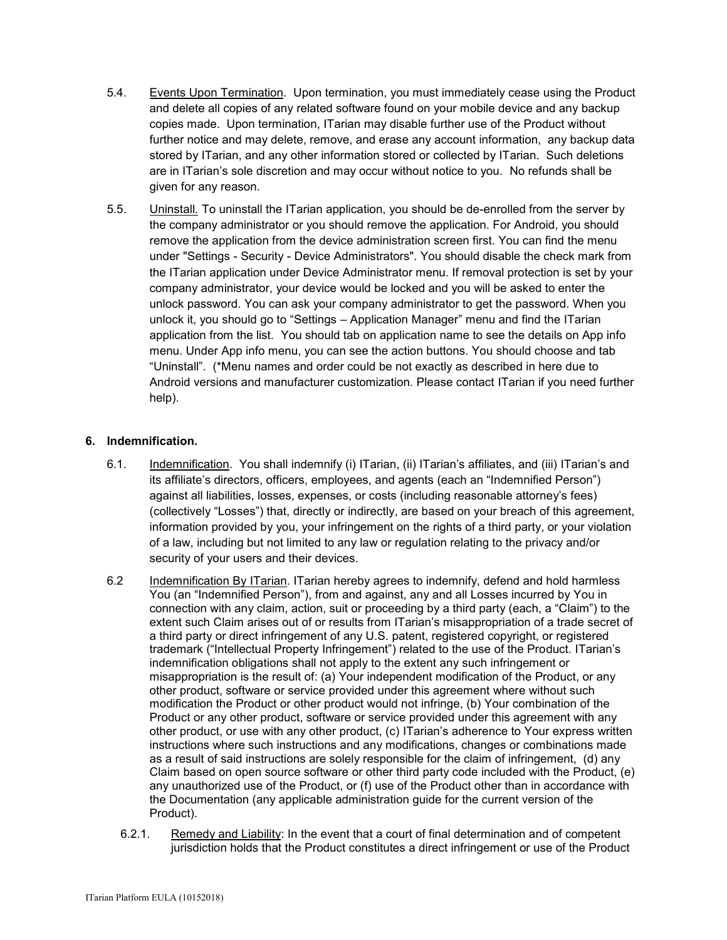- 5.4. Events Upon Termination. Upon termination, you must immediately cease using the Product and delete all copies of any related software found on your mobile device and any backup copies made. Upon termination, ITarian may disable further use of the Product without further notice and may delete, remove, and erase any account information, any backup data stored by ITarian, and any other information stored or collected by ITarian. Such deletions are in ITarian's sole discretion and may occur without notice to you. No refunds shall be given for any reason.
- 5.5. **Uninstall.** To uninstall the ITarian application, you should be de-enrolled from the server by the company administrator or you should remove the application. For Android, you should remove the application from the device administration screen first. You can find the menu under "Settings - Security - Device Administrators". You should disable the check mark from the ITarian application under Device Administrator menu. If removal protection is set by your company administrator, your device would be locked and you will be asked to enter the unlock password. You can ask your company administrator to get the password. When you unlock it, you should go to "Settings – Application Manager" menu and find the ITarian application from the list. You should tab on application name to see the details on App info menu. Under App info menu, you can see the action buttons. You should choose and tab "Uninstall". (\*Menu names and order could be not exactly as described in here due to Android versions and manufacturer customization. Please contact ITarian if you need further help).

# **6. Indemnification.**

- 6.1. Indemnification. You shall indemnify (i) ITarian, (ii) ITarian's affiliates, and (iii) ITarian's and its affiliate's directors, officers, employees, and agents (each an "Indemnified Person") against all liabilities, losses, expenses, or costs (including reasonable attorney's fees) (collectively "Losses") that, directly or indirectly, are based on your breach of this agreement, information provided by you, your infringement on the rights of a third party, or your violation of a law, including but not limited to any law or regulation relating to the privacy and/or security of your users and their devices.
- 6.2 Indemnification By ITarian. ITarian hereby agrees to indemnify, defend and hold harmless You (an "Indemnified Person"), from and against, any and all Losses incurred by You in connection with any claim, action, suit or proceeding by a third party (each, a "Claim") to the extent such Claim arises out of or results from ITarian's misappropriation of a trade secret of a third party or direct infringement of any U.S. patent, registered copyright, or registered trademark ("Intellectual Property Infringement") related to the use of the Product. ITarian's indemnification obligations shall not apply to the extent any such infringement or misappropriation is the result of: (a) Your independent modification of the Product, or any other product, software or service provided under this agreement where without such modification the Product or other product would not infringe, (b) Your combination of the Product or any other product, software or service provided under this agreement with any other product, or use with any other product, (c) ITarian's adherence to Your express written instructions where such instructions and any modifications, changes or combinations made as a result of said instructions are solely responsible for the claim of infringement, (d) any Claim based on open source software or other third party code included with the Product, (e) any unauthorized use of the Product, or (f) use of the Product other than in accordance with the Documentation (any applicable administration guide for the current version of the Product).
	- 6.2.1. Remedy and Liability: In the event that a court of final determination and of competent jurisdiction holds that the Product constitutes a direct infringement or use of the Product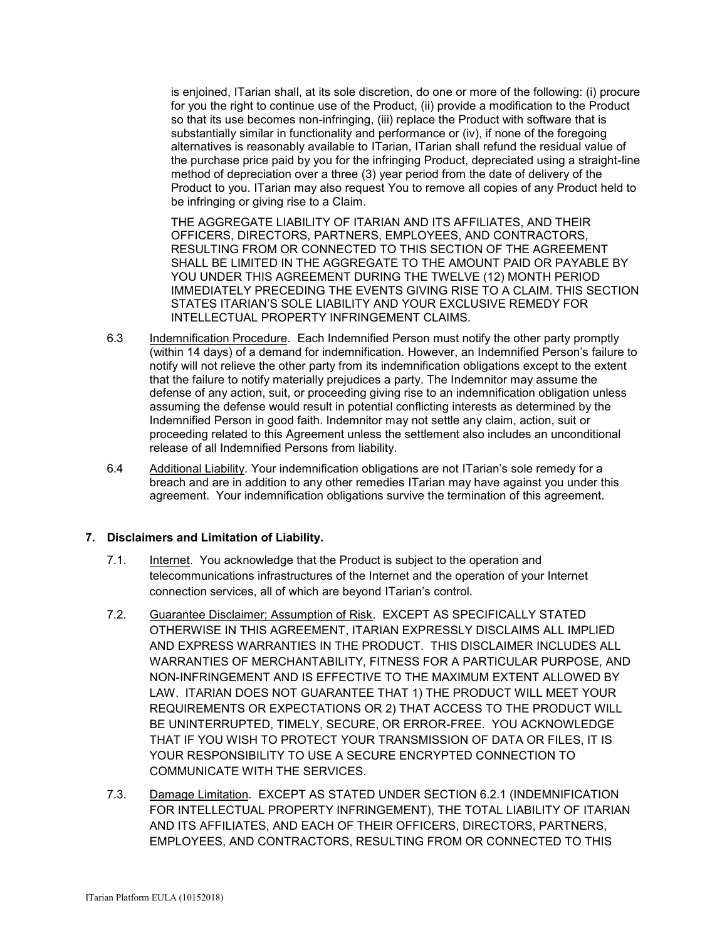is enjoined, ITarian shall, at its sole discretion, do one or more of the following: (i) procure for you the right to continue use of the Product, (ii) provide a modification to the Product so that its use becomes non-infringing, (iii) replace the Product with software that is substantially similar in functionality and performance or (iv), if none of the foregoing alternatives is reasonably available to ITarian, ITarian shall refund the residual value of the purchase price paid by you for the infringing Product, depreciated using a straight-line method of depreciation over a three (3) year period from the date of delivery of the Product to you. ITarian may also request You to remove all copies of any Product held to be infringing or giving rise to a Claim.

THE AGGREGATE LIABILITY OF ITARIAN AND ITS AFFILIATES, AND THEIR OFFICERS, DIRECTORS, PARTNERS, EMPLOYEES, AND CONTRACTORS, RESULTING FROM OR CONNECTED TO THIS SECTION OF THE AGREEMENT SHALL BE LIMITED IN THE AGGREGATE TO THE AMOUNT PAID OR PAYABLE BY YOU UNDER THIS AGREEMENT DURING THE TWELVE (12) MONTH PERIOD IMMEDIATELY PRECEDING THE EVENTS GIVING RISE TO A CLAIM. THIS SECTION STATES ITARIAN'S SOLE LIABILITY AND YOUR EXCLUSIVE REMEDY FOR INTELLECTUAL PROPERTY INFRINGEMENT CLAIMS.

- 6.3 Indemnification Procedure. Each Indemnified Person must notify the other party promptly (within 14 days) of a demand for indemnification. However, an Indemnified Person's failure to notify will not relieve the other party from its indemnification obligations except to the extent that the failure to notify materially prejudices a party. The Indemnitor may assume the defense of any action, suit, or proceeding giving rise to an indemnification obligation unless assuming the defense would result in potential conflicting interests as determined by the Indemnified Person in good faith. Indemnitor may not settle any claim, action, suit or proceeding related to this Agreement unless the settlement also includes an unconditional release of all Indemnified Persons from liability.
- 6.4 Additional Liability. Your indemnification obligations are not ITarian's sole remedy for a breach and are in addition to any other remedies ITarian may have against you under this agreement. Your indemnification obligations survive the termination of this agreement.

# **7. Disclaimers and Limitation of Liability.**

- 7.1. Internet. You acknowledge that the Product is subject to the operation and telecommunications infrastructures of the Internet and the operation of your Internet connection services, all of which are beyond ITarian's control.
- 7.2. Guarantee Disclaimer; Assumption of Risk. EXCEPT AS SPECIFICALLY STATED OTHERWISE IN THIS AGREEMENT, ITARIAN EXPRESSLY DISCLAIMS ALL IMPLIED AND EXPRESS WARRANTIES IN THE PRODUCT. THIS DISCLAIMER INCLUDES ALL WARRANTIES OF MERCHANTABILITY, FITNESS FOR A PARTICULAR PURPOSE, AND NON-INFRINGEMENT AND IS EFFECTIVE TO THE MAXIMUM EXTENT ALLOWED BY LAW. ITARIAN DOES NOT GUARANTEE THAT 1) THE PRODUCT WILL MEET YOUR REQUIREMENTS OR EXPECTATIONS OR 2) THAT ACCESS TO THE PRODUCT WILL BE UNINTERRUPTED, TIMELY, SECURE, OR ERROR-FREE. YOU ACKNOWLEDGE THAT IF YOU WISH TO PROTECT YOUR TRANSMISSION OF DATA OR FILES, IT IS YOUR RESPONSIBILITY TO USE A SECURE ENCRYPTED CONNECTION TO COMMUNICATE WITH THE SERVICES.
- 7.3. Damage Limitation. EXCEPT AS STATED UNDER SECTION 6.2.1 (INDEMNIFICATION FOR INTELLECTUAL PROPERTY INFRINGEMENT), THE TOTAL LIABILITY OF ITARIAN AND ITS AFFILIATES, AND EACH OF THEIR OFFICERS, DIRECTORS, PARTNERS, EMPLOYEES, AND CONTRACTORS, RESULTING FROM OR CONNECTED TO THIS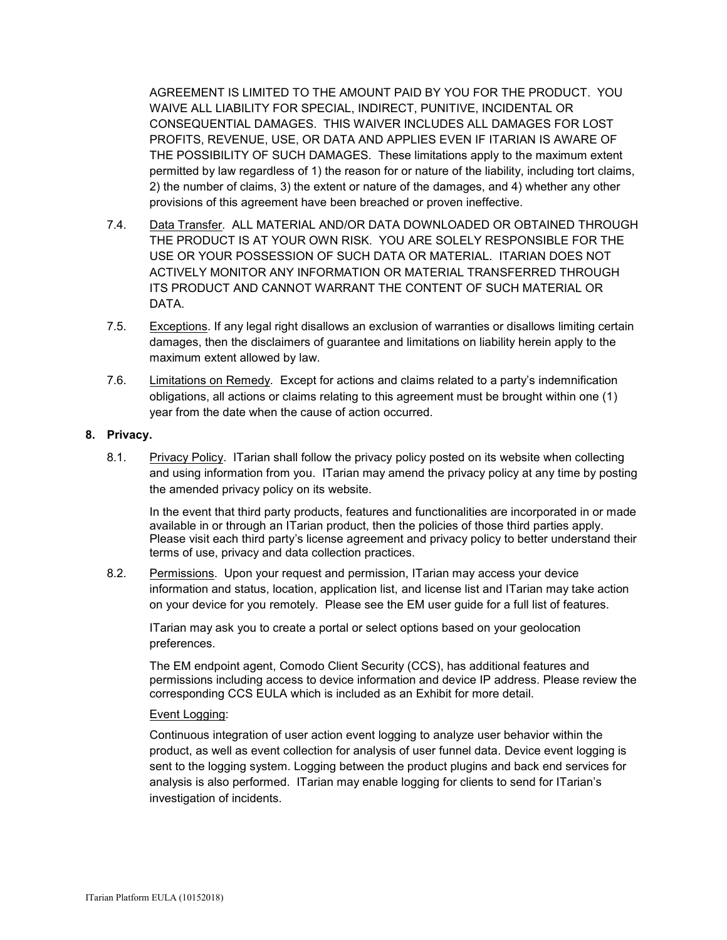AGREEMENT IS LIMITED TO THE AMOUNT PAID BY YOU FOR THE PRODUCT. YOU WAIVE ALL LIABILITY FOR SPECIAL, INDIRECT, PUNITIVE, INCIDENTAL OR CONSEQUENTIAL DAMAGES. THIS WAIVER INCLUDES ALL DAMAGES FOR LOST PROFITS, REVENUE, USE, OR DATA AND APPLIES EVEN IF ITARIAN IS AWARE OF THE POSSIBILITY OF SUCH DAMAGES. These limitations apply to the maximum extent permitted by law regardless of 1) the reason for or nature of the liability, including tort claims, 2) the number of claims, 3) the extent or nature of the damages, and 4) whether any other provisions of this agreement have been breached or proven ineffective.

- 7.4. Data Transfer*.* ALL MATERIAL AND/OR DATA DOWNLOADED OR OBTAINED THROUGH THE PRODUCT IS AT YOUR OWN RISK. YOU ARE SOLELY RESPONSIBLE FOR THE USE OR YOUR POSSESSION OF SUCH DATA OR MATERIAL. ITARIAN DOES NOT ACTIVELY MONITOR ANY INFORMATION OR MATERIAL TRANSFERRED THROUGH ITS PRODUCT AND CANNOT WARRANT THE CONTENT OF SUCH MATERIAL OR DATA.
- 7.5. Exceptions. If any legal right disallows an exclusion of warranties or disallows limiting certain damages, then the disclaimers of guarantee and limitations on liability herein apply to the maximum extent allowed by law.
- 7.6. Limitations on Remedy*.* Except for actions and claims related to a party's indemnification obligations, all actions or claims relating to this agreement must be brought within one (1) year from the date when the cause of action occurred.

### **8. Privacy.**

8.1. Privacy Policy. ITarian shall follow the privacy policy posted on its website when collecting and using information from you. ITarian may amend the privacy policy at any time by posting the amended privacy policy on its website.

In the event that third party products, features and functionalities are incorporated in or made available in or through an ITarian product, then the policies of those third parties apply. Please visit each third party's license agreement and privacy policy to better understand their terms of use, privacy and data collection practices.

8.2. Permissions. Upon your request and permission, ITarian may access your device information and status, location, application list, and license list and ITarian may take action on your device for you remotely. Please see the EM user guide for a full list of features.

ITarian may ask you to create a portal or select options based on your geolocation preferences.

The EM endpoint agent, Comodo Client Security (CCS), has additional features and permissions including access to device information and device IP address. Please review the corresponding CCS EULA which is included as an Exhibit for more detail.

### Event Logging:

Continuous integration of user action event logging to analyze user behavior within the product, as well as event collection for analysis of user funnel data. Device event logging is sent to the logging system. Logging between the product plugins and back end services for analysis is also performed. ITarian may enable logging for clients to send for ITarian's investigation of incidents.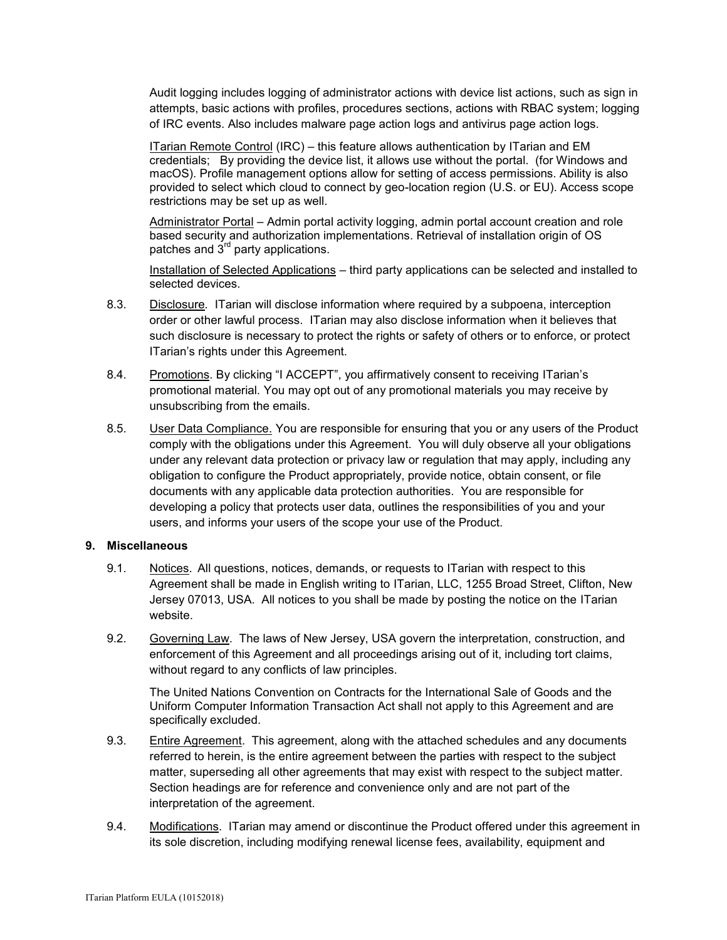Audit logging includes logging of administrator actions with device list actions, such as sign in attempts, basic actions with profiles, procedures sections, actions with RBAC system; logging of IRC events. Also includes malware page action logs and antivirus page action logs.

ITarian Remote Control (IRC) – this feature allows authentication by ITarian and EM credentials; By providing the device list, it allows use without the portal. (for Windows and macOS). Profile management options allow for setting of access permissions. Ability is also provided to select which cloud to connect by geo-location region (U.S. or EU). Access scope restrictions may be set up as well.

Administrator Portal – Admin portal activity logging, admin portal account creation and role based security and authorization implementations. Retrieval of installation origin of OS patches and  $3<sup>rd</sup>$  party applications.

Installation of Selected Applications – third party applications can be selected and installed to selected devices.

- 8.3. Disclosure*.* ITarian will disclose information where required by a subpoena, interception order or other lawful process. ITarian may also disclose information when it believes that such disclosure is necessary to protect the rights or safety of others or to enforce, or protect ITarian's rights under this Agreement.
- 8.4. Promotions. By clicking "I ACCEPT", you affirmatively consent to receiving ITarian's promotional material. You may opt out of any promotional materials you may receive by unsubscribing from the emails.
- 8.5. User Data Compliance. You are responsible for ensuring that you or any users of the Product comply with the obligations under this Agreement. You will duly observe all your obligations under any relevant data protection or privacy law or regulation that may apply, including any obligation to configure the Product appropriately, provide notice, obtain consent, or file documents with any applicable data protection authorities. You are responsible for developing a policy that protects user data, outlines the responsibilities of you and your users, and informs your users of the scope your use of the Product.

### **9. Miscellaneous**

- 9.1. Notices. All questions, notices, demands, or requests to ITarian with respect to this Agreement shall be made in English writing to ITarian, LLC, 1255 Broad Street, Clifton, New Jersey 07013, USA. All notices to you shall be made by posting the notice on the ITarian website.
- 9.2. Governing Law. The laws of New Jersey, USA govern the interpretation, construction, and enforcement of this Agreement and all proceedings arising out of it, including tort claims, without regard to any conflicts of law principles.

The United Nations Convention on Contracts for the International Sale of Goods and the Uniform Computer Information Transaction Act shall not apply to this Agreement and are specifically excluded.

- 9.3. Entire Agreement. This agreement, along with the attached schedules and any documents referred to herein, is the entire agreement between the parties with respect to the subject matter, superseding all other agreements that may exist with respect to the subject matter. Section headings are for reference and convenience only and are not part of the interpretation of the agreement.
- 9.4. Modifications. ITarian may amend or discontinue the Product offered under this agreement in its sole discretion, including modifying renewal license fees, availability, equipment and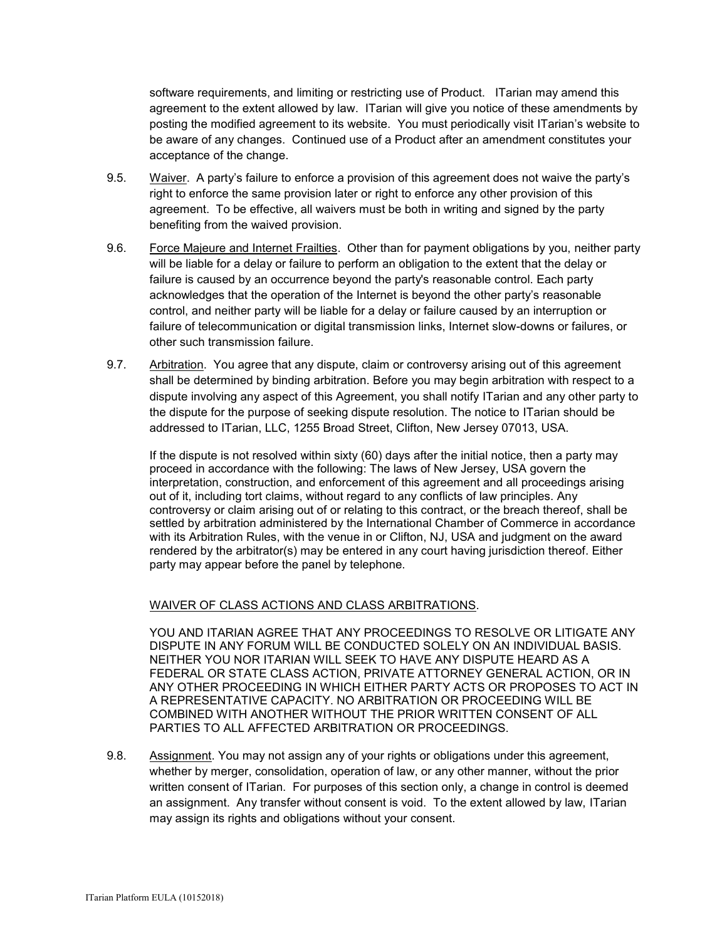software requirements, and limiting or restricting use of Product. ITarian may amend this agreement to the extent allowed by law. ITarian will give you notice of these amendments by posting the modified agreement to its website. You must periodically visit ITarian's website to be aware of any changes. Continued use of a Product after an amendment constitutes your acceptance of the change.

- 9.5. Waiver. A party's failure to enforce a provision of this agreement does not waive the party's right to enforce the same provision later or right to enforce any other provision of this agreement. To be effective, all waivers must be both in writing and signed by the party benefiting from the waived provision.
- 9.6. Force Majeure and Internet Frailties. Other than for payment obligations by you, neither party will be liable for a delay or failure to perform an obligation to the extent that the delay or failure is caused by an occurrence beyond the party's reasonable control. Each party acknowledges that the operation of the Internet is beyond the other party's reasonable control, and neither party will be liable for a delay or failure caused by an interruption or failure of telecommunication or digital transmission links, Internet slow-downs or failures, or other such transmission failure.
- 9.7. Arbitration. You agree that any dispute, claim or controversy arising out of this agreement shall be determined by binding arbitration. Before you may begin arbitration with respect to a dispute involving any aspect of this Agreement, you shall notify ITarian and any other party to the dispute for the purpose of seeking dispute resolution. The notice to ITarian should be addressed to ITarian, LLC, 1255 Broad Street, Clifton, New Jersey 07013, USA.

If the dispute is not resolved within sixty (60) days after the initial notice, then a party may proceed in accordance with the following: The laws of New Jersey, USA govern the interpretation, construction, and enforcement of this agreement and all proceedings arising out of it, including tort claims, without regard to any conflicts of law principles. Any controversy or claim arising out of or relating to this contract, or the breach thereof, shall be settled by arbitration administered by the International Chamber of Commerce in accordance with its Arbitration Rules, with the venue in or Clifton, NJ, USA and judgment on the award rendered by the arbitrator(s) may be entered in any court having jurisdiction thereof. Either party may appear before the panel by telephone.

# WAIVER OF CLASS ACTIONS AND CLASS ARBITRATIONS.

YOU AND ITARIAN AGREE THAT ANY PROCEEDINGS TO RESOLVE OR LITIGATE ANY DISPUTE IN ANY FORUM WILL BE CONDUCTED SOLELY ON AN INDIVIDUAL BASIS. NEITHER YOU NOR ITARIAN WILL SEEK TO HAVE ANY DISPUTE HEARD AS A FEDERAL OR STATE CLASS ACTION, PRIVATE ATTORNEY GENERAL ACTION, OR IN ANY OTHER PROCEEDING IN WHICH EITHER PARTY ACTS OR PROPOSES TO ACT IN A REPRESENTATIVE CAPACITY. NO ARBITRATION OR PROCEEDING WILL BE COMBINED WITH ANOTHER WITHOUT THE PRIOR WRITTEN CONSENT OF ALL PARTIES TO ALL AFFECTED ARBITRATION OR PROCEEDINGS.

9.8. Assignment. You may not assign any of your rights or obligations under this agreement, whether by merger, consolidation, operation of law, or any other manner, without the prior written consent of ITarian. For purposes of this section only, a change in control is deemed an assignment. Any transfer without consent is void. To the extent allowed by law, ITarian may assign its rights and obligations without your consent.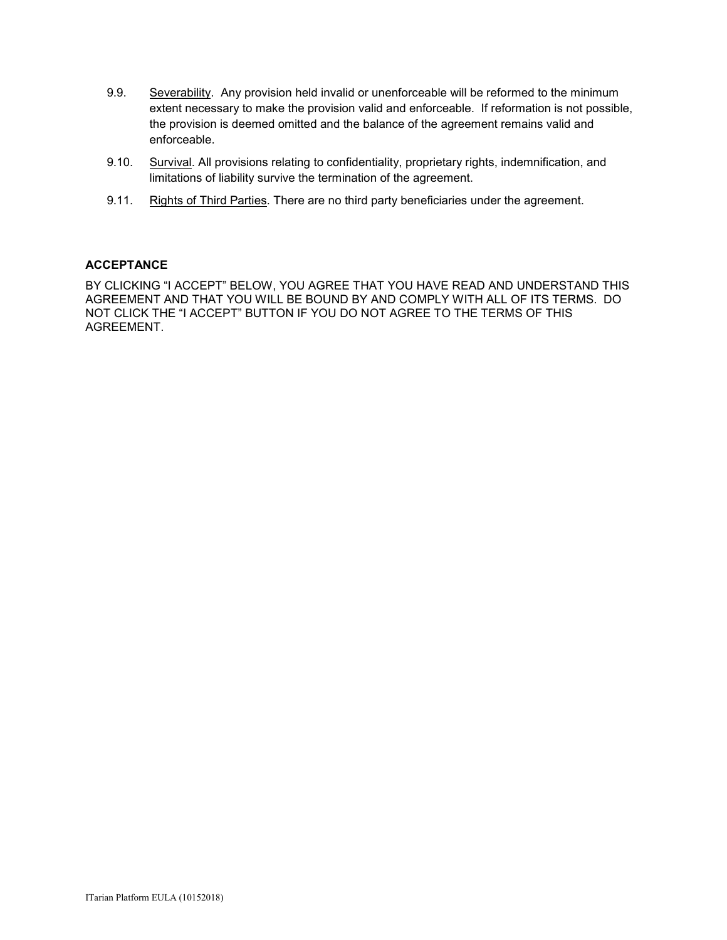- 9.9. Severability. Any provision held invalid or unenforceable will be reformed to the minimum extent necessary to make the provision valid and enforceable. If reformation is not possible, the provision is deemed omitted and the balance of the agreement remains valid and enforceable.
- 9.10. Survival. All provisions relating to confidentiality, proprietary rights, indemnification, and limitations of liability survive the termination of the agreement.
- 9.11. Rights of Third Parties*.* There are no third party beneficiaries under the agreement.

### **ACCEPTANCE**

BY CLICKING "I ACCEPT" BELOW, YOU AGREE THAT YOU HAVE READ AND UNDERSTAND THIS AGREEMENT AND THAT YOU WILL BE BOUND BY AND COMPLY WITH ALL OF ITS TERMS. DO NOT CLICK THE "I ACCEPT" BUTTON IF YOU DO NOT AGREE TO THE TERMS OF THIS AGREEMENT.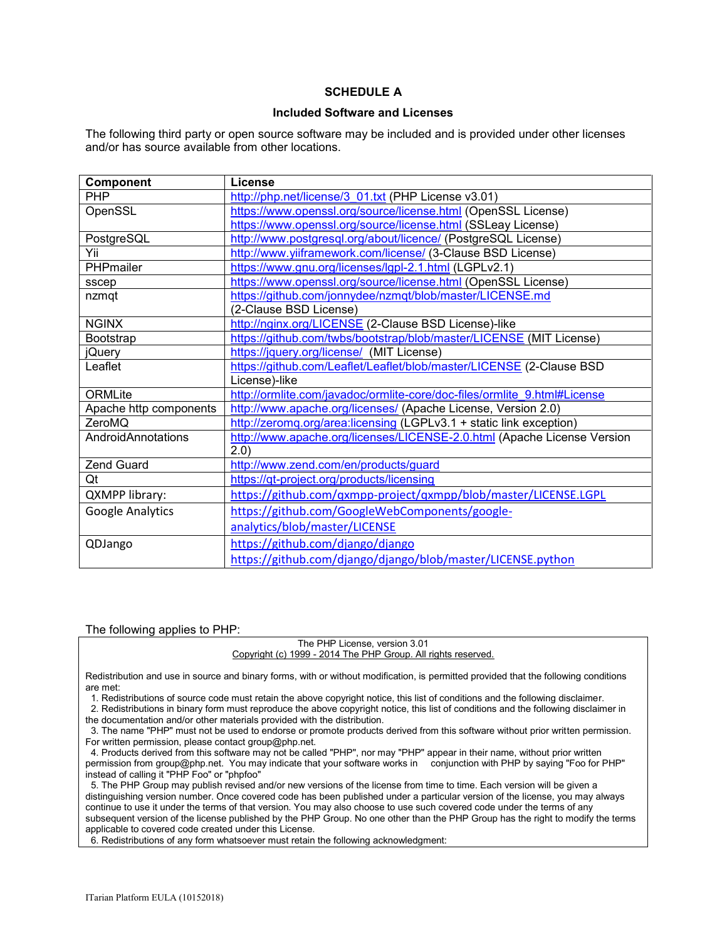# **SCHEDULE A**

#### **Included Software and Licenses**

The following third party or open source software may be included and is provided under other licenses and/or has source available from other locations.

| Component              | License                                                                  |
|------------------------|--------------------------------------------------------------------------|
| <b>PHP</b>             | http://php.net/license/3 01.txt (PHP License v3.01)                      |
| OpenSSL                | https://www.openssl.org/source/license.html (OpenSSL License)            |
|                        | https://www.openssl.org/source/license.html (SSLeay License)             |
| PostgreSQL             | http://www.postgresql.org/about/licence/ (PostgreSQL License)            |
| Yii                    | http://www.yiiframework.com/license/ (3-Clause BSD License)              |
| PHPmailer              | https://www.gnu.org/licenses/lgpl-2.1.html (LGPLv2.1)                    |
| sscep                  | https://www.openssl.org/source/license.html (OpenSSL License)            |
| nzmqt                  | https://github.com/jonnydee/nzmqt/blob/master/LICENSE.md                 |
|                        | (2-Clause BSD License)                                                   |
| <b>NGINX</b>           | http://nginx.org/LICENSE (2-Clause BSD License)-like                     |
| Bootstrap              | https://github.com/twbs/bootstrap/blob/master/LICENSE (MIT License)      |
| jQuery                 | https://jquery.org/license/ (MIT License)                                |
| Leaflet                | https://github.com/Leaflet/Leaflet/blob/master/LICENSE (2-Clause BSD     |
|                        | License)-like                                                            |
| ORMLite                | http://ormlite.com/javadoc/ormlite-core/doc-files/ormlite 9.html#License |
| Apache http components | http://www.apache.org/licenses/ (Apache License, Version 2.0)            |
| ZeroMQ                 | http://zeromq.org/area:licensing (LGPLv3.1 + static link exception)      |
| AndroidAnnotations     | http://www.apache.org/licenses/LICENSE-2.0.html (Apache License Version  |
|                        | (2.0)                                                                    |
| Zend Guard             | http://www.zend.com/en/products/guard                                    |
| Qt                     | https://qt-project.org/products/licensing                                |
| <b>QXMPP library:</b>  | https://github.com/qxmpp-project/qxmpp/blob/master/LICENSE.LGPL          |
| Google Analytics       | https://github.com/GoogleWebComponents/google-                           |
|                        | analytics/blob/master/LICENSE                                            |
| QDJango                | https://github.com/django/django                                         |
|                        | https://github.com/django/django/blob/master/LICENSE.python              |

#### The following applies to PHP:

#### The PHP License, version 3.01 Copyright (c) 1999 - 2014 The PHP Group. All rights reserved.

Redistribution and use in source and binary forms, with or without modification, is permitted provided that the following conditions are met:

1. Redistributions of source code must retain the above copyright notice, this list of conditions and the following disclaimer.

2. Redistributions in binary form must reproduce the above copyright notice, this list of conditions and the following disclaimer in

the documentation and/or other materials provided with the distribution.

 3. The name "PHP" must not be used to endorse or promote products derived from this software without prior written permission. For written permission, please contact group@php.net.

 4. Products derived from this software may not be called "PHP", nor may "PHP" appear in their name, without prior written permission from group@php.net. You may indicate that your software works in conjunction with PHP by saying "Foo for PHP" instead of calling it "PHP Foo" or "phpfoo"

 5. The PHP Group may publish revised and/or new versions of the license from time to time. Each version will be given a distinguishing version number. Once covered code has been published under a particular version of the license, you may always continue to use it under the terms of that version. You may also choose to use such covered code under the terms of any subsequent version of the license published by the PHP Group. No one other than the PHP Group has the right to modify the terms applicable to covered code created under this License.

6. Redistributions of any form whatsoever must retain the following acknowledgment: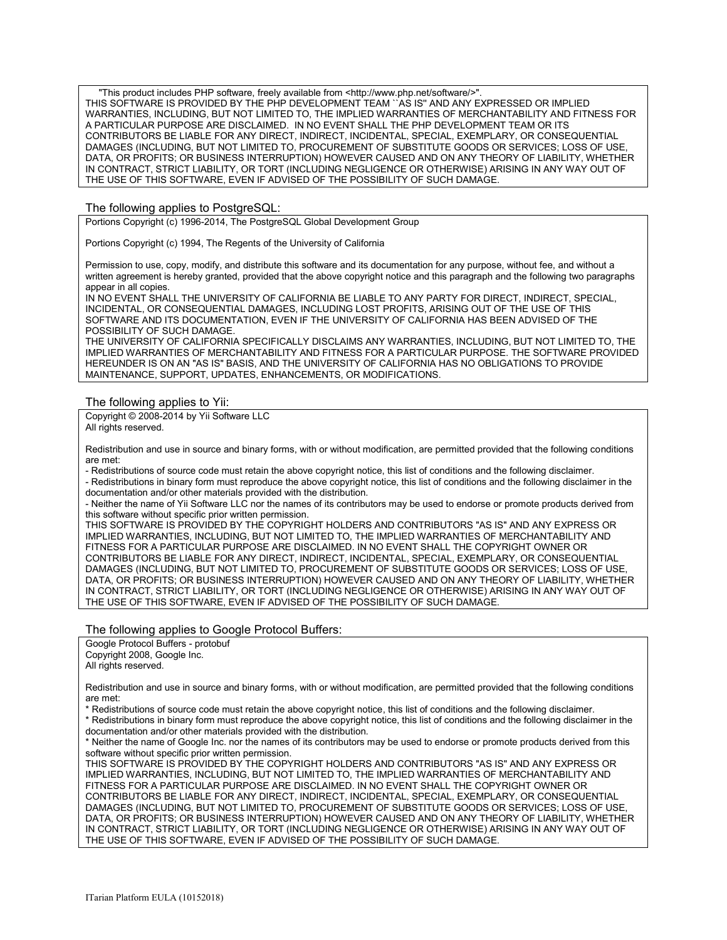"This product includes PHP software, freely available from <http://www.php.net/software/>" THIS SOFTWARE IS PROVIDED BY THE PHP DEVELOPMENT TEAM ``AS IS'' AND ANY EXPRESSED OR IMPLIED WARRANTIES, INCLUDING, BUT NOT LIMITED TO, THE IMPLIED WARRANTIES OF MERCHANTABILITY AND FITNESS FOR A PARTICULAR PURPOSE ARE DISCLAIMED. IN NO EVENT SHALL THE PHP DEVELOPMENT TEAM OR ITS CONTRIBUTORS BE LIABLE FOR ANY DIRECT, INDIRECT, INCIDENTAL, SPECIAL, EXEMPLARY, OR CONSEQUENTIAL DAMAGES (INCLUDING, BUT NOT LIMITED TO, PROCUREMENT OF SUBSTITUTE GOODS OR SERVICES; LOSS OF USE, DATA, OR PROFITS; OR BUSINESS INTERRUPTION) HOWEVER CAUSED AND ON ANY THEORY OF LIABILITY, WHETHER IN CONTRACT, STRICT LIABILITY, OR TORT (INCLUDING NEGLIGENCE OR OTHERWISE) ARISING IN ANY WAY OUT OF THE USE OF THIS SOFTWARE, EVEN IF ADVISED OF THE POSSIBILITY OF SUCH DAMAGE.

#### The following applies to PostgreSQL:

Portions Copyright (c) 1996-2014, The PostgreSQL Global Development Group

Portions Copyright (c) 1994, The Regents of the University of California

Permission to use, copy, modify, and distribute this software and its documentation for any purpose, without fee, and without a written agreement is hereby granted, provided that the above copyright notice and this paragraph and the following two paragraphs appear in all copies.

IN NO EVENT SHALL THE UNIVERSITY OF CALIFORNIA BE LIABLE TO ANY PARTY FOR DIRECT, INDIRECT, SPECIAL, INCIDENTAL, OR CONSEQUENTIAL DAMAGES, INCLUDING LOST PROFITS, ARISING OUT OF THE USE OF THIS SOFTWARE AND ITS DOCUMENTATION, EVEN IF THE UNIVERSITY OF CALIFORNIA HAS BEEN ADVISED OF THE POSSIBILITY OF SUCH DAMAGE.

THE UNIVERSITY OF CALIFORNIA SPECIFICALLY DISCLAIMS ANY WARRANTIES, INCLUDING, BUT NOT LIMITED TO, THE IMPLIED WARRANTIES OF MERCHANTABILITY AND FITNESS FOR A PARTICULAR PURPOSE. THE SOFTWARE PROVIDED HEREUNDER IS ON AN "AS IS" BASIS, AND THE UNIVERSITY OF CALIFORNIA HAS NO OBLIGATIONS TO PROVIDE MAINTENANCE, SUPPORT, UPDATES, ENHANCEMENTS, OR MODIFICATIONS.

#### The following applies to Yii:

Copyright © 2008-2014 by Yii Software LLC All rights reserved.

Redistribution and use in source and binary forms, with or without modification, are permitted provided that the following conditions are met:

- Redistributions of source code must retain the above copyright notice, this list of conditions and the following disclaimer.

- Redistributions in binary form must reproduce the above copyright notice, this list of conditions and the following disclaimer in the documentation and/or other materials provided with the distribution.

- Neither the name of Yii Software LLC nor the names of its contributors may be used to endorse or promote products derived from this software without specific prior written permission.

THIS SOFTWARE IS PROVIDED BY THE COPYRIGHT HOLDERS AND CONTRIBUTORS "AS IS" AND ANY EXPRESS OR IMPLIED WARRANTIES, INCLUDING, BUT NOT LIMITED TO, THE IMPLIED WARRANTIES OF MERCHANTABILITY AND FITNESS FOR A PARTICULAR PURPOSE ARE DISCLAIMED. IN NO EVENT SHALL THE COPYRIGHT OWNER OR CONTRIBUTORS BE LIABLE FOR ANY DIRECT, INDIRECT, INCIDENTAL, SPECIAL, EXEMPLARY, OR CONSEQUENTIAL DAMAGES (INCLUDING, BUT NOT LIMITED TO, PROCUREMENT OF SUBSTITUTE GOODS OR SERVICES; LOSS OF USE, DATA, OR PROFITS; OR BUSINESS INTERRUPTION) HOWEVER CAUSED AND ON ANY THEORY OF LIABILITY, WHETHER IN CONTRACT, STRICT LIABILITY, OR TORT (INCLUDING NEGLIGENCE OR OTHERWISE) ARISING IN ANY WAY OUT OF THE USE OF THIS SOFTWARE, EVEN IF ADVISED OF THE POSSIBILITY OF SUCH DAMAGE.

#### The following applies to Google Protocol Buffers:

Google Protocol Buffers - protobuf Copyright 2008, Google Inc. All rights reserved.

Redistribution and use in source and binary forms, with or without modification, are permitted provided that the following conditions are met:

\* Redistributions of source code must retain the above copyright notice, this list of conditions and the following disclaimer.

\* Redistributions in binary form must reproduce the above copyright notice, this list of conditions and the following disclaimer in the documentation and/or other materials provided with the distribution.

\* Neither the name of Google Inc. nor the names of its contributors may be used to endorse or promote products derived from this software without specific prior written permission.

THIS SOFTWARE IS PROVIDED BY THE COPYRIGHT HOLDERS AND CONTRIBUTORS "AS IS" AND ANY EXPRESS OR IMPLIED WARRANTIES, INCLUDING, BUT NOT LIMITED TO, THE IMPLIED WARRANTIES OF MERCHANTABILITY AND FITNESS FOR A PARTICULAR PURPOSE ARE DISCLAIMED. IN NO EVENT SHALL THE COPYRIGHT OWNER OR CONTRIBUTORS BE LIABLE FOR ANY DIRECT, INDIRECT, INCIDENTAL, SPECIAL, EXEMPLARY, OR CONSEQUENTIAL DAMAGES (INCLUDING, BUT NOT LIMITED TO, PROCUREMENT OF SUBSTITUTE GOODS OR SERVICES; LOSS OF USE, DATA, OR PROFITS; OR BUSINESS INTERRUPTION) HOWEVER CAUSED AND ON ANY THEORY OF LIABILITY, WHETHER IN CONTRACT, STRICT LIABILITY, OR TORT (INCLUDING NEGLIGENCE OR OTHERWISE) ARISING IN ANY WAY OUT OF THE USE OF THIS SOFTWARE, EVEN IF ADVISED OF THE POSSIBILITY OF SUCH DAMAGE.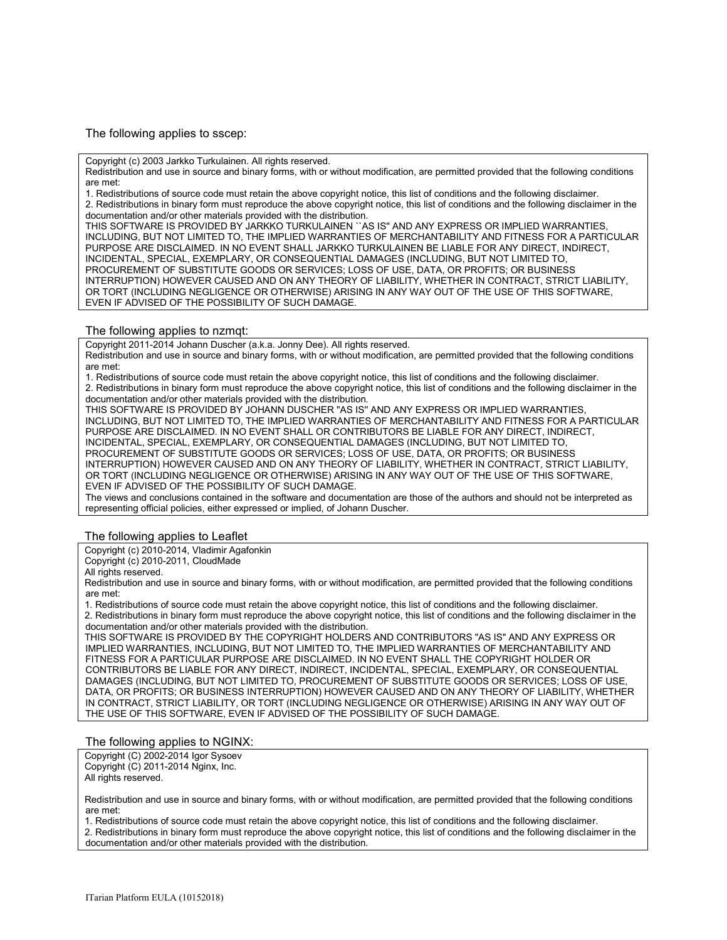The following applies to sscep:

Copyright (c) 2003 Jarkko Turkulainen. All rights reserved.

Redistribution and use in source and binary forms, with or without modification, are permitted provided that the following conditions are met:

1. Redistributions of source code must retain the above copyright notice, this list of conditions and the following disclaimer. 2. Redistributions in binary form must reproduce the above copyright notice, this list of conditions and the following disclaimer in the documentation and/or other materials provided with the distribution.

THIS SOFTWARE IS PROVIDED BY JARKKO TURKULAINEN ``AS IS'' AND ANY EXPRESS OR IMPLIED WARRANTIES, INCLUDING, BUT NOT LIMITED TO, THE IMPLIED WARRANTIES OF MERCHANTABILITY AND FITNESS FOR A PARTICULAR PURPOSE ARE DISCLAIMED. IN NO EVENT SHALL JARKKO TURKULAINEN BE LIABLE FOR ANY DIRECT, INDIRECT, INCIDENTAL, SPECIAL, EXEMPLARY, OR CONSEQUENTIAL DAMAGES (INCLUDING, BUT NOT LIMITED TO, PROCUREMENT OF SUBSTITUTE GOODS OR SERVICES; LOSS OF USE, DATA, OR PROFITS; OR BUSINESS INTERRUPTION) HOWEVER CAUSED AND ON ANY THEORY OF LIABILITY, WHETHER IN CONTRACT, STRICT LIABILITY, OR TORT (INCLUDING NEGLIGENCE OR OTHERWISE) ARISING IN ANY WAY OUT OF THE USE OF THIS SOFTWARE, EVEN IF ADVISED OF THE POSSIBILITY OF SUCH DAMAGE.

#### The following applies to nzmqt:

Copyright 2011-2014 Johann Duscher (a.k.a. Jonny Dee). All rights reserved.

Redistribution and use in source and binary forms, with or without modification, are permitted provided that the following conditions are met:

1. Redistributions of source code must retain the above copyright notice, this list of conditions and the following disclaimer. 2. Redistributions in binary form must reproduce the above copyright notice, this list of conditions and the following disclaimer in the documentation and/or other materials provided with the distribution.

THIS SOFTWARE IS PROVIDED BY JOHANN DUSCHER ''AS IS'' AND ANY EXPRESS OR IMPLIED WARRANTIES, INCLUDING, BUT NOT LIMITED TO, THE IMPLIED WARRANTIES OF MERCHANTABILITY AND FITNESS FOR A PARTICULAR PURPOSE ARE DISCLAIMED. IN NO EVENT SHALL OR CONTRIBUTORS BE LIABLE FOR ANY DIRECT, INDIRECT, INCIDENTAL, SPECIAL, EXEMPLARY, OR CONSEQUENTIAL DAMAGES (INCLUDING, BUT NOT LIMITED TO, PROCUREMENT OF SUBSTITUTE GOODS OR SERVICES; LOSS OF USE, DATA, OR PROFITS; OR BUSINESS INTERRUPTION) HOWEVER CAUSED AND ON ANY THEORY OF LIABILITY, WHETHER IN CONTRACT, STRICT LIABILITY, OR TORT (INCLUDING NEGLIGENCE OR OTHERWISE) ARISING IN ANY WAY OUT OF THE USE OF THIS SOFTWARE, EVEN IF ADVISED OF THE POSSIBILITY OF SUCH DAMAGE.

The views and conclusions contained in the software and documentation are those of the authors and should not be interpreted as representing official policies, either expressed or implied, of Johann Duscher.

#### The following applies to Leaflet

Copyright (c) 2010-2014, Vladimir Agafonkin

Copyright (c) 2010-2011, CloudMade

All rights reserved.

Redistribution and use in source and binary forms, with or without modification, are permitted provided that the following conditions are met:

1. Redistributions of source code must retain the above copyright notice, this list of conditions and the following disclaimer.

2. Redistributions in binary form must reproduce the above copyright notice, this list of conditions and the following disclaimer in the documentation and/or other materials provided with the distribution.

THIS SOFTWARE IS PROVIDED BY THE COPYRIGHT HOLDERS AND CONTRIBUTORS "AS IS" AND ANY EXPRESS OR IMPLIED WARRANTIES, INCLUDING, BUT NOT LIMITED TO, THE IMPLIED WARRANTIES OF MERCHANTABILITY AND FITNESS FOR A PARTICULAR PURPOSE ARE DISCLAIMED. IN NO EVENT SHALL THE COPYRIGHT HOLDER OR CONTRIBUTORS BE LIABLE FOR ANY DIRECT, INDIRECT, INCIDENTAL, SPECIAL, EXEMPLARY, OR CONSEQUENTIAL DAMAGES (INCLUDING, BUT NOT LIMITED TO, PROCUREMENT OF SUBSTITUTE GOODS OR SERVICES; LOSS OF USE, DATA, OR PROFITS; OR BUSINESS INTERRUPTION) HOWEVER CAUSED AND ON ANY THEORY OF LIABILITY, WHETHER IN CONTRACT, STRICT LIABILITY, OR TORT (INCLUDING NEGLIGENCE OR OTHERWISE) ARISING IN ANY WAY OUT OF THE USE OF THIS SOFTWARE, EVEN IF ADVISED OF THE POSSIBILITY OF SUCH DAMAGE.

#### The following applies to NGINX:

Copyright (C) 2002-2014 Igor Sysoev Copyright (C) 2011-2014 Nginx, Inc. All rights reserved.

Redistribution and use in source and binary forms, with or without modification, are permitted provided that the following conditions are met:

1. Redistributions of source code must retain the above copyright notice, this list of conditions and the following disclaimer.

2. Redistributions in binary form must reproduce the above copyright notice, this list of conditions and the following disclaimer in the documentation and/or other materials provided with the distribution.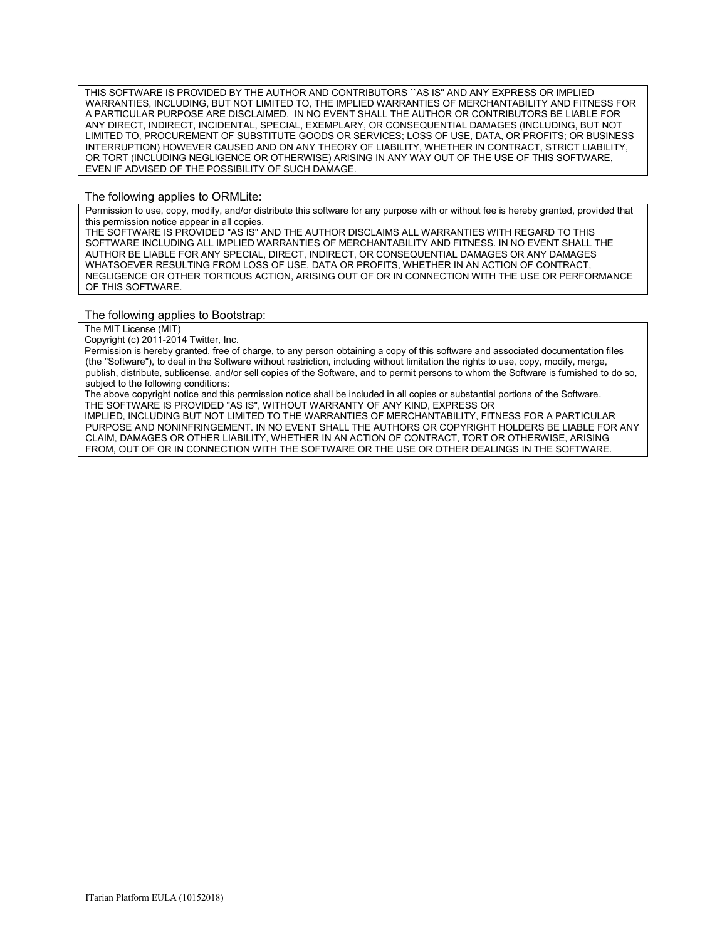THIS SOFTWARE IS PROVIDED BY THE AUTHOR AND CONTRIBUTORS "AS IS" AND ANY EXPRESS OR IMPLIED WARRANTIES, INCLUDING, BUT NOT LIMITED TO, THE IMPLIED WARRANTIES OF MERCHANTABILITY AND FITNESS FOR A PARTICULAR PURPOSE ARE DISCLAIMED. IN NO EVENT SHALL THE AUTHOR OR CONTRIBUTORS BE LIABLE FOR ANY DIRECT, INDIRECT, INCIDENTAL, SPECIAL, EXEMPLARY, OR CONSEQUENTIAL DAMAGES (INCLUDING, BUT NOT LIMITED TO, PROCUREMENT OF SUBSTITUTE GOODS OR SERVICES; LOSS OF USE, DATA, OR PROFITS; OR BUSINESS INTERRUPTION) HOWEVER CAUSED AND ON ANY THEORY OF LIABILITY, WHETHER IN CONTRACT, STRICT LIABILITY, OR TORT (INCLUDING NEGLIGENCE OR OTHERWISE) ARISING IN ANY WAY OUT OF THE USE OF THIS SOFTWARE, EVEN IF ADVISED OF THE POSSIBILITY OF SUCH DAMAGE.

#### The following applies to ORMLite:

Permission to use, copy, modify, and/or distribute this software for any purpose with or without fee is hereby granted, provided that this permission notice appear in all copies.

THE SOFTWARE IS PROVIDED "AS IS" AND THE AUTHOR DISCLAIMS ALL WARRANTIES WITH REGARD TO THIS SOFTWARE INCLUDING ALL IMPLIED WARRANTIES OF MERCHANTABILITY AND FITNESS. IN NO EVENT SHALL THE AUTHOR BE LIABLE FOR ANY SPECIAL, DIRECT, INDIRECT, OR CONSEQUENTIAL DAMAGES OR ANY DAMAGES WHATSOEVER RESULTING FROM LOSS OF USE, DATA OR PROFITS, WHETHER IN AN ACTION OF CONTRACT, NEGLIGENCE OR OTHER TORTIOUS ACTION, ARISING OUT OF OR IN CONNECTION WITH THE USE OR PERFORMANCE OF THIS SOFTWARE.

#### The following applies to Bootstrap:

The MIT License (MIT)

Copyright (c) 2011-2014 Twitter, Inc.

Permission is hereby granted, free of charge, to any person obtaining a copy of this software and associated documentation files (the "Software"), to deal in the Software without restriction, including without limitation the rights to use, copy, modify, merge, publish, distribute, sublicense, and/or sell copies of the Software, and to permit persons to whom the Software is furnished to do so, subject to the following conditions:

The above copyright notice and this permission notice shall be included in all copies or substantial portions of the Software. THE SOFTWARE IS PROVIDED "AS IS", WITHOUT WARRANTY OF ANY KIND, EXPRESS OR

IMPLIED, INCLUDING BUT NOT LIMITED TO THE WARRANTIES OF MERCHANTABILITY, FITNESS FOR A PARTICULAR PURPOSE AND NONINFRINGEMENT. IN NO EVENT SHALL THE AUTHORS OR COPYRIGHT HOLDERS BE LIABLE FOR ANY CLAIM, DAMAGES OR OTHER LIABILITY, WHETHER IN AN ACTION OF CONTRACT, TORT OR OTHERWISE, ARISING FROM, OUT OF OR IN CONNECTION WITH THE SOFTWARE OR THE USE OR OTHER DEALINGS IN THE SOFTWARE.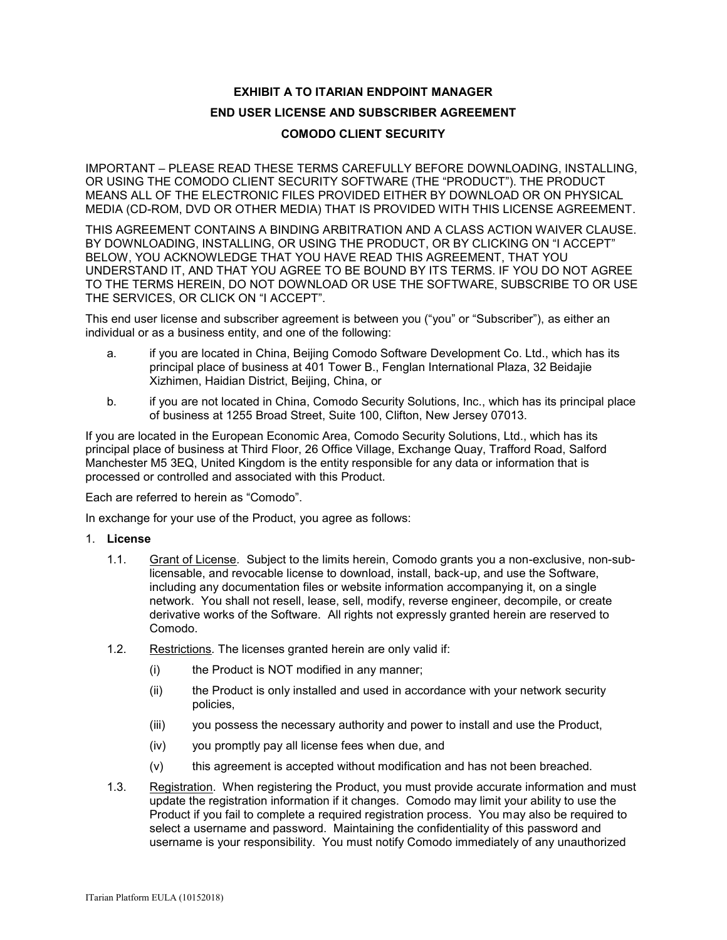# **EXHIBIT A TO ITARIAN ENDPOINT MANAGER**

# **END USER LICENSE AND SUBSCRIBER AGREEMENT**

### **COMODO CLIENT SECURITY**

IMPORTANT – PLEASE READ THESE TERMS CAREFULLY BEFORE DOWNLOADING, INSTALLING, OR USING THE COMODO CLIENT SECURITY SOFTWARE (THE "PRODUCT"). THE PRODUCT MEANS ALL OF THE ELECTRONIC FILES PROVIDED EITHER BY DOWNLOAD OR ON PHYSICAL MEDIA (CD-ROM, DVD OR OTHER MEDIA) THAT IS PROVIDED WITH THIS LICENSE AGREEMENT.

THIS AGREEMENT CONTAINS A BINDING ARBITRATION AND A CLASS ACTION WAIVER CLAUSE. BY DOWNLOADING, INSTALLING, OR USING THE PRODUCT, OR BY CLICKING ON "I ACCEPT" BELOW, YOU ACKNOWLEDGE THAT YOU HAVE READ THIS AGREEMENT, THAT YOU UNDERSTAND IT, AND THAT YOU AGREE TO BE BOUND BY ITS TERMS. IF YOU DO NOT AGREE TO THE TERMS HEREIN, DO NOT DOWNLOAD OR USE THE SOFTWARE, SUBSCRIBE TO OR USE THE SERVICES, OR CLICK ON "I ACCEPT".

This end user license and subscriber agreement is between you ("you" or "Subscriber"), as either an individual or as a business entity, and one of the following:

- a. if you are located in China, Beijing Comodo Software Development Co. Ltd., which has its principal place of business at 401 Tower B., Fenglan International Plaza, 32 Beidajie Xizhimen, Haidian District, Beijing, China, or
- b. if you are not located in China, Comodo Security Solutions, Inc., which has its principal place of business at 1255 Broad Street, Suite 100, Clifton, New Jersey 07013.

If you are located in the European Economic Area, Comodo Security Solutions, Ltd., which has its principal place of business at Third Floor, 26 Office Village, Exchange Quay, Trafford Road, Salford Manchester M5 3EQ, United Kingdom is the entity responsible for any data or information that is processed or controlled and associated with this Product.

Each are referred to herein as "Comodo".

In exchange for your use of the Product, you agree as follows:

- 1. **License**
	- 1.1. Grant of License*.* Subject to the limits herein, Comodo grants you a non-exclusive, non-sublicensable, and revocable license to download, install, back-up, and use the Software, including any documentation files or website information accompanying it, on a single network. You shall not resell, lease, sell, modify, reverse engineer, decompile, or create derivative works of the Software. All rights not expressly granted herein are reserved to Comodo.
	- 1.2. Restrictions*.* The licenses granted herein are only valid if:
		- (i) the Product is NOT modified in any manner;
		- (ii) the Product is only installed and used in accordance with your network security policies,
		- (iii) you possess the necessary authority and power to install and use the Product,
		- (iv) you promptly pay all license fees when due, and
		- (v) this agreement is accepted without modification and has not been breached.
	- 1.3. Registration. When registering the Product, you must provide accurate information and must update the registration information if it changes. Comodo may limit your ability to use the Product if you fail to complete a required registration process. You may also be required to select a username and password. Maintaining the confidentiality of this password and username is your responsibility. You must notify Comodo immediately of any unauthorized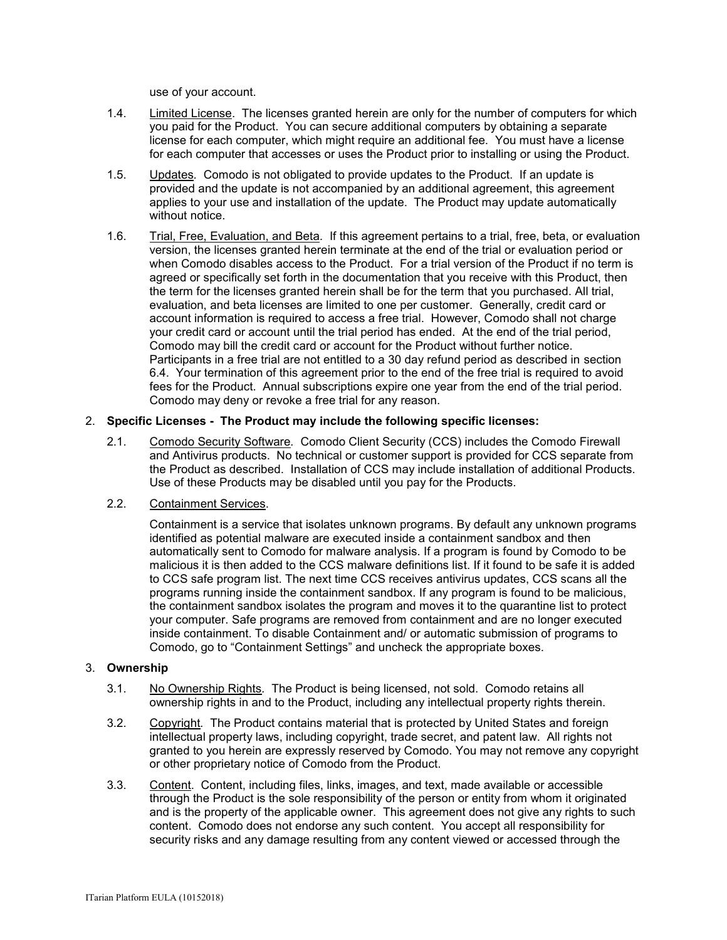use of your account.

- 1.4. Limited License. The licenses granted herein are only for the number of computers for which you paid for the Product. You can secure additional computers by obtaining a separate license for each computer, which might require an additional fee. You must have a license for each computer that accesses or uses the Product prior to installing or using the Product.
- 1.5. Updates*.* Comodo is not obligated to provide updates to the Product. If an update is provided and the update is not accompanied by an additional agreement, this agreement applies to your use and installation of the update. The Product may update automatically without notice.
- 1.6. Trial, Free, Evaluation, and Beta*.* If this agreement pertains to a trial, free, beta, or evaluation version, the licenses granted herein terminate at the end of the trial or evaluation period or when Comodo disables access to the Product. For a trial version of the Product if no term is agreed or specifically set forth in the documentation that you receive with this Product, then the term for the licenses granted herein shall be for the term that you purchased. All trial, evaluation, and beta licenses are limited to one per customer. Generally, credit card or account information is required to access a free trial. However, Comodo shall not charge your credit card or account until the trial period has ended. At the end of the trial period, Comodo may bill the credit card or account for the Product without further notice. Participants in a free trial are not entitled to a 30 day refund period as described in section 6.4. Your termination of this agreement prior to the end of the free trial is required to avoid fees for the Product. Annual subscriptions expire one year from the end of the trial period. Comodo may deny or revoke a free trial for any reason.

### 2. **Specific Licenses - The Product may include the following specific licenses:**

2.1. Comodo Security Software*.* Comodo Client Security (CCS) includes the Comodo Firewall and Antivirus products. No technical or customer support is provided for CCS separate from the Product as described. Installation of CCS may include installation of additional Products. Use of these Products may be disabled until you pay for the Products.

# 2.2. Containment Services.

Containment is a service that isolates unknown programs. By default any unknown programs identified as potential malware are executed inside a containment sandbox and then automatically sent to Comodo for malware analysis. If a program is found by Comodo to be malicious it is then added to the CCS malware definitions list. If it found to be safe it is added to CCS safe program list. The next time CCS receives antivirus updates, CCS scans all the programs running inside the containment sandbox. If any program is found to be malicious, the containment sandbox isolates the program and moves it to the quarantine list to protect your computer. Safe programs are removed from containment and are no longer executed inside containment. To disable Containment and/ or automatic submission of programs to Comodo, go to "Containment Settings" and uncheck the appropriate boxes.

### 3. **Ownership**

- 3.1. No Ownership Rights*.* The Product is being licensed, not sold. Comodo retains all ownership rights in and to the Product, including any intellectual property rights therein.
- 3.2. Copyright*.* The Product contains material that is protected by United States and foreign intellectual property laws, including copyright, trade secret, and patent law. All rights not granted to you herein are expressly reserved by Comodo. You may not remove any copyright or other proprietary notice of Comodo from the Product.
- 3.3. Content. Content, including files, links, images, and text, made available or accessible through the Product is the sole responsibility of the person or entity from whom it originated and is the property of the applicable owner. This agreement does not give any rights to such content. Comodo does not endorse any such content. You accept all responsibility for security risks and any damage resulting from any content viewed or accessed through the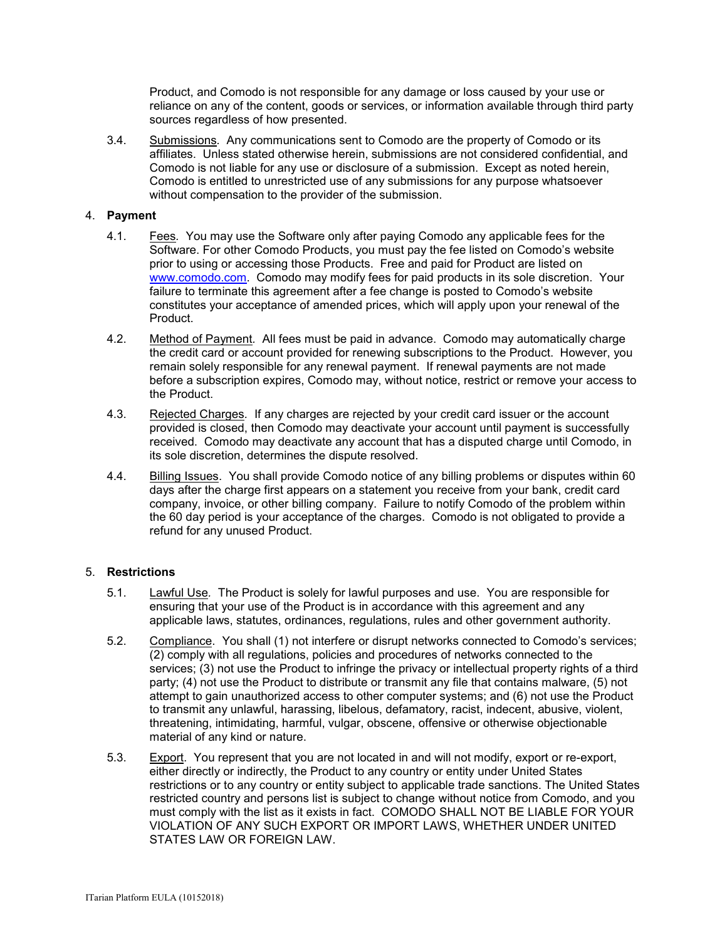Product, and Comodo is not responsible for any damage or loss caused by your use or reliance on any of the content, goods or services, or information available through third party sources regardless of how presented.

3.4. Submissions*.* Any communications sent to Comodo are the property of Comodo or its affiliates. Unless stated otherwise herein, submissions are not considered confidential, and Comodo is not liable for any use or disclosure of a submission. Except as noted herein, Comodo is entitled to unrestricted use of any submissions for any purpose whatsoever without compensation to the provider of the submission.

### 4. **Payment**

- 4.1. Fees*.* You may use the Software only after paying Comodo any applicable fees for the Software. For other Comodo Products, you must pay the fee listed on Comodo's website prior to using or accessing those Products. Free and paid for Product are listed on [www.comodo.com.](http://www.comodo.com/) Comodo may modify fees for paid products in its sole discretion. Your failure to terminate this agreement after a fee change is posted to Comodo's website constitutes your acceptance of amended prices, which will apply upon your renewal of the Product.
- 4.2. Method of Payment*.* All fees must be paid in advance. Comodo may automatically charge the credit card or account provided for renewing subscriptions to the Product. However, you remain solely responsible for any renewal payment. If renewal payments are not made before a subscription expires, Comodo may, without notice, restrict or remove your access to the Product.
- 4.3. Rejected Charges*.* If any charges are rejected by your credit card issuer or the account provided is closed, then Comodo may deactivate your account until payment is successfully received. Comodo may deactivate any account that has a disputed charge until Comodo, in its sole discretion, determines the dispute resolved.
- 4.4. Billing Issues. You shall provide Comodo notice of any billing problems or disputes within 60 days after the charge first appears on a statement you receive from your bank, credit card company, invoice, or other billing company. Failure to notify Comodo of the problem within the 60 day period is your acceptance of the charges. Comodo is not obligated to provide a refund for any unused Product.

# 5. **Restrictions**

- 5.1. Lawful Use*.* The Product is solely for lawful purposes and use. You are responsible for ensuring that your use of the Product is in accordance with this agreement and any applicable laws, statutes, ordinances, regulations, rules and other government authority.
- 5.2. Compliance. You shall (1) not interfere or disrupt networks connected to Comodo's services; (2) comply with all regulations, policies and procedures of networks connected to the services; (3) not use the Product to infringe the privacy or intellectual property rights of a third party; (4) not use the Product to distribute or transmit any file that contains malware, (5) not attempt to gain unauthorized access to other computer systems; and (6) not use the Product to transmit any unlawful, harassing, libelous, defamatory, racist, indecent, abusive, violent, threatening, intimidating, harmful, vulgar, obscene, offensive or otherwise objectionable material of any kind or nature.
- 5.3. Export. You represent that you are not located in and will not modify, export or re-export, either directly or indirectly, the Product to any country or entity under United States restrictions or to any country or entity subject to applicable trade sanctions. The United States restricted country and persons list is subject to change without notice from Comodo, and you must comply with the list as it exists in fact. COMODO SHALL NOT BE LIABLE FOR YOUR VIOLATION OF ANY SUCH EXPORT OR IMPORT LAWS, WHETHER UNDER UNITED STATES LAW OR FOREIGN LAW.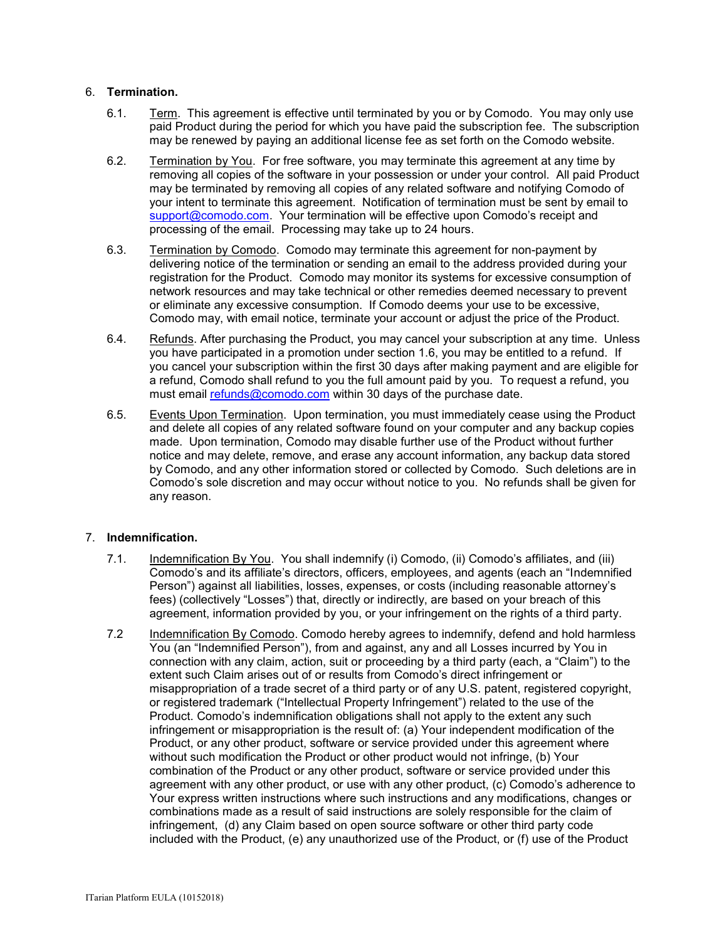### 6. **Termination.**

- 6.1. Term.This agreement is effective until terminated by you or by Comodo. You may only use paid Product during the period for which you have paid the subscription fee. The subscription may be renewed by paying an additional license fee as set forth on the Comodo website.
- 6.2. Termination by You. For free software, you may terminate this agreement at any time by removing all copies of the software in your possession or under your control. All paid Product may be terminated by removing all copies of any related software and notifying Comodo of your intent to terminate this agreement. Notification of termination must be sent by email to [support@comodo.com](mailto:support@comodo.com). Your termination will be effective upon Comodo's receipt and processing of the email. Processing may take up to 24 hours.
- 6.3. Termination by Comodo. Comodo may terminate this agreement for non-payment by delivering notice of the termination or sending an email to the address provided during your registration for the Product. Comodo may monitor its systems for excessive consumption of network resources and may take technical or other remedies deemed necessary to prevent or eliminate any excessive consumption. If Comodo deems your use to be excessive, Comodo may, with email notice, terminate your account or adjust the price of the Product.
- 6.4. Refunds. After purchasing the Product, you may cancel your subscription at any time. Unless you have participated in a promotion under section 1.6, you may be entitled to a refund. If you cancel your subscription within the first 30 days after making payment and are eligible for a refund, Comodo shall refund to you the full amount paid by you. To request a refund, you must email [refunds@comodo.com](mailto:refunds@comodo.com) within 30 days of the purchase date.
- 6.5. Events Upon Termination. Upon termination, you must immediately cease using the Product and delete all copies of any related software found on your computer and any backup copies made. Upon termination, Comodo may disable further use of the Product without further notice and may delete, remove, and erase any account information, any backup data stored by Comodo, and any other information stored or collected by Comodo. Such deletions are in Comodo's sole discretion and may occur without notice to you. No refunds shall be given for any reason.

# 7. **Indemnification.**

- 7.1. Indemnification By You. You shall indemnify (i) Comodo, (ii) Comodo's affiliates, and (iii) Comodo's and its affiliate's directors, officers, employees, and agents (each an "Indemnified Person") against all liabilities, losses, expenses, or costs (including reasonable attorney's fees) (collectively "Losses") that, directly or indirectly, are based on your breach of this agreement, information provided by you, or your infringement on the rights of a third party.
- 7.2 Indemnification By Comodo. Comodo hereby agrees to indemnify, defend and hold harmless You (an "Indemnified Person"), from and against, any and all Losses incurred by You in connection with any claim, action, suit or proceeding by a third party (each, a "Claim") to the extent such Claim arises out of or results from Comodo's direct infringement or misappropriation of a trade secret of a third party or of any U.S. patent, registered copyright, or registered trademark ("Intellectual Property Infringement") related to the use of the Product. Comodo's indemnification obligations shall not apply to the extent any such infringement or misappropriation is the result of: (a) Your independent modification of the Product, or any other product, software or service provided under this agreement where without such modification the Product or other product would not infringe, (b) Your combination of the Product or any other product, software or service provided under this agreement with any other product, or use with any other product, (c) Comodo's adherence to Your express written instructions where such instructions and any modifications, changes or combinations made as a result of said instructions are solely responsible for the claim of infringement, (d) any Claim based on open source software or other third party code included with the Product, (e) any unauthorized use of the Product, or (f) use of the Product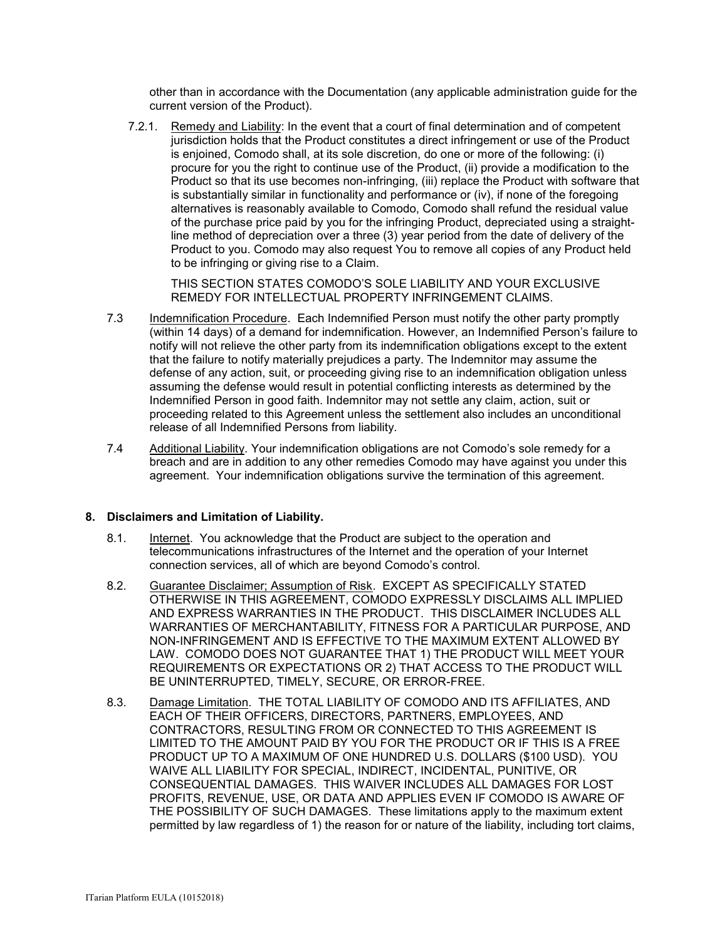other than in accordance with the Documentation (any applicable administration guide for the current version of the Product).

7.2.1. Remedy and Liability: In the event that a court of final determination and of competent jurisdiction holds that the Product constitutes a direct infringement or use of the Product is enjoined, Comodo shall, at its sole discretion, do one or more of the following: (i) procure for you the right to continue use of the Product, (ii) provide a modification to the Product so that its use becomes non-infringing, (iii) replace the Product with software that is substantially similar in functionality and performance or (iv), if none of the foregoing alternatives is reasonably available to Comodo, Comodo shall refund the residual value of the purchase price paid by you for the infringing Product, depreciated using a straightline method of depreciation over a three (3) year period from the date of delivery of the Product to you. Comodo may also request You to remove all copies of any Product held to be infringing or giving rise to a Claim.

THIS SECTION STATES COMODO'S SOLE LIABILITY AND YOUR EXCLUSIVE REMEDY FOR INTELLECTUAL PROPERTY INFRINGEMENT CLAIMS.

- 7.3 Indemnification Procedure. Each Indemnified Person must notify the other party promptly (within 14 days) of a demand for indemnification. However, an Indemnified Person's failure to notify will not relieve the other party from its indemnification obligations except to the extent that the failure to notify materially prejudices a party. The Indemnitor may assume the defense of any action, suit, or proceeding giving rise to an indemnification obligation unless assuming the defense would result in potential conflicting interests as determined by the Indemnified Person in good faith. Indemnitor may not settle any claim, action, suit or proceeding related to this Agreement unless the settlement also includes an unconditional release of all Indemnified Persons from liability.
- 7.4 Additional Liability. Your indemnification obligations are not Comodo's sole remedy for a breach and are in addition to any other remedies Comodo may have against you under this agreement. Your indemnification obligations survive the termination of this agreement.

### **8. Disclaimers and Limitation of Liability.**

- 8.1. Internet. You acknowledge that the Product are subject to the operation and telecommunications infrastructures of the Internet and the operation of your Internet connection services, all of which are beyond Comodo's control.
- 8.2. Guarantee Disclaimer; Assumption of Risk. EXCEPT AS SPECIFICALLY STATED OTHERWISE IN THIS AGREEMENT, COMODO EXPRESSLY DISCLAIMS ALL IMPLIED AND EXPRESS WARRANTIES IN THE PRODUCT. THIS DISCLAIMER INCLUDES ALL WARRANTIES OF MERCHANTABILITY, FITNESS FOR A PARTICULAR PURPOSE, AND NON-INFRINGEMENT AND IS EFFECTIVE TO THE MAXIMUM EXTENT ALLOWED BY LAW. COMODO DOES NOT GUARANTEE THAT 1) THE PRODUCT WILL MEET YOUR REQUIREMENTS OR EXPECTATIONS OR 2) THAT ACCESS TO THE PRODUCT WILL BE UNINTERRUPTED, TIMELY, SECURE, OR ERROR-FREE.
- 8.3. Damage Limitation. THE TOTAL LIABILITY OF COMODO AND ITS AFFILIATES, AND EACH OF THEIR OFFICERS, DIRECTORS, PARTNERS, EMPLOYEES, AND CONTRACTORS, RESULTING FROM OR CONNECTED TO THIS AGREEMENT IS LIMITED TO THE AMOUNT PAID BY YOU FOR THE PRODUCT OR IF THIS IS A FREE PRODUCT UP TO A MAXIMUM OF ONE HUNDRED U.S. DOLLARS (\$100 USD). YOU WAIVE ALL LIABILITY FOR SPECIAL, INDIRECT, INCIDENTAL, PUNITIVE, OR CONSEQUENTIAL DAMAGES. THIS WAIVER INCLUDES ALL DAMAGES FOR LOST PROFITS, REVENUE, USE, OR DATA AND APPLIES EVEN IF COMODO IS AWARE OF THE POSSIBILITY OF SUCH DAMAGES. These limitations apply to the maximum extent permitted by law regardless of 1) the reason for or nature of the liability, including tort claims,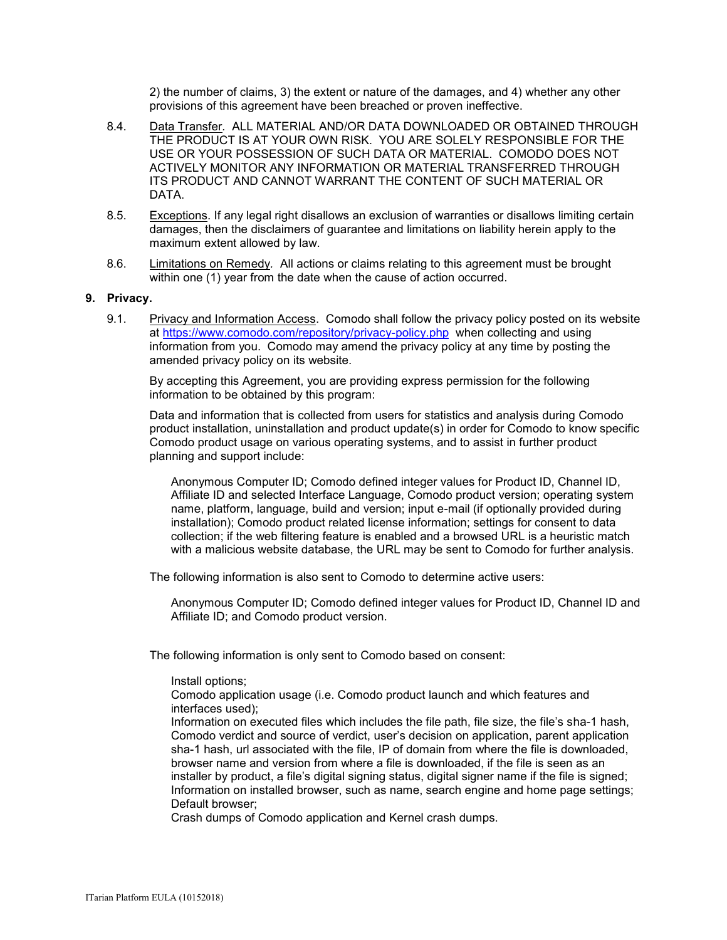2) the number of claims, 3) the extent or nature of the damages, and 4) whether any other provisions of this agreement have been breached or proven ineffective.

- 8.4. Data Transfer*.* ALL MATERIAL AND/OR DATA DOWNLOADED OR OBTAINED THROUGH THE PRODUCT IS AT YOUR OWN RISK. YOU ARE SOLELY RESPONSIBLE FOR THE USE OR YOUR POSSESSION OF SUCH DATA OR MATERIAL. COMODO DOES NOT ACTIVELY MONITOR ANY INFORMATION OR MATERIAL TRANSFERRED THROUGH ITS PRODUCT AND CANNOT WARRANT THE CONTENT OF SUCH MATERIAL OR DATA.
- 8.5. Exceptions. If any legal right disallows an exclusion of warranties or disallows limiting certain damages, then the disclaimers of guarantee and limitations on liability herein apply to the maximum extent allowed by law.
- 8.6. Limitations on Remedy*.* All actions or claims relating to this agreement must be brought within one (1) year from the date when the cause of action occurred.

#### **9. Privacy.**

9.1. Privacy and Information Access. Comodo shall follow the privacy policy posted on its website at<https://www.comodo.com/repository/privacy-policy.php>when collecting and using information from you. Comodo may amend the privacy policy at any time by posting the amended privacy policy on its website.

By accepting this Agreement, you are providing express permission for the following information to be obtained by this program:

Data and information that is collected from users for statistics and analysis during Comodo product installation, uninstallation and product update(s) in order for Comodo to know specific Comodo product usage on various operating systems, and to assist in further product planning and support include:

Anonymous Computer ID; Comodo defined integer values for Product ID, Channel ID, Affiliate ID and selected Interface Language, Comodo product version; operating system name, platform, language, build and version; input e-mail (if optionally provided during installation); Comodo product related license information; settings for consent to data collection; if the web filtering feature is enabled and a browsed URL is a heuristic match with a malicious website database, the URL may be sent to Comodo for further analysis.

The following information is also sent to Comodo to determine active users:

Anonymous Computer ID; Comodo defined integer values for Product ID, Channel ID and Affiliate ID; and Comodo product version.

The following information is only sent to Comodo based on consent:

Install options;

Comodo application usage (i.e. Comodo product launch and which features and interfaces used);

Information on executed files which includes the file path, file size, the file's sha-1 hash, Comodo verdict and source of verdict, user's decision on application, parent application sha-1 hash, url associated with the file, IP of domain from where the file is downloaded, browser name and version from where a file is downloaded, if the file is seen as an installer by product, a file's digital signing status, digital signer name if the file is signed; Information on installed browser, such as name, search engine and home page settings; Default browser;

Crash dumps of Comodo application and Kernel crash dumps.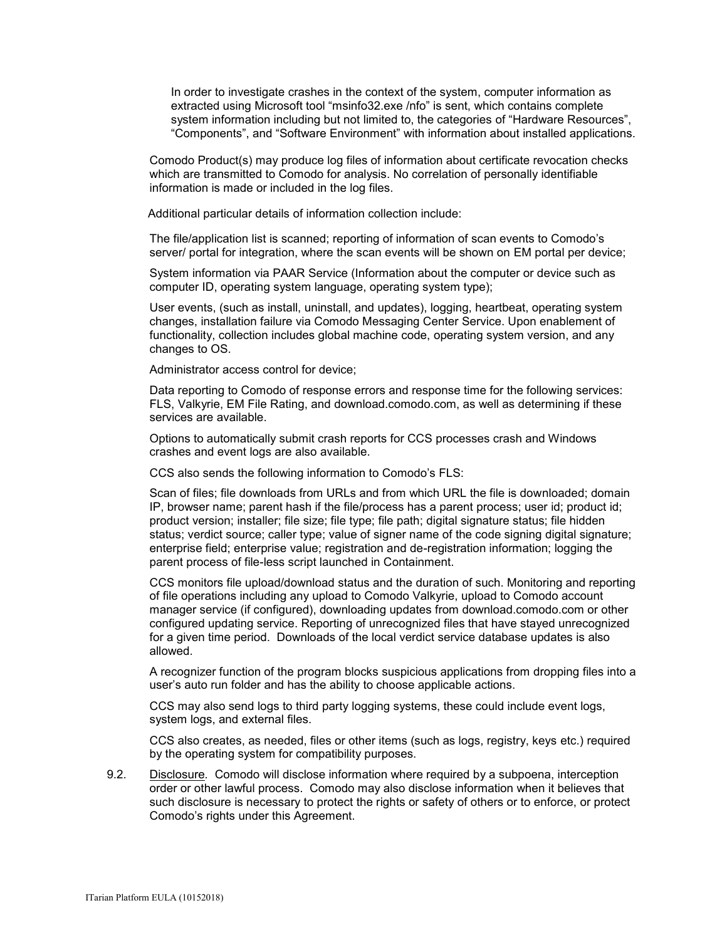In order to investigate crashes in the context of the system, computer information as extracted using Microsoft tool "msinfo32.exe /nfo" is sent, which contains complete system information including but not limited to, the categories of "Hardware Resources", "Components", and "Software Environment" with information about installed applications.

Comodo Product(s) may produce log files of information about certificate revocation checks which are transmitted to Comodo for analysis. No correlation of personally identifiable information is made or included in the log files.

Additional particular details of information collection include:

The file/application list is scanned; reporting of information of scan events to Comodo's server/ portal for integration, where the scan events will be shown on EM portal per device;

System information via PAAR Service (Information about the computer or device such as computer ID, operating system language, operating system type);

User events, (such as install, uninstall, and updates), logging, heartbeat, operating system changes, installation failure via Comodo Messaging Center Service. Upon enablement of functionality, collection includes global machine code, operating system version, and any changes to OS.

Administrator access control for device;

Data reporting to Comodo of response errors and response time for the following services: FLS, Valkyrie, EM File Rating, and download.comodo.com, as well as determining if these services are available.

Options to automatically submit crash reports for CCS processes crash and Windows crashes and event logs are also available.

CCS also sends the following information to Comodo's FLS:

Scan of files; file downloads from URLs and from which URL the file is downloaded; domain IP, browser name; parent hash if the file/process has a parent process; user id; product id; product version; installer; file size; file type; file path; digital signature status; file hidden status; verdict source; caller type; value of signer name of the code signing digital signature; enterprise field; enterprise value; registration and de-registration information; logging the parent process of file-less script launched in Containment.

CCS monitors file upload/download status and the duration of such. Monitoring and reporting of file operations including any upload to Comodo Valkyrie, upload to Comodo account manager service (if configured), downloading updates from download.comodo.com or other configured updating service. Reporting of unrecognized files that have stayed unrecognized for a given time period. Downloads of the local verdict service database updates is also allowed.

A recognizer function of the program blocks suspicious applications from dropping files into a user's auto run folder and has the ability to choose applicable actions.

CCS may also send logs to third party logging systems, these could include event logs, system logs, and external files.

CCS also creates, as needed, files or other items (such as logs, registry, keys etc.) required by the operating system for compatibility purposes.

9.2. Disclosure*.* Comodo will disclose information where required by a subpoena, interception order or other lawful process. Comodo may also disclose information when it believes that such disclosure is necessary to protect the rights or safety of others or to enforce, or protect Comodo's rights under this Agreement.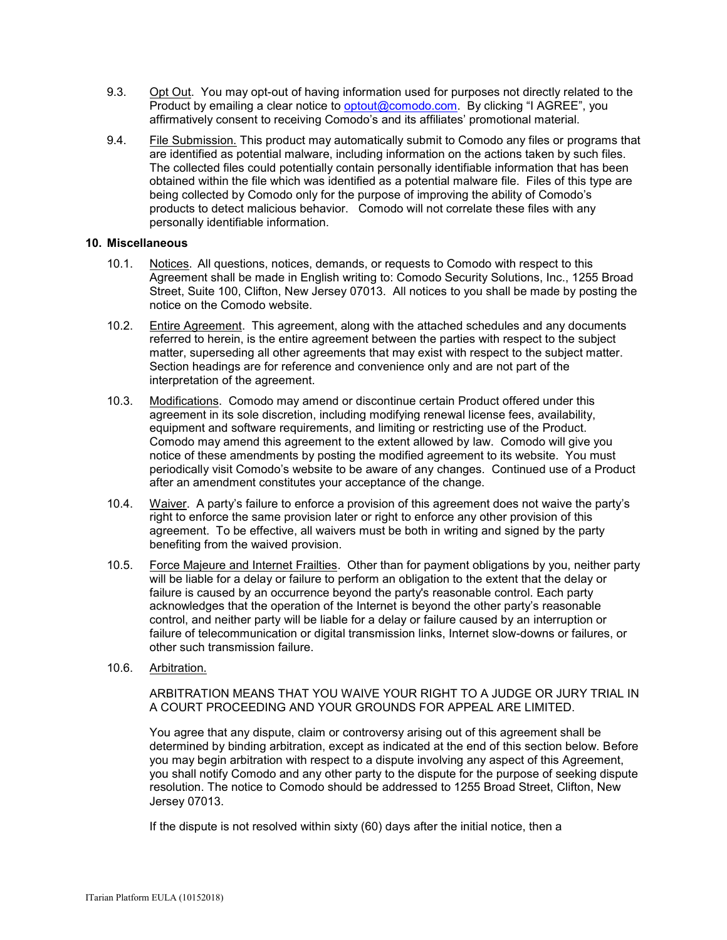- 9.3. Opt Out. You may opt-out of having information used for purposes not directly related to the Product by emailing a clear notice to [optout@comodo.com.](mailto:optout@comodo.com) By clicking "I AGREE", you affirmatively consent to receiving Comodo's and its affiliates' promotional material.
- 9.4. File Submission. This product may automatically submit to Comodo any files or programs that are identified as potential malware, including information on the actions taken by such files. The collected files could potentially contain personally identifiable information that has been obtained within the file which was identified as a potential malware file. Files of this type are being collected by Comodo only for the purpose of improving the ability of Comodo's products to detect malicious behavior. Comodo will not correlate these files with any personally identifiable information.

### **10. Miscellaneous**

- 10.1. Notices. All questions, notices, demands, or requests to Comodo with respect to this Agreement shall be made in English writing to: Comodo Security Solutions, Inc., 1255 Broad Street, Suite 100, Clifton, New Jersey 07013. All notices to you shall be made by posting the notice on the Comodo website.
- 10.2. Entire Agreement. This agreement, along with the attached schedules and any documents referred to herein, is the entire agreement between the parties with respect to the subject matter, superseding all other agreements that may exist with respect to the subject matter. Section headings are for reference and convenience only and are not part of the interpretation of the agreement.
- 10.3. Modifications. Comodo may amend or discontinue certain Product offered under this agreement in its sole discretion, including modifying renewal license fees, availability, equipment and software requirements, and limiting or restricting use of the Product. Comodo may amend this agreement to the extent allowed by law. Comodo will give you notice of these amendments by posting the modified agreement to its website. You must periodically visit Comodo's website to be aware of any changes. Continued use of a Product after an amendment constitutes your acceptance of the change.
- 10.4. Waiver. A party's failure to enforce a provision of this agreement does not waive the party's right to enforce the same provision later or right to enforce any other provision of this agreement. To be effective, all waivers must be both in writing and signed by the party benefiting from the waived provision.
- 10.5. Force Majeure and Internet Frailties. Other than for payment obligations by you, neither party will be liable for a delay or failure to perform an obligation to the extent that the delay or failure is caused by an occurrence beyond the party's reasonable control. Each party acknowledges that the operation of the Internet is beyond the other party's reasonable control, and neither party will be liable for a delay or failure caused by an interruption or failure of telecommunication or digital transmission links, Internet slow-downs or failures, or other such transmission failure.
- 10.6. Arbitration.

ARBITRATION MEANS THAT YOU WAIVE YOUR RIGHT TO A JUDGE OR JURY TRIAL IN A COURT PROCEEDING AND YOUR GROUNDS FOR APPEAL ARE LIMITED.

You agree that any dispute, claim or controversy arising out of this agreement shall be determined by binding arbitration, except as indicated at the end of this section below. Before you may begin arbitration with respect to a dispute involving any aspect of this Agreement, you shall notify Comodo and any other party to the dispute for the purpose of seeking dispute resolution. The notice to Comodo should be addressed to 1255 Broad Street, Clifton, New Jersey 07013.

If the dispute is not resolved within sixty (60) days after the initial notice, then a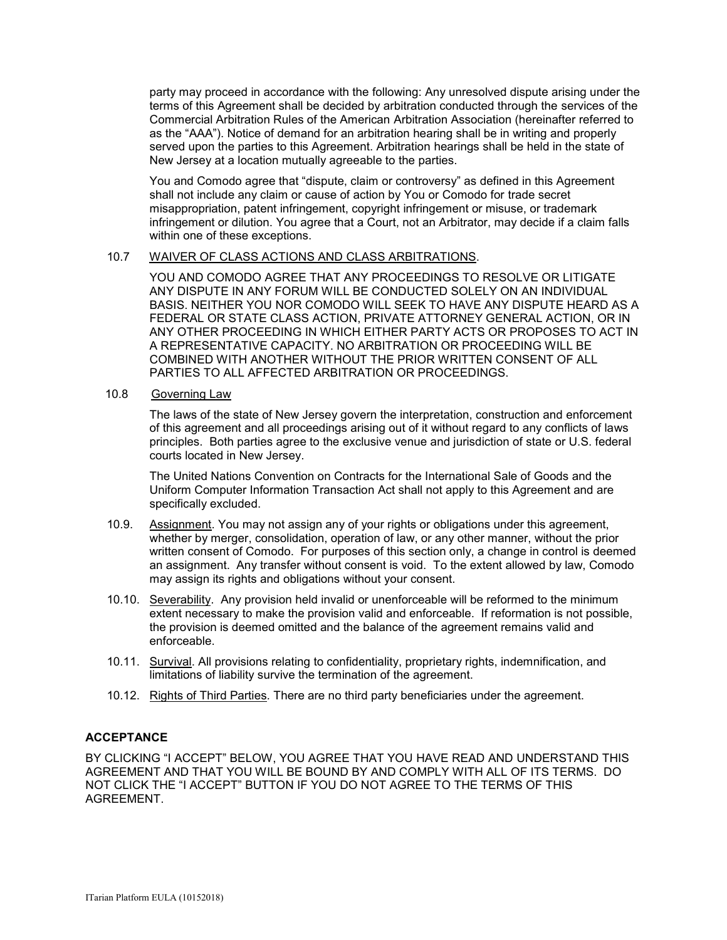party may proceed in accordance with the following: Any unresolved dispute arising under the terms of this Agreement shall be decided by arbitration conducted through the services of the Commercial Arbitration Rules of the American Arbitration Association (hereinafter referred to as the "AAA"). Notice of demand for an arbitration hearing shall be in writing and properly served upon the parties to this Agreement. Arbitration hearings shall be held in the state of New Jersey at a location mutually agreeable to the parties.

You and Comodo agree that "dispute, claim or controversy" as defined in this Agreement shall not include any claim or cause of action by You or Comodo for trade secret misappropriation, patent infringement, copyright infringement or misuse, or trademark infringement or dilution. You agree that a Court, not an Arbitrator, may decide if a claim falls within one of these exceptions.

### 10.7 WAIVER OF CLASS ACTIONS AND CLASS ARBITRATIONS.

YOU AND COMODO AGREE THAT ANY PROCEEDINGS TO RESOLVE OR LITIGATE ANY DISPUTE IN ANY FORUM WILL BE CONDUCTED SOLELY ON AN INDIVIDUAL BASIS. NEITHER YOU NOR COMODO WILL SEEK TO HAVE ANY DISPUTE HEARD AS A FEDERAL OR STATE CLASS ACTION, PRIVATE ATTORNEY GENERAL ACTION, OR IN ANY OTHER PROCEEDING IN WHICH EITHER PARTY ACTS OR PROPOSES TO ACT IN A REPRESENTATIVE CAPACITY. NO ARBITRATION OR PROCEEDING WILL BE COMBINED WITH ANOTHER WITHOUT THE PRIOR WRITTEN CONSENT OF ALL PARTIES TO ALL AFFECTED ARBITRATION OR PROCEEDINGS.

### 10.8 Governing Law

The laws of the state of New Jersey govern the interpretation, construction and enforcement of this agreement and all proceedings arising out of it without regard to any conflicts of laws principles. Both parties agree to the exclusive venue and jurisdiction of state or U.S. federal courts located in New Jersey.

The United Nations Convention on Contracts for the International Sale of Goods and the Uniform Computer Information Transaction Act shall not apply to this Agreement and are specifically excluded.

- 10.9. Assignment. You may not assign any of your rights or obligations under this agreement, whether by merger, consolidation, operation of law, or any other manner, without the prior written consent of Comodo. For purposes of this section only, a change in control is deemed an assignment. Any transfer without consent is void. To the extent allowed by law, Comodo may assign its rights and obligations without your consent.
- 10.10. Severability. Any provision held invalid or unenforceable will be reformed to the minimum extent necessary to make the provision valid and enforceable. If reformation is not possible, the provision is deemed omitted and the balance of the agreement remains valid and enforceable.
- 10.11. Survival. All provisions relating to confidentiality, proprietary rights, indemnification, and limitations of liability survive the termination of the agreement.
- 10.12. Rights of Third Parties*.* There are no third party beneficiaries under the agreement.

# **ACCEPTANCE**

BY CLICKING "I ACCEPT" BELOW, YOU AGREE THAT YOU HAVE READ AND UNDERSTAND THIS AGREEMENT AND THAT YOU WILL BE BOUND BY AND COMPLY WITH ALL OF ITS TERMS. DO NOT CLICK THE "I ACCEPT" BUTTON IF YOU DO NOT AGREE TO THE TERMS OF THIS AGREEMENT.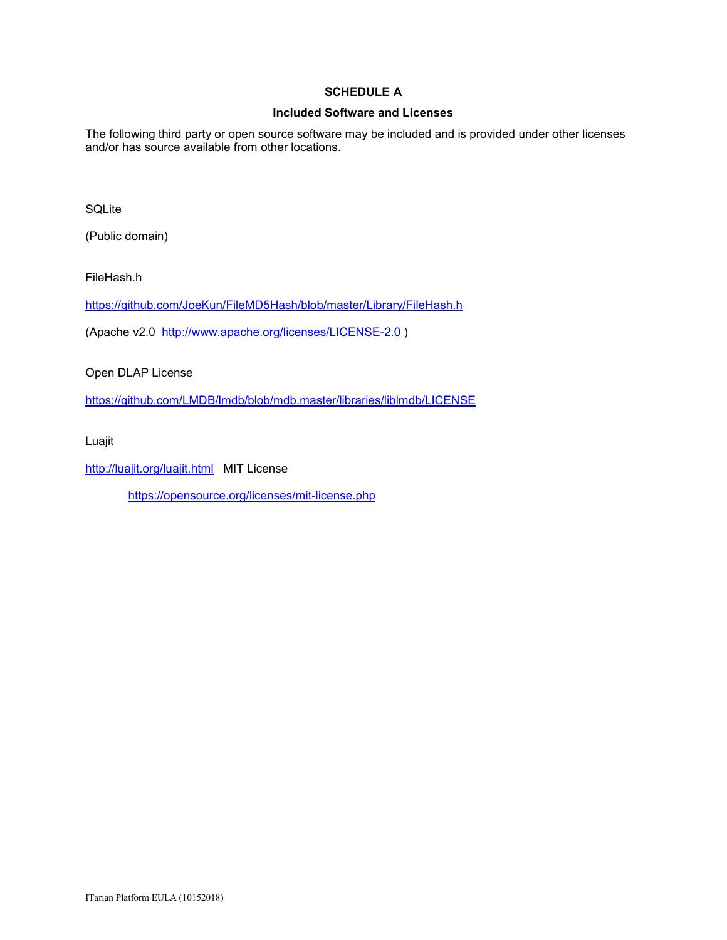# **SCHEDULE A**

### **Included Software and Licenses**

The following third party or open source software may be included and is provided under other licenses and/or has source available from other locations.

SQLite

(Public domain)

FileHash.h

<https://github.com/JoeKun/FileMD5Hash/blob/master/Library/FileHash.h>

(Apache v2.0 <http://www.apache.org/licenses/LICENSE-2.0> )

Open DLAP License

<https://github.com/LMDB/lmdb/blob/mdb.master/libraries/liblmdb/LICENSE>

Luajit

<http://luajit.org/luajit.html>MIT License

<https://opensource.org/licenses/mit-license.php>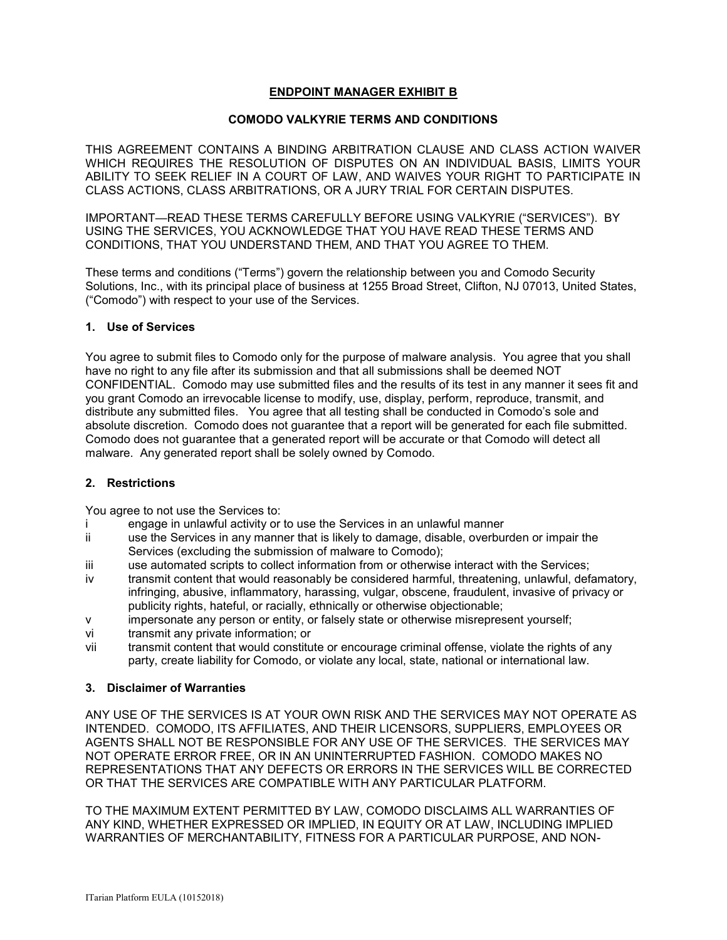# **ENDPOINT MANAGER EXHIBIT B**

### **COMODO VALKYRIE TERMS AND CONDITIONS**

THIS AGREEMENT CONTAINS A BINDING ARBITRATION CLAUSE AND CLASS ACTION WAIVER WHICH REQUIRES THE RESOLUTION OF DISPUTES ON AN INDIVIDUAL BASIS, LIMITS YOUR ABILITY TO SEEK RELIEF IN A COURT OF LAW, AND WAIVES YOUR RIGHT TO PARTICIPATE IN CLASS ACTIONS, CLASS ARBITRATIONS, OR A JURY TRIAL FOR CERTAIN DISPUTES.

IMPORTANT—READ THESE TERMS CAREFULLY BEFORE USING VALKYRIE ("SERVICES"). BY USING THE SERVICES, YOU ACKNOWLEDGE THAT YOU HAVE READ THESE TERMS AND CONDITIONS, THAT YOU UNDERSTAND THEM, AND THAT YOU AGREE TO THEM.

These terms and conditions ("Terms") govern the relationship between you and Comodo Security Solutions, Inc., with its principal place of business at 1255 Broad Street, Clifton, NJ 07013, United States, ("Comodo") with respect to your use of the Services.

### **1. Use of Services**

You agree to submit files to Comodo only for the purpose of malware analysis. You agree that you shall have no right to any file after its submission and that all submissions shall be deemed NOT CONFIDENTIAL. Comodo may use submitted files and the results of its test in any manner it sees fit and you grant Comodo an irrevocable license to modify, use, display, perform, reproduce, transmit, and distribute any submitted files. You agree that all testing shall be conducted in Comodo's sole and absolute discretion. Comodo does not guarantee that a report will be generated for each file submitted. Comodo does not guarantee that a generated report will be accurate or that Comodo will detect all malware. Any generated report shall be solely owned by Comodo.

### **2. Restrictions**

You agree to not use the Services to:

- i engage in unlawful activity or to use the Services in an unlawful manner
- ii use the Services in any manner that is likely to damage, disable, overburden or impair the Services (excluding the submission of malware to Comodo);
- iii use automated scripts to collect information from or otherwise interact with the Services;
- iv transmit content that would reasonably be considered harmful, threatening, unlawful, defamatory, infringing, abusive, inflammatory, harassing, vulgar, obscene, fraudulent, invasive of privacy or publicity rights, hateful, or racially, ethnically or otherwise objectionable;
- v impersonate any person or entity, or falsely state or otherwise misrepresent yourself;
- vi transmit any private information; or
- vii transmit content that would constitute or encourage criminal offense, violate the rights of any party, create liability for Comodo, or violate any local, state, national or international law.

### **3. Disclaimer of Warranties**

ANY USE OF THE SERVICES IS AT YOUR OWN RISK AND THE SERVICES MAY NOT OPERATE AS INTENDED. COMODO, ITS AFFILIATES, AND THEIR LICENSORS, SUPPLIERS, EMPLOYEES OR AGENTS SHALL NOT BE RESPONSIBLE FOR ANY USE OF THE SERVICES. THE SERVICES MAY NOT OPERATE ERROR FREE, OR IN AN UNINTERRUPTED FASHION. COMODO MAKES NO REPRESENTATIONS THAT ANY DEFECTS OR ERRORS IN THE SERVICES WILL BE CORRECTED OR THAT THE SERVICES ARE COMPATIBLE WITH ANY PARTICULAR PLATFORM.

TO THE MAXIMUM EXTENT PERMITTED BY LAW, COMODO DISCLAIMS ALL WARRANTIES OF ANY KIND, WHETHER EXPRESSED OR IMPLIED, IN EQUITY OR AT LAW, INCLUDING IMPLIED WARRANTIES OF MERCHANTABILITY, FITNESS FOR A PARTICULAR PURPOSE, AND NON-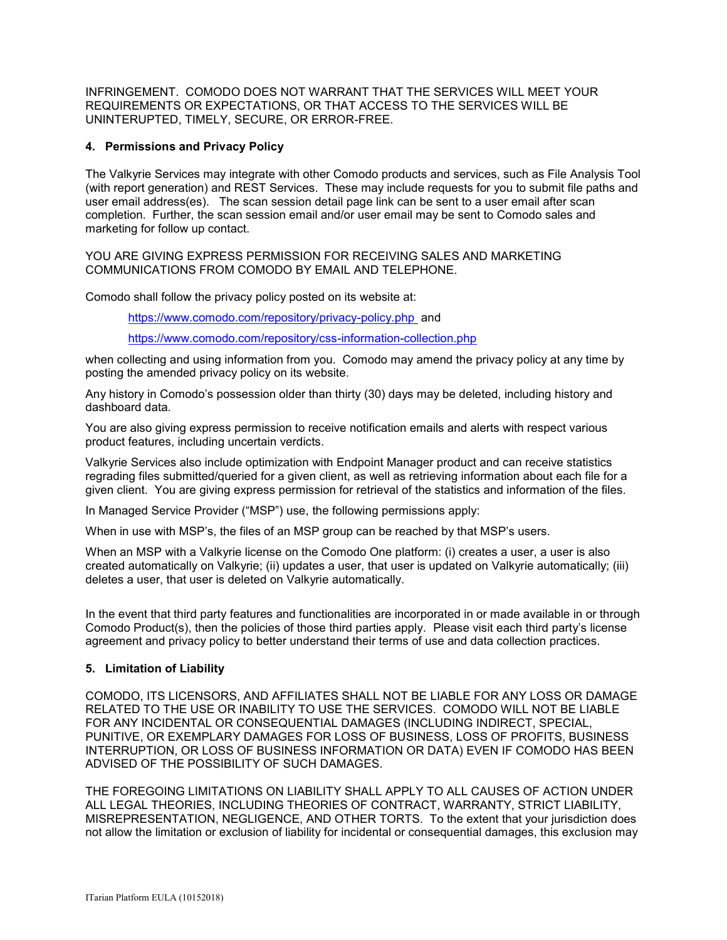INFRINGEMENT. COMODO DOES NOT WARRANT THAT THE SERVICES WILL MEET YOUR REQUIREMENTS OR EXPECTATIONS, OR THAT ACCESS TO THE SERVICES WILL BE UNINTERUPTED, TIMELY, SECURE, OR ERROR-FREE.

### **4. Permissions and Privacy Policy**

The Valkyrie Services may integrate with other Comodo products and services, such as File Analysis Tool (with report generation) and REST Services. These may include requests for you to submit file paths and user email address(es). The scan session detail page link can be sent to a user email after scan completion. Further, the scan session email and/or user email may be sent to Comodo sales and marketing for follow up contact.

YOU ARE GIVING EXPRESS PERMISSION FOR RECEIVING SALES AND MARKETING COMMUNICATIONS FROM COMODO BY EMAIL AND TELEPHONE.

Comodo shall follow the privacy policy posted on its website at:

<https://www.comodo.com/repository/privacy-policy.php> and

<https://www.comodo.com/repository/css-information-collection.php>

when collecting and using information from you. Comodo may amend the privacy policy at any time by posting the amended privacy policy on its website.

Any history in Comodo's possession older than thirty (30) days may be deleted, including history and dashboard data.

You are also giving express permission to receive notification emails and alerts with respect various product features, including uncertain verdicts.

Valkyrie Services also include optimization with Endpoint Manager product and can receive statistics regrading files submitted/queried for a given client, as well as retrieving information about each file for a given client. You are giving express permission for retrieval of the statistics and information of the files.

In Managed Service Provider ("MSP") use, the following permissions apply:

When in use with MSP's, the files of an MSP group can be reached by that MSP's users.

When an MSP with a Valkyrie license on the Comodo One platform: (i) creates a user, a user is also created automatically on Valkyrie; (ii) updates a user, that user is updated on Valkyrie automatically; (iii) deletes a user, that user is deleted on Valkyrie automatically.

In the event that third party features and functionalities are incorporated in or made available in or through Comodo Product(s), then the policies of those third parties apply. Please visit each third party's license agreement and privacy policy to better understand their terms of use and data collection practices.

### **5. Limitation of Liability**

COMODO, ITS LICENSORS, AND AFFILIATES SHALL NOT BE LIABLE FOR ANY LOSS OR DAMAGE RELATED TO THE USE OR INABILITY TO USE THE SERVICES. COMODO WILL NOT BE LIABLE FOR ANY INCIDENTAL OR CONSEQUENTIAL DAMAGES (INCLUDING INDIRECT, SPECIAL, PUNITIVE, OR EXEMPLARY DAMAGES FOR LOSS OF BUSINESS, LOSS OF PROFITS, BUSINESS INTERRUPTION, OR LOSS OF BUSINESS INFORMATION OR DATA) EVEN IF COMODO HAS BEEN ADVISED OF THE POSSIBILITY OF SUCH DAMAGES.

THE FOREGOING LIMITATIONS ON LIABILITY SHALL APPLY TO ALL CAUSES OF ACTION UNDER ALL LEGAL THEORIES, INCLUDING THEORIES OF CONTRACT, WARRANTY, STRICT LIABILITY, MISREPRESENTATION, NEGLIGENCE, AND OTHER TORTS. To the extent that your jurisdiction does not allow the limitation or exclusion of liability for incidental or consequential damages, this exclusion may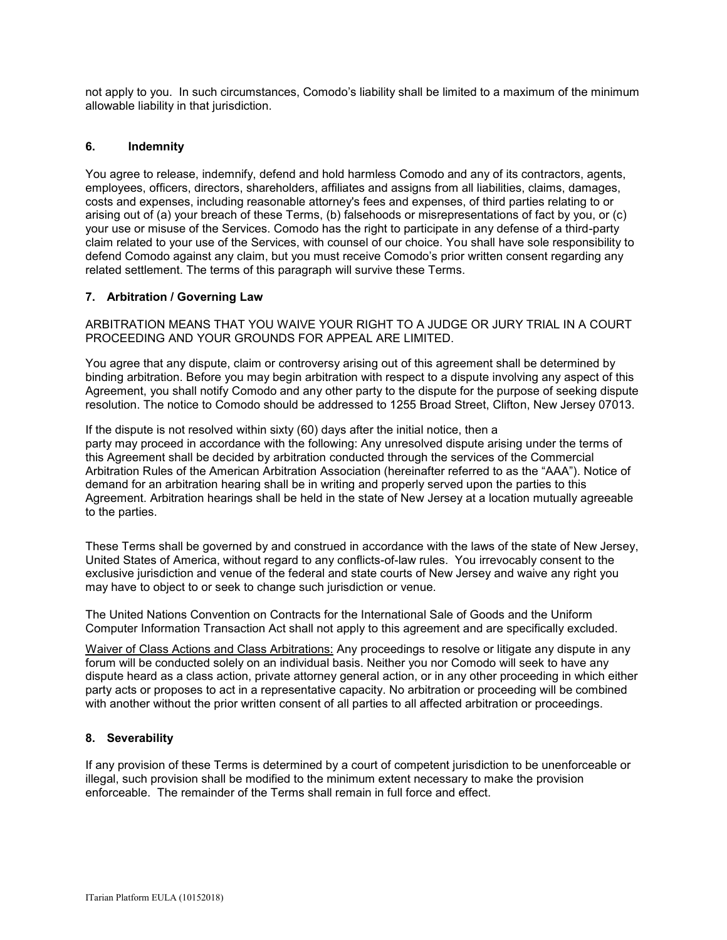not apply to you. In such circumstances, Comodo's liability shall be limited to a maximum of the minimum allowable liability in that jurisdiction.

### **6. Indemnity**

You agree to release, indemnify, defend and hold harmless Comodo and any of its contractors, agents, employees, officers, directors, shareholders, affiliates and assigns from all liabilities, claims, damages, costs and expenses, including reasonable attorney's fees and expenses, of third parties relating to or arising out of (a) your breach of these Terms, (b) falsehoods or misrepresentations of fact by you, or (c) your use or misuse of the Services. Comodo has the right to participate in any defense of a third-party claim related to your use of the Services, with counsel of our choice. You shall have sole responsibility to defend Comodo against any claim, but you must receive Comodo's prior written consent regarding any related settlement. The terms of this paragraph will survive these Terms.

### **7. Arbitration / Governing Law**

ARBITRATION MEANS THAT YOU WAIVE YOUR RIGHT TO A JUDGE OR JURY TRIAL IN A COURT PROCEEDING AND YOUR GROUNDS FOR APPEAL ARE LIMITED.

You agree that any dispute, claim or controversy arising out of this agreement shall be determined by binding arbitration. Before you may begin arbitration with respect to a dispute involving any aspect of this Agreement, you shall notify Comodo and any other party to the dispute for the purpose of seeking dispute resolution. The notice to Comodo should be addressed to 1255 Broad Street, Clifton, New Jersey 07013.

If the dispute is not resolved within sixty (60) days after the initial notice, then a party may proceed in accordance with the following: Any unresolved dispute arising under the terms of this Agreement shall be decided by arbitration conducted through the services of the Commercial Arbitration Rules of the American Arbitration Association (hereinafter referred to as the "AAA"). Notice of demand for an arbitration hearing shall be in writing and properly served upon the parties to this Agreement. Arbitration hearings shall be held in the state of New Jersey at a location mutually agreeable to the parties.

These Terms shall be governed by and construed in accordance with the laws of the state of New Jersey, United States of America, without regard to any conflicts-of-law rules. You irrevocably consent to the exclusive jurisdiction and venue of the federal and state courts of New Jersey and waive any right you may have to object to or seek to change such jurisdiction or venue.

The United Nations Convention on Contracts for the International Sale of Goods and the Uniform Computer Information Transaction Act shall not apply to this agreement and are specifically excluded.

Waiver of Class Actions and Class Arbitrations: Any proceedings to resolve or litigate any dispute in any forum will be conducted solely on an individual basis. Neither you nor Comodo will seek to have any dispute heard as a class action, private attorney general action, or in any other proceeding in which either party acts or proposes to act in a representative capacity. No arbitration or proceeding will be combined with another without the prior written consent of all parties to all affected arbitration or proceedings.

### **8. Severability**

If any provision of these Terms is determined by a court of competent jurisdiction to be unenforceable or illegal, such provision shall be modified to the minimum extent necessary to make the provision enforceable. The remainder of the Terms shall remain in full force and effect.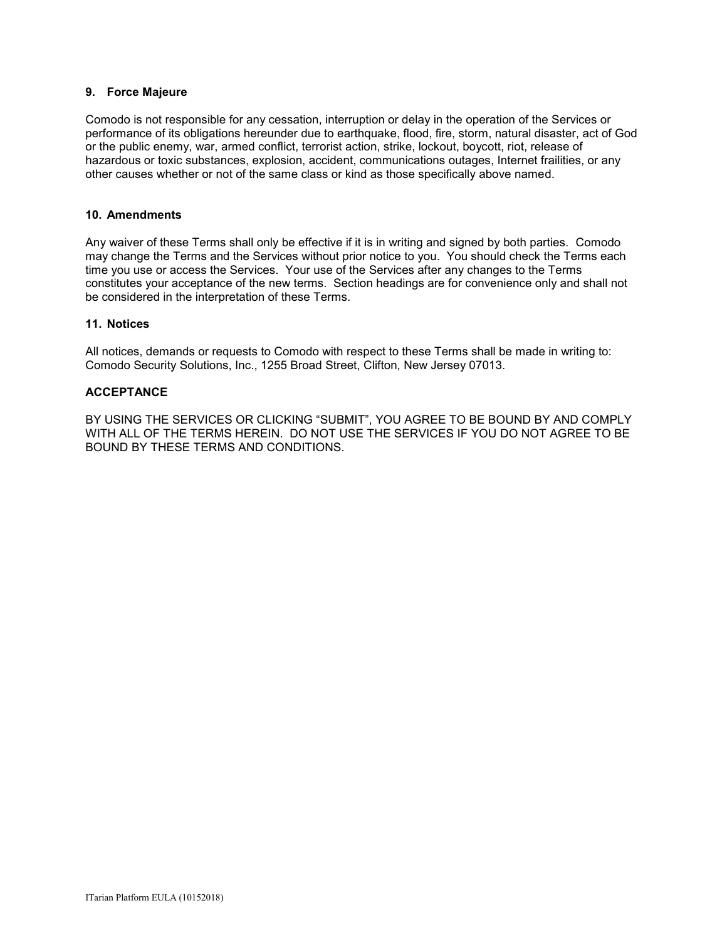### **9. Force Majeure**

Comodo is not responsible for any cessation, interruption or delay in the operation of the Services or performance of its obligations hereunder due to earthquake, flood, fire, storm, natural disaster, act of God or the public enemy, war, armed conflict, terrorist action, strike, lockout, boycott, riot, release of hazardous or toxic substances, explosion, accident, communications outages, Internet frailities, or any other causes whether or not of the same class or kind as those specifically above named.

### **10. Amendments**

Any waiver of these Terms shall only be effective if it is in writing and signed by both parties. Comodo may change the Terms and the Services without prior notice to you. You should check the Terms each time you use or access the Services. Your use of the Services after any changes to the Terms constitutes your acceptance of the new terms. Section headings are for convenience only and shall not be considered in the interpretation of these Terms.

### **11. Notices**

All notices, demands or requests to Comodo with respect to these Terms shall be made in writing to: Comodo Security Solutions, Inc., 1255 Broad Street, Clifton, New Jersey 07013.

### **ACCEPTANCE**

BY USING THE SERVICES OR CLICKING "SUBMIT", YOU AGREE TO BE BOUND BY AND COMPLY WITH ALL OF THE TERMS HEREIN. DO NOT USE THE SERVICES IF YOU DO NOT AGREE TO BE BOUND BY THESE TERMS AND CONDITIONS.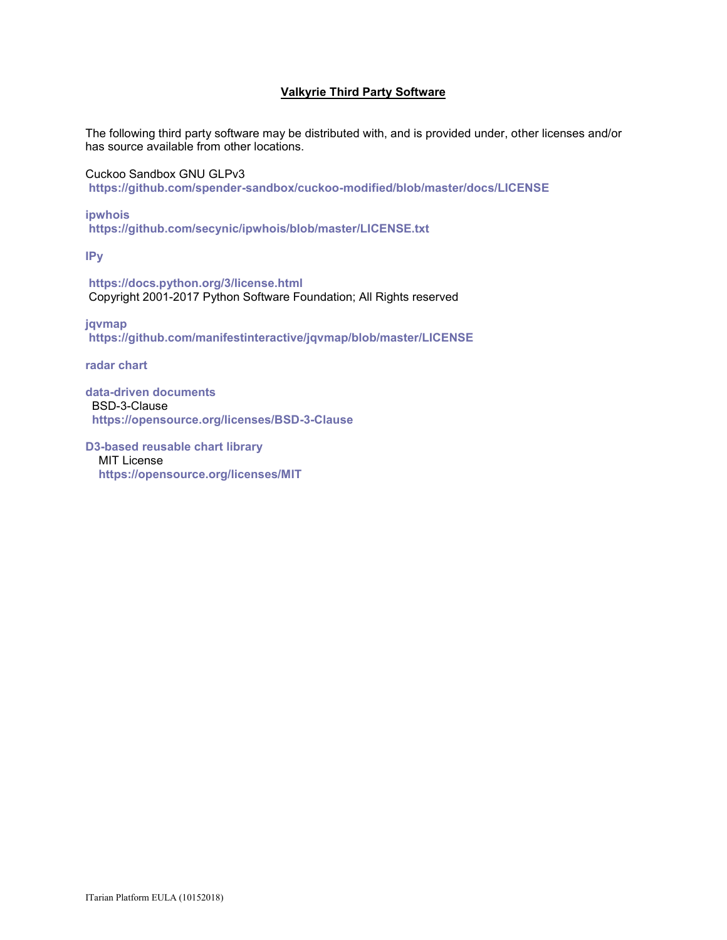### **Valkyrie Third Party Software**

The following third party software may be distributed with, and is provided under, other licenses and/or has source available from other locations.

Cuckoo Sandbox GNU GLPv3 **<https://github.com/spender-sandbox/cuckoo-modified/blob/master/docs/LICENSE>**

**[ipwhois](https://pypi.python.org/pypi/ipwhois) <https://github.com/secynic/ipwhois/blob/master/LICENSE.txt>**

**[IPy](https://pypi.python.org/pypi/IPy/0.81)**

**<https://docs.python.org/3/license.html>** Copyright 2001-2017 Python Software Foundation; All Rights reserved

**[jqvmap](https://jqvmap.com/) <https://github.com/manifestinteractive/jqvmap/blob/master/LICENSE>**

**[radar chart](https://gist.github.com/nbremer/21746a9668ffdf6d8242#file-radarchart-js)**

**[data-driven documents](https://d3js.org/)** BSD-3-Clause **<https://opensource.org/licenses/BSD-3-Clause>**

**[D3-based reusable chart library](http://c3js.org/)** MIT License **<https://opensource.org/licenses/MIT>**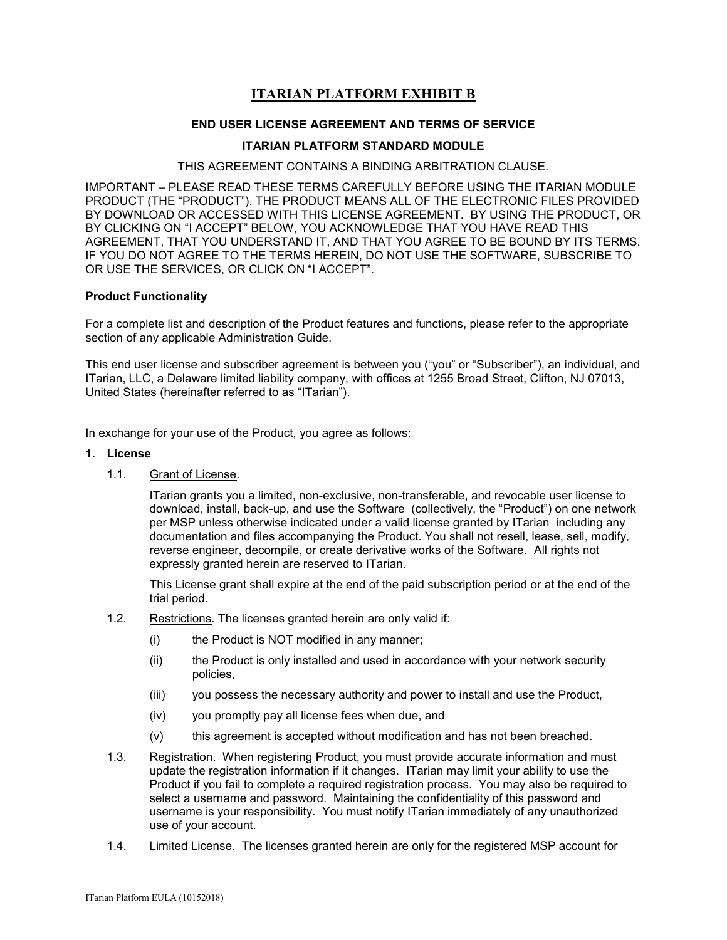# **ITARIAN PLATFORM EXHIBIT B**

### **END USER LICENSE AGREEMENT AND TERMS OF SERVICE**

### **ITARIAN PLATFORM STANDARD MODULE**

#### THIS AGREEMENT CONTAINS A BINDING ARBITRATION CLAUSE.

IMPORTANT – PLEASE READ THESE TERMS CAREFULLY BEFORE USING THE ITARIAN MODULE PRODUCT (THE "PRODUCT"). THE PRODUCT MEANS ALL OF THE ELECTRONIC FILES PROVIDED BY DOWNLOAD OR ACCESSED WITH THIS LICENSE AGREEMENT. BY USING THE PRODUCT, OR BY CLICKING ON "I ACCEPT" BELOW, YOU ACKNOWLEDGE THAT YOU HAVE READ THIS AGREEMENT, THAT YOU UNDERSTAND IT, AND THAT YOU AGREE TO BE BOUND BY ITS TERMS. IF YOU DO NOT AGREE TO THE TERMS HEREIN, DO NOT USE THE SOFTWARE, SUBSCRIBE TO OR USE THE SERVICES, OR CLICK ON "I ACCEPT".

### **Product Functionality**

For a complete list and description of the Product features and functions, please refer to the appropriate section of any applicable Administration Guide.

This end user license and subscriber agreement is between you ("you" or "Subscriber"), an individual, and ITarian, LLC, a Delaware limited liability company, with offices at 1255 Broad Street, Clifton, NJ 07013, United States (hereinafter referred to as "ITarian").

In exchange for your use of the Product, you agree as follows:

#### **1. License**

1.1. Grant of License*.* 

ITarian grants you a limited, non-exclusive, non-transferable, and revocable user license to download, install, back-up, and use the Software (collectively, the "Product") on one network per MSP unless otherwise indicated under a valid license granted by ITarian including any documentation and files accompanying the Product. You shall not resell, lease, sell, modify, reverse engineer, decompile, or create derivative works of the Software. All rights not expressly granted herein are reserved to ITarian.

This License grant shall expire at the end of the paid subscription period or at the end of the trial period.

- 1.2. Restrictions*.* The licenses granted herein are only valid if:
	- (i) the Product is NOT modified in any manner;
	- (ii) the Product is only installed and used in accordance with your network security policies,
	- (iii) you possess the necessary authority and power to install and use the Product,
	- (iv) you promptly pay all license fees when due, and
	- (v) this agreement is accepted without modification and has not been breached.
- 1.3. Registration. When registering Product, you must provide accurate information and must update the registration information if it changes. ITarian may limit your ability to use the Product if you fail to complete a required registration process. You may also be required to select a username and password. Maintaining the confidentiality of this password and username is your responsibility. You must notify ITarian immediately of any unauthorized use of your account.
- 1.4. Limited License. The licenses granted herein are only for the registered MSP account for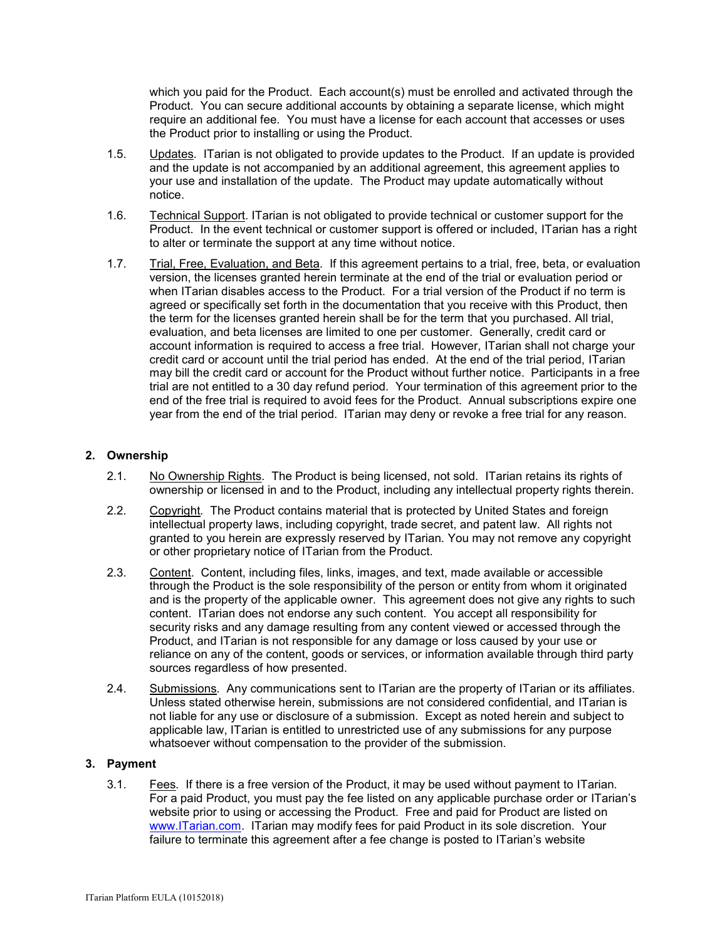which you paid for the Product. Each account(s) must be enrolled and activated through the Product. You can secure additional accounts by obtaining a separate license, which might require an additional fee. You must have a license for each account that accesses or uses the Product prior to installing or using the Product.

- 1.5. Updates*.* ITarian is not obligated to provide updates to the Product. If an update is provided and the update is not accompanied by an additional agreement, this agreement applies to your use and installation of the update. The Product may update automatically without notice.
- 1.6. Technical Support. ITarian is not obligated to provide technical or customer support for the Product. In the event technical or customer support is offered or included, ITarian has a right to alter or terminate the support at any time without notice.
- 1.7. Trial, Free, Evaluation, and Beta*.* If this agreement pertains to a trial, free, beta, or evaluation version, the licenses granted herein terminate at the end of the trial or evaluation period or when ITarian disables access to the Product. For a trial version of the Product if no term is agreed or specifically set forth in the documentation that you receive with this Product, then the term for the licenses granted herein shall be for the term that you purchased. All trial, evaluation, and beta licenses are limited to one per customer. Generally, credit card or account information is required to access a free trial. However, ITarian shall not charge your credit card or account until the trial period has ended. At the end of the trial period, ITarian may bill the credit card or account for the Product without further notice. Participants in a free trial are not entitled to a 30 day refund period. Your termination of this agreement prior to the end of the free trial is required to avoid fees for the Product. Annual subscriptions expire one year from the end of the trial period. ITarian may deny or revoke a free trial for any reason.

### **2. Ownership**

- 2.1. No Ownership Rights*.* The Product is being licensed, not sold. ITarian retains its rights of ownership or licensed in and to the Product, including any intellectual property rights therein.
- 2.2. Copyright*.* The Product contains material that is protected by United States and foreign intellectual property laws, including copyright, trade secret, and patent law. All rights not granted to you herein are expressly reserved by ITarian. You may not remove any copyright or other proprietary notice of ITarian from the Product.
- 2.3. Content. Content, including files, links, images, and text, made available or accessible through the Product is the sole responsibility of the person or entity from whom it originated and is the property of the applicable owner. This agreement does not give any rights to such content. ITarian does not endorse any such content. You accept all responsibility for security risks and any damage resulting from any content viewed or accessed through the Product, and ITarian is not responsible for any damage or loss caused by your use or reliance on any of the content, goods or services, or information available through third party sources regardless of how presented.
- 2.4. Submissions*.* Any communications sent to ITarian are the property of ITarian or its affiliates. Unless stated otherwise herein, submissions are not considered confidential, and ITarian is not liable for any use or disclosure of a submission. Except as noted herein and subject to applicable law, ITarian is entitled to unrestricted use of any submissions for any purpose whatsoever without compensation to the provider of the submission.

### **3. Payment**

3.1. Fees*.* If there is a free version of the Product, it may be used without payment to ITarian. For a paid Product, you must pay the fee listed on any applicable purchase order or ITarian's website prior to using or accessing the Product. Free and paid for Product are listed on [www.ITarian.com.](http://www.comodo.com/) ITarian may modify fees for paid Product in its sole discretion. Your failure to terminate this agreement after a fee change is posted to ITarian's website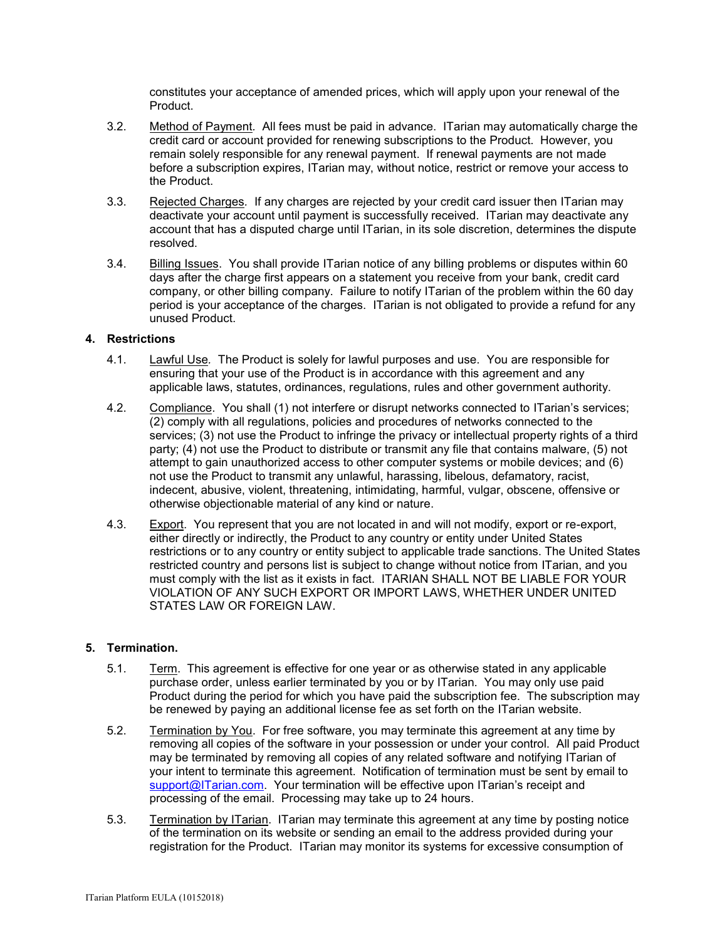constitutes your acceptance of amended prices, which will apply upon your renewal of the Product.

- 3.2. Method of Payment*.* All fees must be paid in advance. ITarian may automatically charge the credit card or account provided for renewing subscriptions to the Product. However, you remain solely responsible for any renewal payment. If renewal payments are not made before a subscription expires, ITarian may, without notice, restrict or remove your access to the Product.
- 3.3. Rejected Charges*.* If any charges are rejected by your credit card issuer then ITarian may deactivate your account until payment is successfully received. ITarian may deactivate any account that has a disputed charge until ITarian, in its sole discretion, determines the dispute resolved.
- 3.4. Billing Issues. You shall provide ITarian notice of any billing problems or disputes within 60 days after the charge first appears on a statement you receive from your bank, credit card company, or other billing company. Failure to notify ITarian of the problem within the 60 day period is your acceptance of the charges. ITarian is not obligated to provide a refund for any unused Product.

# **4. Restrictions**

- 4.1. Lawful Use*.* The Product is solely for lawful purposes and use. You are responsible for ensuring that your use of the Product is in accordance with this agreement and any applicable laws, statutes, ordinances, regulations, rules and other government authority.
- 4.2. Compliance. You shall (1) not interfere or disrupt networks connected to ITarian's services; (2) comply with all regulations, policies and procedures of networks connected to the services; (3) not use the Product to infringe the privacy or intellectual property rights of a third party; (4) not use the Product to distribute or transmit any file that contains malware, (5) not attempt to gain unauthorized access to other computer systems or mobile devices; and (6) not use the Product to transmit any unlawful, harassing, libelous, defamatory, racist, indecent, abusive, violent, threatening, intimidating, harmful, vulgar, obscene, offensive or otherwise objectionable material of any kind or nature.
- 4.3. Export. You represent that you are not located in and will not modify, export or re-export, either directly or indirectly, the Product to any country or entity under United States restrictions or to any country or entity subject to applicable trade sanctions. The United States restricted country and persons list is subject to change without notice from ITarian, and you must comply with the list as it exists in fact. ITARIAN SHALL NOT BE LIABLE FOR YOUR VIOLATION OF ANY SUCH EXPORT OR IMPORT LAWS, WHETHER UNDER UNITED STATES LAW OR FOREIGN LAW.

### **5. Termination.**

- 5.1. Term.This agreement is effective for one year or as otherwise stated in any applicable purchase order, unless earlier terminated by you or by ITarian. You may only use paid Product during the period for which you have paid the subscription fee. The subscription may be renewed by paying an additional license fee as set forth on the ITarian website.
- 5.2. Termination by You. For free software, you may terminate this agreement at any time by removing all copies of the software in your possession or under your control. All paid Product may be terminated by removing all copies of any related software and notifying ITarian of your intent to terminate this agreement. Notification of termination must be sent by email to [support@ITarian.com.](mailto:support@comodo.com) Your termination will be effective upon ITarian's receipt and processing of the email. Processing may take up to 24 hours.
- 5.3. Termination by ITarian. ITarian may terminate this agreement at any time by posting notice of the termination on its website or sending an email to the address provided during your registration for the Product. ITarian may monitor its systems for excessive consumption of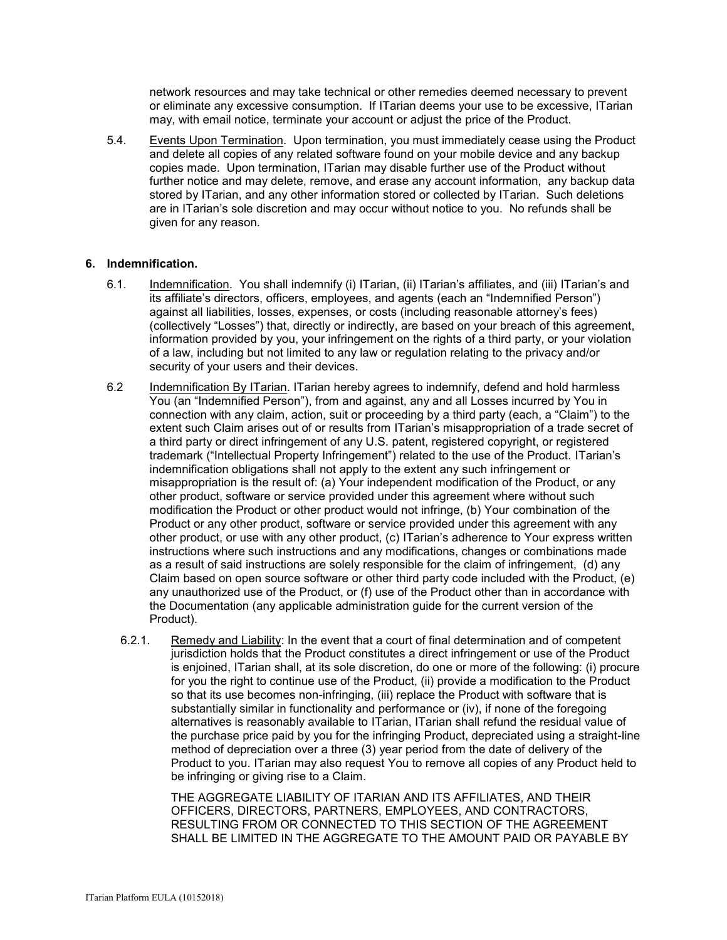network resources and may take technical or other remedies deemed necessary to prevent or eliminate any excessive consumption. If ITarian deems your use to be excessive, ITarian may, with email notice, terminate your account or adjust the price of the Product.

5.4. Events Upon Termination. Upon termination, you must immediately cease using the Product and delete all copies of any related software found on your mobile device and any backup copies made. Upon termination, ITarian may disable further use of the Product without further notice and may delete, remove, and erase any account information, any backup data stored by ITarian, and any other information stored or collected by ITarian. Such deletions are in ITarian's sole discretion and may occur without notice to you. No refunds shall be given for any reason.

### **6. Indemnification.**

- 6.1. Indemnification. You shall indemnify (i) ITarian, (ii) ITarian's affiliates, and (iii) ITarian's and its affiliate's directors, officers, employees, and agents (each an "Indemnified Person") against all liabilities, losses, expenses, or costs (including reasonable attorney's fees) (collectively "Losses") that, directly or indirectly, are based on your breach of this agreement, information provided by you, your infringement on the rights of a third party, or your violation of a law, including but not limited to any law or regulation relating to the privacy and/or security of your users and their devices.
- 6.2 Indemnification By ITarian. ITarian hereby agrees to indemnify, defend and hold harmless You (an "Indemnified Person"), from and against, any and all Losses incurred by You in connection with any claim, action, suit or proceeding by a third party (each, a "Claim") to the extent such Claim arises out of or results from ITarian's misappropriation of a trade secret of a third party or direct infringement of any U.S. patent, registered copyright, or registered trademark ("Intellectual Property Infringement") related to the use of the Product. ITarian's indemnification obligations shall not apply to the extent any such infringement or misappropriation is the result of: (a) Your independent modification of the Product, or any other product, software or service provided under this agreement where without such modification the Product or other product would not infringe, (b) Your combination of the Product or any other product, software or service provided under this agreement with any other product, or use with any other product, (c) ITarian's adherence to Your express written instructions where such instructions and any modifications, changes or combinations made as a result of said instructions are solely responsible for the claim of infringement, (d) any Claim based on open source software or other third party code included with the Product, (e) any unauthorized use of the Product, or (f) use of the Product other than in accordance with the Documentation (any applicable administration guide for the current version of the Product).
	- 6.2.1. Remedy and Liability: In the event that a court of final determination and of competent jurisdiction holds that the Product constitutes a direct infringement or use of the Product is enjoined, ITarian shall, at its sole discretion, do one or more of the following: (i) procure for you the right to continue use of the Product, (ii) provide a modification to the Product so that its use becomes non-infringing, (iii) replace the Product with software that is substantially similar in functionality and performance or (iv), if none of the foregoing alternatives is reasonably available to ITarian, ITarian shall refund the residual value of the purchase price paid by you for the infringing Product, depreciated using a straight-line method of depreciation over a three (3) year period from the date of delivery of the Product to you. ITarian may also request You to remove all copies of any Product held to be infringing or giving rise to a Claim.

THE AGGREGATE LIABILITY OF ITARIAN AND ITS AFFILIATES, AND THEIR OFFICERS, DIRECTORS, PARTNERS, EMPLOYEES, AND CONTRACTORS, RESULTING FROM OR CONNECTED TO THIS SECTION OF THE AGREEMENT SHALL BE LIMITED IN THE AGGREGATE TO THE AMOUNT PAID OR PAYABLE BY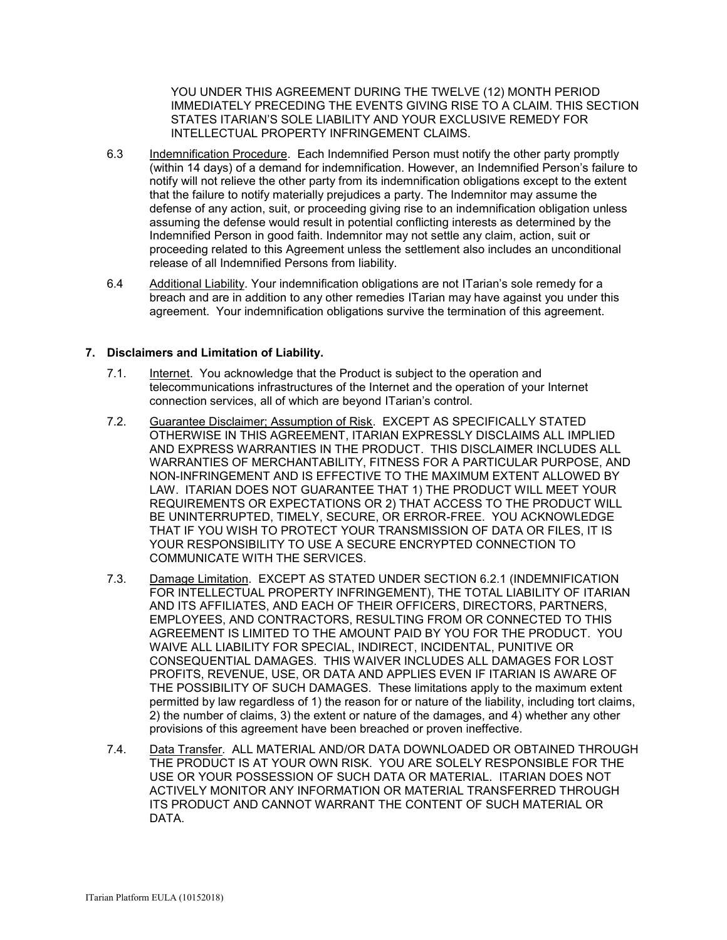YOU UNDER THIS AGREEMENT DURING THE TWELVE (12) MONTH PERIOD IMMEDIATELY PRECEDING THE EVENTS GIVING RISE TO A CLAIM. THIS SECTION STATES ITARIAN'S SOLE LIABILITY AND YOUR EXCLUSIVE REMEDY FOR INTELLECTUAL PROPERTY INFRINGEMENT CLAIMS.

- 6.3 Indemnification Procedure. Each Indemnified Person must notify the other party promptly (within 14 days) of a demand for indemnification. However, an Indemnified Person's failure to notify will not relieve the other party from its indemnification obligations except to the extent that the failure to notify materially prejudices a party. The Indemnitor may assume the defense of any action, suit, or proceeding giving rise to an indemnification obligation unless assuming the defense would result in potential conflicting interests as determined by the Indemnified Person in good faith. Indemnitor may not settle any claim, action, suit or proceeding related to this Agreement unless the settlement also includes an unconditional release of all Indemnified Persons from liability.
- 6.4 Additional Liability. Your indemnification obligations are not ITarian's sole remedy for a breach and are in addition to any other remedies ITarian may have against you under this agreement. Your indemnification obligations survive the termination of this agreement.

### **7. Disclaimers and Limitation of Liability.**

- 7.1. Internet. You acknowledge that the Product is subject to the operation and telecommunications infrastructures of the Internet and the operation of your Internet connection services, all of which are beyond ITarian's control.
- 7.2. Guarantee Disclaimer; Assumption of Risk. EXCEPT AS SPECIFICALLY STATED OTHERWISE IN THIS AGREEMENT, ITARIAN EXPRESSLY DISCLAIMS ALL IMPLIED AND EXPRESS WARRANTIES IN THE PRODUCT. THIS DISCLAIMER INCLUDES ALL WARRANTIES OF MERCHANTABILITY, FITNESS FOR A PARTICULAR PURPOSE, AND NON-INFRINGEMENT AND IS EFFECTIVE TO THE MAXIMUM EXTENT ALLOWED BY LAW. ITARIAN DOES NOT GUARANTEE THAT 1) THE PRODUCT WILL MEET YOUR REQUIREMENTS OR EXPECTATIONS OR 2) THAT ACCESS TO THE PRODUCT WILL BE UNINTERRUPTED, TIMELY, SECURE, OR ERROR-FREE. YOU ACKNOWLEDGE THAT IF YOU WISH TO PROTECT YOUR TRANSMISSION OF DATA OR FILES, IT IS YOUR RESPONSIBILITY TO USE A SECURE ENCRYPTED CONNECTION TO COMMUNICATE WITH THE SERVICES.
- 7.3. Damage Limitation. EXCEPT AS STATED UNDER SECTION 6.2.1 (INDEMNIFICATION FOR INTELLECTUAL PROPERTY INFRINGEMENT), THE TOTAL LIABILITY OF ITARIAN AND ITS AFFILIATES, AND EACH OF THEIR OFFICERS, DIRECTORS, PARTNERS, EMPLOYEES, AND CONTRACTORS, RESULTING FROM OR CONNECTED TO THIS AGREEMENT IS LIMITED TO THE AMOUNT PAID BY YOU FOR THE PRODUCT. YOU WAIVE ALL LIABILITY FOR SPECIAL, INDIRECT, INCIDENTAL, PUNITIVE OR CONSEQUENTIAL DAMAGES. THIS WAIVER INCLUDES ALL DAMAGES FOR LOST PROFITS, REVENUE, USE, OR DATA AND APPLIES EVEN IF ITARIAN IS AWARE OF THE POSSIBILITY OF SUCH DAMAGES. These limitations apply to the maximum extent permitted by law regardless of 1) the reason for or nature of the liability, including tort claims, 2) the number of claims, 3) the extent or nature of the damages, and 4) whether any other provisions of this agreement have been breached or proven ineffective.
- 7.4. Data Transfer*.* ALL MATERIAL AND/OR DATA DOWNLOADED OR OBTAINED THROUGH THE PRODUCT IS AT YOUR OWN RISK. YOU ARE SOLELY RESPONSIBLE FOR THE USE OR YOUR POSSESSION OF SUCH DATA OR MATERIAL. ITARIAN DOES NOT ACTIVELY MONITOR ANY INFORMATION OR MATERIAL TRANSFERRED THROUGH ITS PRODUCT AND CANNOT WARRANT THE CONTENT OF SUCH MATERIAL OR DATA.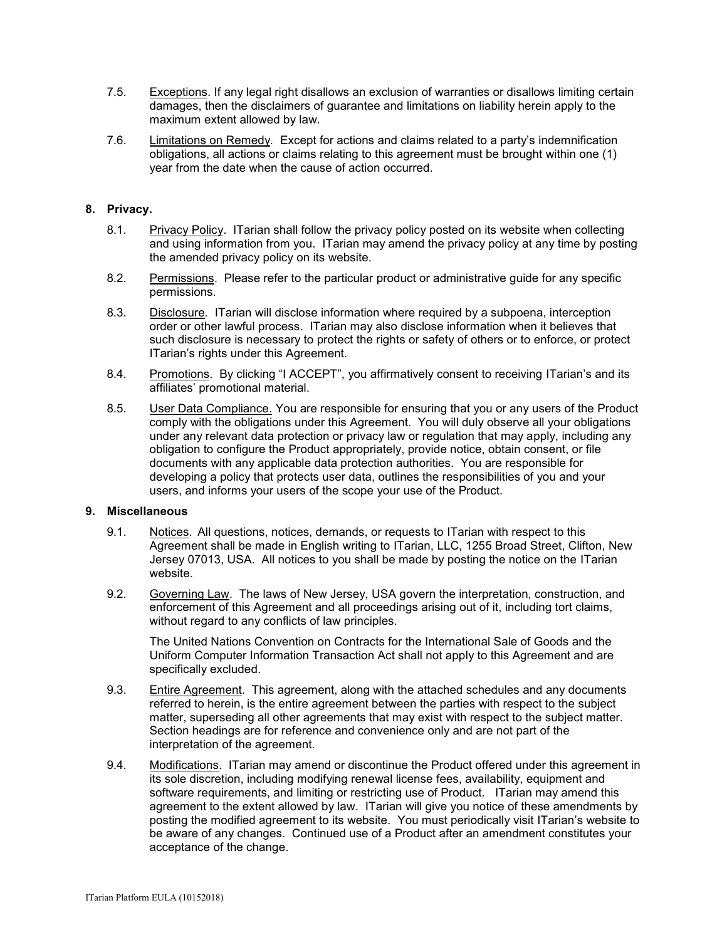- 7.5. Exceptions. If any legal right disallows an exclusion of warranties or disallows limiting certain damages, then the disclaimers of guarantee and limitations on liability herein apply to the maximum extent allowed by law.
- 7.6. Limitations on Remedy*.* Except for actions and claims related to a party's indemnification obligations, all actions or claims relating to this agreement must be brought within one (1) year from the date when the cause of action occurred.

### **8. Privacy.**

- 8.1. Privacy Policy. ITarian shall follow the privacy policy posted on its website when collecting and using information from you. ITarian may amend the privacy policy at any time by posting the amended privacy policy on its website.
- 8.2. Permissions. Please refer to the particular product or administrative guide for any specific permissions.
- 8.3. Disclosure*.* ITarian will disclose information where required by a subpoena, interception order or other lawful process. ITarian may also disclose information when it believes that such disclosure is necessary to protect the rights or safety of others or to enforce, or protect ITarian's rights under this Agreement.
- 8.4. Promotions. By clicking "I ACCEPT", you affirmatively consent to receiving ITarian's and its affiliates' promotional material.
- 8.5. User Data Compliance. You are responsible for ensuring that you or any users of the Product comply with the obligations under this Agreement. You will duly observe all your obligations under any relevant data protection or privacy law or regulation that may apply, including any obligation to configure the Product appropriately, provide notice, obtain consent, or file documents with any applicable data protection authorities. You are responsible for developing a policy that protects user data, outlines the responsibilities of you and your users, and informs your users of the scope your use of the Product.

### **9. Miscellaneous**

- 9.1. Notices. All questions, notices, demands, or requests to ITarian with respect to this Agreement shall be made in English writing to ITarian, LLC, 1255 Broad Street, Clifton, New Jersey 07013, USA. All notices to you shall be made by posting the notice on the ITarian website.
- 9.2. Governing Law. The laws of New Jersey, USA govern the interpretation, construction, and enforcement of this Agreement and all proceedings arising out of it, including tort claims, without regard to any conflicts of law principles.

The United Nations Convention on Contracts for the International Sale of Goods and the Uniform Computer Information Transaction Act shall not apply to this Agreement and are specifically excluded.

- 9.3. Entire Agreement. This agreement, along with the attached schedules and any documents referred to herein, is the entire agreement between the parties with respect to the subject matter, superseding all other agreements that may exist with respect to the subject matter. Section headings are for reference and convenience only and are not part of the interpretation of the agreement.
- 9.4. Modifications. ITarian may amend or discontinue the Product offered under this agreement in its sole discretion, including modifying renewal license fees, availability, equipment and software requirements, and limiting or restricting use of Product. ITarian may amend this agreement to the extent allowed by law. ITarian will give you notice of these amendments by posting the modified agreement to its website. You must periodically visit ITarian's website to be aware of any changes. Continued use of a Product after an amendment constitutes your acceptance of the change.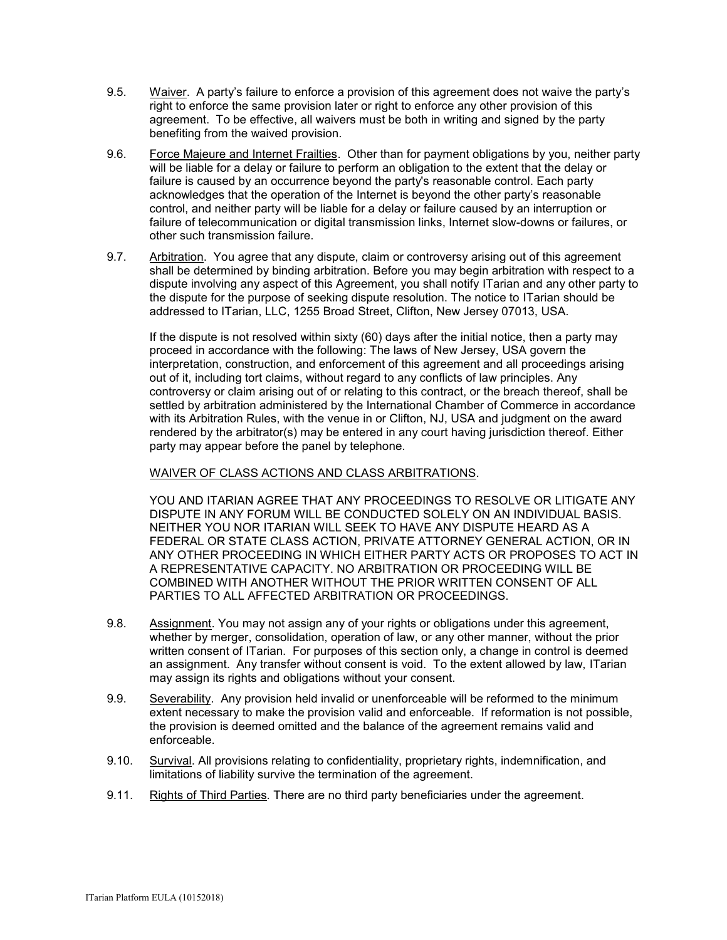- 9.5. Waiver. A party's failure to enforce a provision of this agreement does not waive the party's right to enforce the same provision later or right to enforce any other provision of this agreement. To be effective, all waivers must be both in writing and signed by the party benefiting from the waived provision.
- 9.6. Force Majeure and Internet Frailties. Other than for payment obligations by you, neither party will be liable for a delay or failure to perform an obligation to the extent that the delay or failure is caused by an occurrence beyond the party's reasonable control. Each party acknowledges that the operation of the Internet is beyond the other party's reasonable control, and neither party will be liable for a delay or failure caused by an interruption or failure of telecommunication or digital transmission links, Internet slow-downs or failures, or other such transmission failure.
- 9.7. Arbitration. You agree that any dispute, claim or controversy arising out of this agreement shall be determined by binding arbitration. Before you may begin arbitration with respect to a dispute involving any aspect of this Agreement, you shall notify ITarian and any other party to the dispute for the purpose of seeking dispute resolution. The notice to ITarian should be addressed to ITarian, LLC, 1255 Broad Street, Clifton, New Jersey 07013, USA.

If the dispute is not resolved within sixty (60) days after the initial notice, then a party may proceed in accordance with the following: The laws of New Jersey, USA govern the interpretation, construction, and enforcement of this agreement and all proceedings arising out of it, including tort claims, without regard to any conflicts of law principles. Any controversy or claim arising out of or relating to this contract, or the breach thereof, shall be settled by arbitration administered by the International Chamber of Commerce in accordance with its Arbitration Rules, with the venue in or Clifton, NJ, USA and judgment on the award rendered by the arbitrator(s) may be entered in any court having jurisdiction thereof. Either party may appear before the panel by telephone.

WAIVER OF CLASS ACTIONS AND CLASS ARBITRATIONS.

YOU AND ITARIAN AGREE THAT ANY PROCEEDINGS TO RESOLVE OR LITIGATE ANY DISPUTE IN ANY FORUM WILL BE CONDUCTED SOLELY ON AN INDIVIDUAL BASIS. NEITHER YOU NOR ITARIAN WILL SEEK TO HAVE ANY DISPUTE HEARD AS A FEDERAL OR STATE CLASS ACTION, PRIVATE ATTORNEY GENERAL ACTION, OR IN ANY OTHER PROCEEDING IN WHICH EITHER PARTY ACTS OR PROPOSES TO ACT IN A REPRESENTATIVE CAPACITY. NO ARBITRATION OR PROCEEDING WILL BE COMBINED WITH ANOTHER WITHOUT THE PRIOR WRITTEN CONSENT OF ALL PARTIES TO ALL AFFECTED ARBITRATION OR PROCEEDINGS.

- 9.8. Assignment. You may not assign any of your rights or obligations under this agreement, whether by merger, consolidation, operation of law, or any other manner, without the prior written consent of ITarian. For purposes of this section only, a change in control is deemed an assignment. Any transfer without consent is void. To the extent allowed by law, ITarian may assign its rights and obligations without your consent.
- 9.9. Severability. Any provision held invalid or unenforceable will be reformed to the minimum extent necessary to make the provision valid and enforceable. If reformation is not possible, the provision is deemed omitted and the balance of the agreement remains valid and enforceable.
- 9.10. Survival. All provisions relating to confidentiality, proprietary rights, indemnification, and limitations of liability survive the termination of the agreement.
- 9.11. Rights of Third Parties*.* There are no third party beneficiaries under the agreement.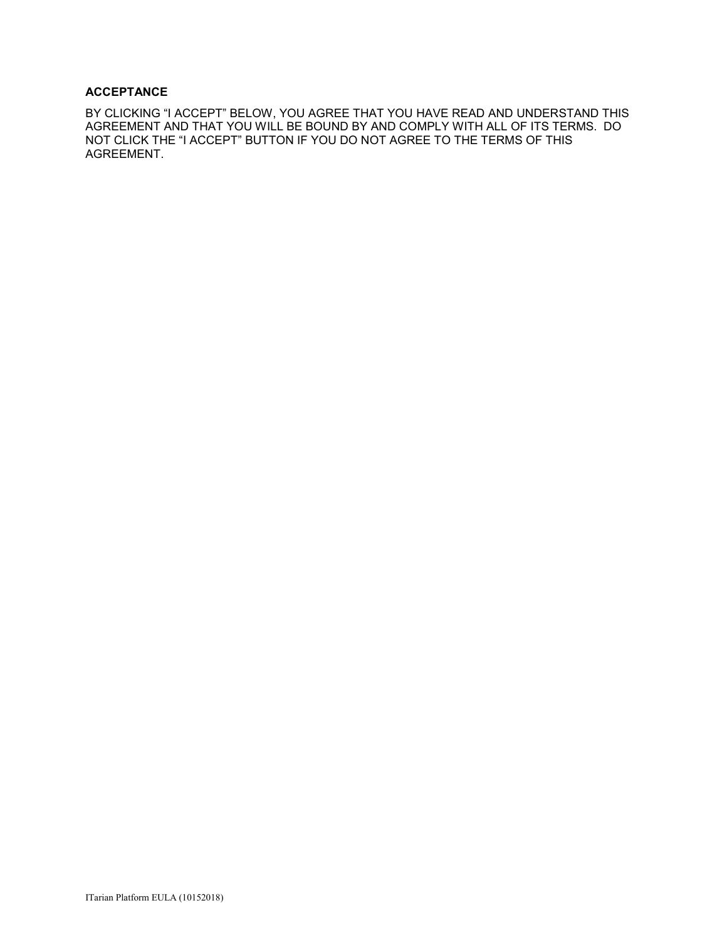### **ACCEPTANCE**

BY CLICKING "I ACCEPT" BELOW, YOU AGREE THAT YOU HAVE READ AND UNDERSTAND THIS AGREEMENT AND THAT YOU WILL BE BOUND BY AND COMPLY WITH ALL OF ITS TERMS. DO NOT CLICK THE "I ACCEPT" BUTTON IF YOU DO NOT AGREE TO THE TERMS OF THIS AGREEMENT.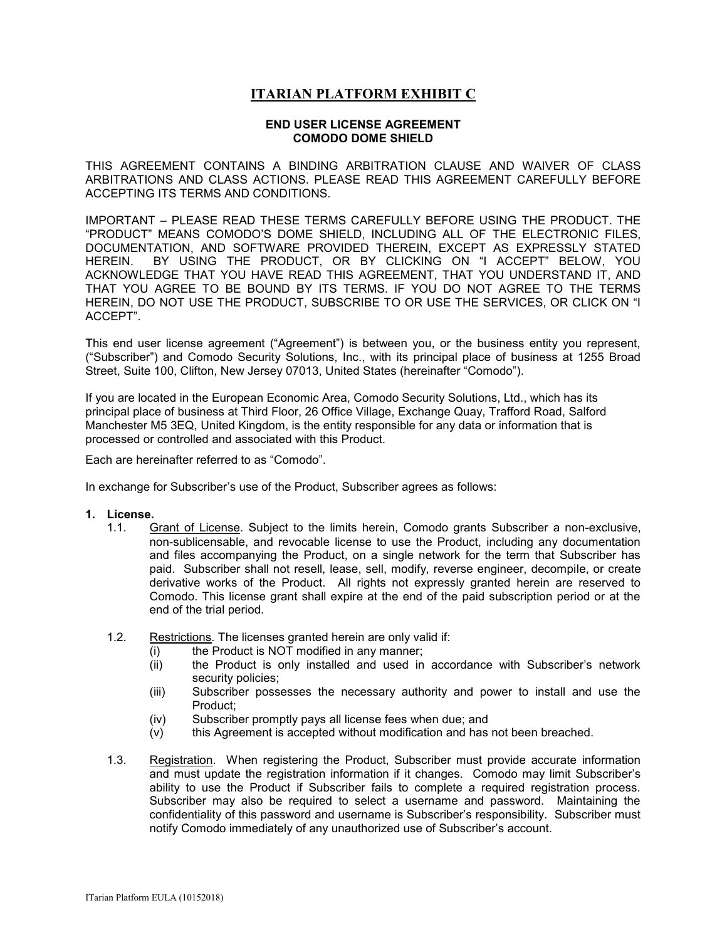# **ITARIAN PLATFORM EXHIBIT C**

#### **END USER LICENSE AGREEMENT COMODO DOME SHIELD**

THIS AGREEMENT CONTAINS A BINDING ARBITRATION CLAUSE AND WAIVER OF CLASS ARBITRATIONS AND CLASS ACTIONS. PLEASE READ THIS AGREEMENT CAREFULLY BEFORE ACCEPTING ITS TERMS AND CONDITIONS.

IMPORTANT – PLEASE READ THESE TERMS CAREFULLY BEFORE USING THE PRODUCT. THE "PRODUCT" MEANS COMODO'S DOME SHIELD, INCLUDING ALL OF THE ELECTRONIC FILES, DOCUMENTATION, AND SOFTWARE PROVIDED THEREIN, EXCEPT AS EXPRESSLY STATED HEREIN. BY USING THE PRODUCT, OR BY CLICKING ON "I ACCEPT" BELOW, YOU ACKNOWLEDGE THAT YOU HAVE READ THIS AGREEMENT, THAT YOU UNDERSTAND IT, AND THAT YOU AGREE TO BE BOUND BY ITS TERMS. IF YOU DO NOT AGREE TO THE TERMS HEREIN, DO NOT USE THE PRODUCT, SUBSCRIBE TO OR USE THE SERVICES, OR CLICK ON "I ACCEPT".

This end user license agreement ("Agreement") is between you, or the business entity you represent, ("Subscriber") and Comodo Security Solutions, Inc., with its principal place of business at 1255 Broad Street, Suite 100, Clifton, New Jersey 07013, United States (hereinafter "Comodo").

If you are located in the European Economic Area, Comodo Security Solutions, Ltd., which has its principal place of business at Third Floor, 26 Office Village, Exchange Quay, Trafford Road, Salford Manchester M5 3EQ, United Kingdom, is the entity responsible for any data or information that is processed or controlled and associated with this Product.

Each are hereinafter referred to as "Comodo".

In exchange for Subscriber's use of the Product, Subscriber agrees as follows:

### **1. License.**

- 1.1. Grant of License*.* Subject to the limits herein, Comodo grants Subscriber a non-exclusive, non-sublicensable, and revocable license to use the Product, including any documentation and files accompanying the Product, on a single network for the term that Subscriber has paid. Subscriber shall not resell, lease, sell, modify, reverse engineer, decompile, or create derivative works of the Product. All rights not expressly granted herein are reserved to Comodo. This license grant shall expire at the end of the paid subscription period or at the end of the trial period.
- 1.2. Restrictions*.* The licenses granted herein are only valid if:
	- (i) the Product is NOT modified in any manner;
	- (ii) the Product is only installed and used in accordance with Subscriber's network security policies;
	- (iii) Subscriber possesses the necessary authority and power to install and use the Product;
	- (iv) Subscriber promptly pays all license fees when due; and
	- (v) this Agreement is accepted without modification and has not been breached.
- 1.3. Registration. When registering the Product, Subscriber must provide accurate information and must update the registration information if it changes. Comodo may limit Subscriber's ability to use the Product if Subscriber fails to complete a required registration process. Subscriber may also be required to select a username and password. Maintaining the confidentiality of this password and username is Subscriber's responsibility. Subscriber must notify Comodo immediately of any unauthorized use of Subscriber's account.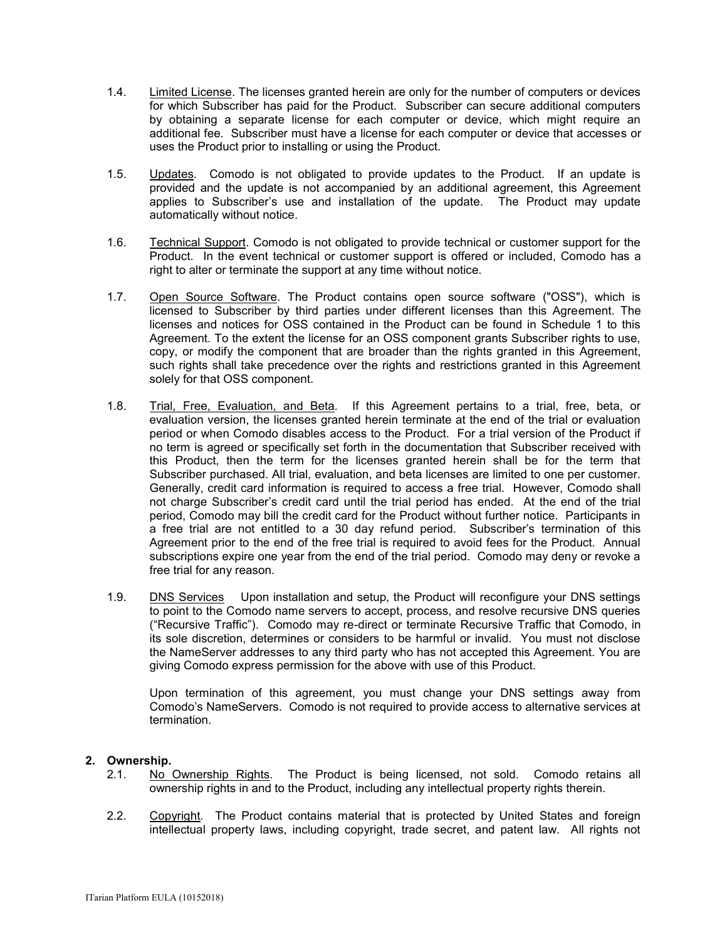- 1.4. Limited License. The licenses granted herein are only for the number of computers or devices for which Subscriber has paid for the Product. Subscriber can secure additional computers by obtaining a separate license for each computer or device, which might require an additional fee. Subscriber must have a license for each computer or device that accesses or uses the Product prior to installing or using the Product.
- 1.5. Updates*.* Comodo is not obligated to provide updates to the Product. If an update is provided and the update is not accompanied by an additional agreement, this Agreement applies to Subscriber's use and installation of the update. The Product may update automatically without notice.
- 1.6. Technical Support. Comodo is not obligated to provide technical or customer support for the Product. In the event technical or customer support is offered or included, Comodo has a right to alter or terminate the support at any time without notice.
- 1.7. Open Source Software. The Product contains open source software ("OSS"), which is licensed to Subscriber by third parties under different licenses than this Agreement. The licenses and notices for OSS contained in the Product can be found in Schedule 1 to this Agreement. To the extent the license for an OSS component grants Subscriber rights to use, copy, or modify the component that are broader than the rights granted in this Agreement, such rights shall take precedence over the rights and restrictions granted in this Agreement solely for that OSS component.
- 1.8. Trial, Free, Evaluation, and Beta*.* If this Agreement pertains to a trial, free, beta, or evaluation version, the licenses granted herein terminate at the end of the trial or evaluation period or when Comodo disables access to the Product. For a trial version of the Product if no term is agreed or specifically set forth in the documentation that Subscriber received with this Product, then the term for the licenses granted herein shall be for the term that Subscriber purchased. All trial, evaluation, and beta licenses are limited to one per customer. Generally, credit card information is required to access a free trial. However, Comodo shall not charge Subscriber's credit card until the trial period has ended. At the end of the trial period, Comodo may bill the credit card for the Product without further notice. Participants in a free trial are not entitled to a 30 day refund period. Subscriber's termination of this Agreement prior to the end of the free trial is required to avoid fees for the Product. Annual subscriptions expire one year from the end of the trial period. Comodo may deny or revoke a free trial for any reason.
- 1.9. DNS Services Upon installation and setup, the Product will reconfigure your DNS settings to point to the Comodo name servers to accept, process, and resolve recursive DNS queries ("Recursive Traffic"). Comodo may re-direct or terminate Recursive Traffic that Comodo, in its sole discretion, determines or considers to be harmful or invalid. You must not disclose the NameServer addresses to any third party who has not accepted this Agreement. You are giving Comodo express permission for the above with use of this Product.

Upon termination of this agreement, you must change your DNS settings away from Comodo's NameServers. Comodo is not required to provide access to alternative services at termination.

# **2. Ownership.**

- 2.1. No Ownership Rights*.* The Product is being licensed, not sold. Comodo retains all ownership rights in and to the Product, including any intellectual property rights therein.
- 2.2. Copyright*.* The Product contains material that is protected by United States and foreign intellectual property laws, including copyright, trade secret, and patent law. All rights not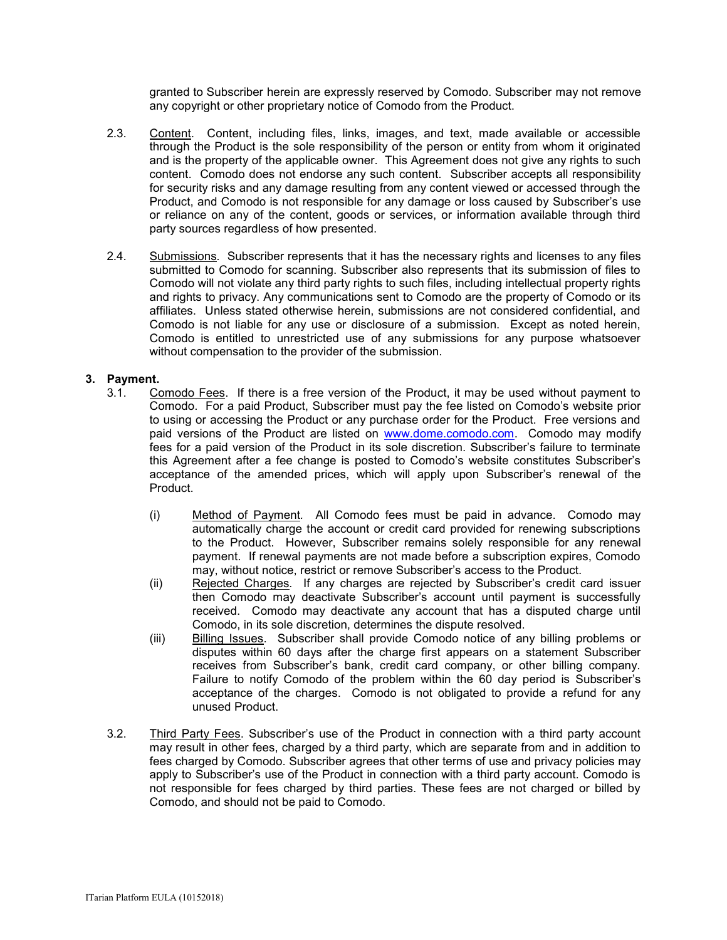granted to Subscriber herein are expressly reserved by Comodo. Subscriber may not remove any copyright or other proprietary notice of Comodo from the Product.

- 2.3. Content. Content, including files, links, images, and text, made available or accessible through the Product is the sole responsibility of the person or entity from whom it originated and is the property of the applicable owner. This Agreement does not give any rights to such content. Comodo does not endorse any such content. Subscriber accepts all responsibility for security risks and any damage resulting from any content viewed or accessed through the Product, and Comodo is not responsible for any damage or loss caused by Subscriber's use or reliance on any of the content, goods or services, or information available through third party sources regardless of how presented.
- 2.4. Submissions*.* Subscriber represents that it has the necessary rights and licenses to any files submitted to Comodo for scanning. Subscriber also represents that its submission of files to Comodo will not violate any third party rights to such files, including intellectual property rights and rights to privacy. Any communications sent to Comodo are the property of Comodo or its affiliates. Unless stated otherwise herein, submissions are not considered confidential, and Comodo is not liable for any use or disclosure of a submission. Except as noted herein, Comodo is entitled to unrestricted use of any submissions for any purpose whatsoever without compensation to the provider of the submission.

### **3. Payment.**

- 3.1. Comodo Fees. If there is a free version of the Product, it may be used without payment to Comodo. For a paid Product, Subscriber must pay the fee listed on Comodo's website prior to using or accessing the Product or any purchase order for the Product. Free versions and paid versions of the Product are listed on **www.dome.comodo.com**. Comodo may modify fees for a paid version of the Product in its sole discretion. Subscriber's failure to terminate this Agreement after a fee change is posted to Comodo's website constitutes Subscriber's acceptance of the amended prices, which will apply upon Subscriber's renewal of the Product.
	- (i) Method of Payment*.* All Comodo fees must be paid in advance. Comodo may automatically charge the account or credit card provided for renewing subscriptions to the Product. However, Subscriber remains solely responsible for any renewal payment. If renewal payments are not made before a subscription expires, Comodo may, without notice, restrict or remove Subscriber's access to the Product.
	- (ii) Rejected Charges*.* If any charges are rejected by Subscriber's credit card issuer then Comodo may deactivate Subscriber's account until payment is successfully received. Comodo may deactivate any account that has a disputed charge until Comodo, in its sole discretion, determines the dispute resolved.
	- (iii) Billing Issues. Subscriber shall provide Comodo notice of any billing problems or disputes within 60 days after the charge first appears on a statement Subscriber receives from Subscriber's bank, credit card company, or other billing company. Failure to notify Comodo of the problem within the 60 day period is Subscriber's acceptance of the charges. Comodo is not obligated to provide a refund for any unused Product.
- 3.2. Third Party Fees. Subscriber's use of the Product in connection with a third party account may result in other fees, charged by a third party, which are separate from and in addition to fees charged by Comodo. Subscriber agrees that other terms of use and privacy policies may apply to Subscriber's use of the Product in connection with a third party account. Comodo is not responsible for fees charged by third parties. These fees are not charged or billed by Comodo, and should not be paid to Comodo.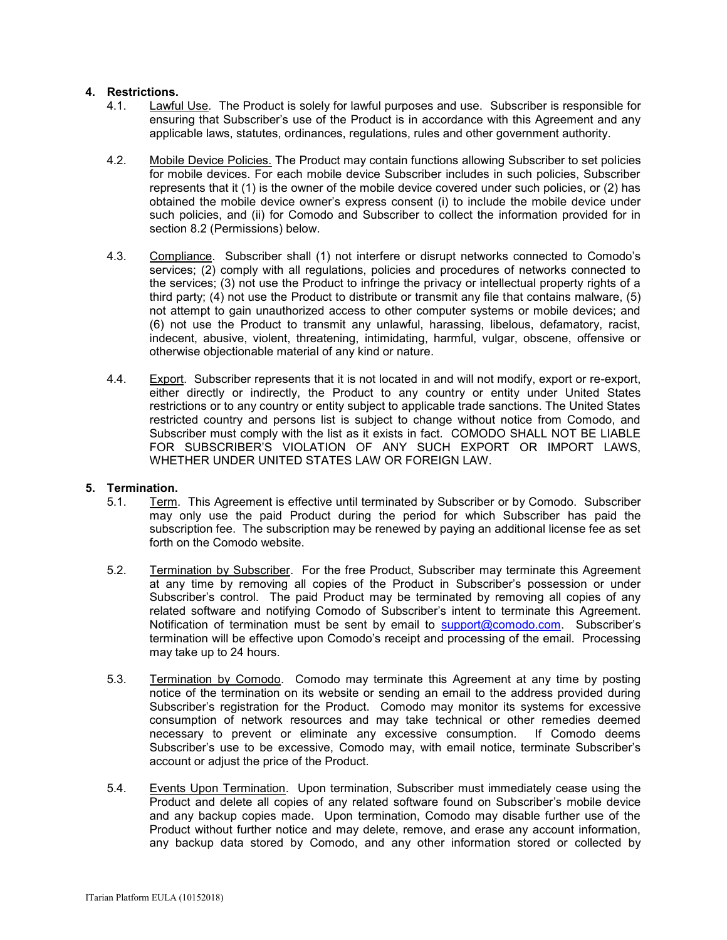### **4. Restrictions.**

- 4.1. Lawful Use*.* The Product is solely for lawful purposes and use. Subscriber is responsible for ensuring that Subscriber's use of the Product is in accordance with this Agreement and any applicable laws, statutes, ordinances, regulations, rules and other government authority.
- 4.2. Mobile Device Policies. The Product may contain functions allowing Subscriber to set policies for mobile devices. For each mobile device Subscriber includes in such policies, Subscriber represents that it (1) is the owner of the mobile device covered under such policies, or (2) has obtained the mobile device owner's express consent (i) to include the mobile device under such policies, and (ii) for Comodo and Subscriber to collect the information provided for in section 8.2 (Permissions) below.
- 4.3. Compliance. Subscriber shall (1) not interfere or disrupt networks connected to Comodo's services; (2) comply with all regulations, policies and procedures of networks connected to the services; (3) not use the Product to infringe the privacy or intellectual property rights of a third party; (4) not use the Product to distribute or transmit any file that contains malware, (5) not attempt to gain unauthorized access to other computer systems or mobile devices; and (6) not use the Product to transmit any unlawful, harassing, libelous, defamatory, racist, indecent, abusive, violent, threatening, intimidating, harmful, vulgar, obscene, offensive or otherwise objectionable material of any kind or nature.
- 4.4. Export. Subscriber represents that it is not located in and will not modify, export or re-export, either directly or indirectly, the Product to any country or entity under United States restrictions or to any country or entity subject to applicable trade sanctions. The United States restricted country and persons list is subject to change without notice from Comodo, and Subscriber must comply with the list as it exists in fact. COMODO SHALL NOT BE LIABLE FOR SUBSCRIBER'S VIOLATION OF ANY SUCH EXPORT OR IMPORT LAWS, WHETHER UNDER UNITED STATES LAW OR FOREIGN LAW.

### **5. Termination.**

- 5.1. Term.This Agreement is effective until terminated by Subscriber or by Comodo. Subscriber may only use the paid Product during the period for which Subscriber has paid the subscription fee. The subscription may be renewed by paying an additional license fee as set forth on the Comodo website.
- 5.2. Termination by Subscriber. For the free Product, Subscriber may terminate this Agreement at any time by removing all copies of the Product in Subscriber's possession or under Subscriber's control. The paid Product may be terminated by removing all copies of any related software and notifying Comodo of Subscriber's intent to terminate this Agreement. Notification of termination must be sent by email to [support@comodo.com.](mailto:support@comodo.com) Subscriber's termination will be effective upon Comodo's receipt and processing of the email. Processing may take up to 24 hours.
- 5.3. Termination by Comodo. Comodo may terminate this Agreement at any time by posting notice of the termination on its website or sending an email to the address provided during Subscriber's registration for the Product. Comodo may monitor its systems for excessive consumption of network resources and may take technical or other remedies deemed necessary to prevent or eliminate any excessive consumption. If Comodo deems Subscriber's use to be excessive, Comodo may, with email notice, terminate Subscriber's account or adjust the price of the Product.
- 5.4. Events Upon Termination. Upon termination, Subscriber must immediately cease using the Product and delete all copies of any related software found on Subscriber's mobile device and any backup copies made. Upon termination, Comodo may disable further use of the Product without further notice and may delete, remove, and erase any account information, any backup data stored by Comodo, and any other information stored or collected by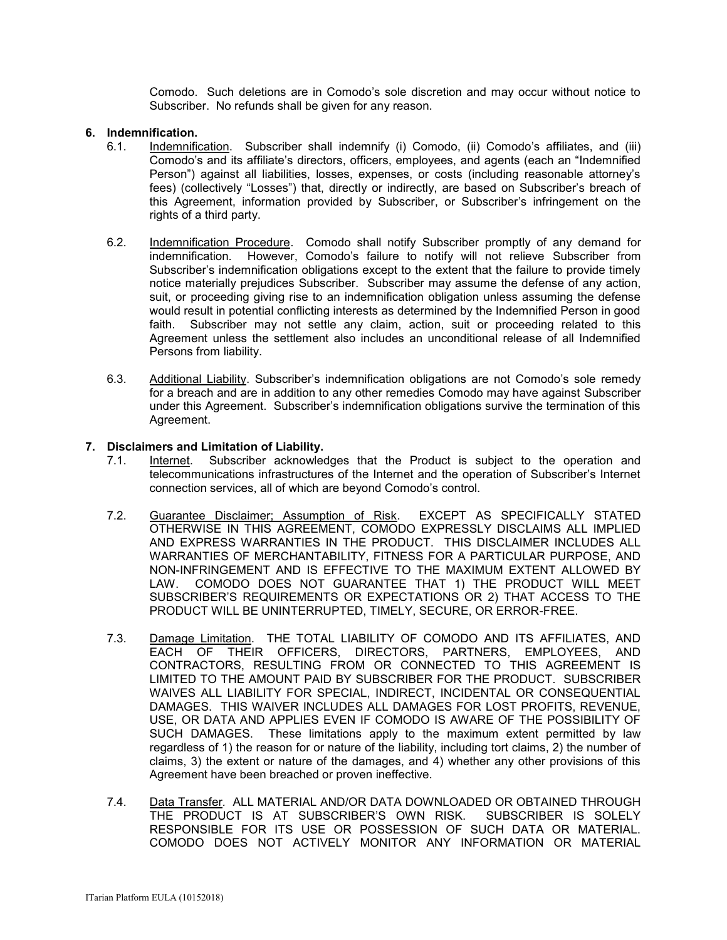Comodo. Such deletions are in Comodo's sole discretion and may occur without notice to Subscriber. No refunds shall be given for any reason.

### **6. Indemnification.**

- 6.1. Indemnification. Subscriber shall indemnify (i) Comodo, (ii) Comodo's affiliates, and (iii) Comodo's and its affiliate's directors, officers, employees, and agents (each an "Indemnified Person") against all liabilities, losses, expenses, or costs (including reasonable attorney's fees) (collectively "Losses") that, directly or indirectly, are based on Subscriber's breach of this Agreement, information provided by Subscriber, or Subscriber's infringement on the rights of a third party.
- 6.2. Indemnification Procedure. Comodo shall notify Subscriber promptly of any demand for indemnification. However, Comodo's failure to notify will not relieve Subscriber from Subscriber's indemnification obligations except to the extent that the failure to provide timely notice materially prejudices Subscriber. Subscriber may assume the defense of any action, suit, or proceeding giving rise to an indemnification obligation unless assuming the defense would result in potential conflicting interests as determined by the Indemnified Person in good faith. Subscriber may not settle any claim, action, suit or proceeding related to this Agreement unless the settlement also includes an unconditional release of all Indemnified Persons from liability.
- 6.3. Additional Liability. Subscriber's indemnification obligations are not Comodo's sole remedy for a breach and are in addition to any other remedies Comodo may have against Subscriber under this Agreement. Subscriber's indemnification obligations survive the termination of this Agreement.

### **7. Disclaimers and Limitation of Liability.**

- 7.1. Internet. Subscriber acknowledges that the Product is subject to the operation and telecommunications infrastructures of the Internet and the operation of Subscriber's Internet connection services, all of which are beyond Comodo's control.
- 7.2. Guarantee Disclaimer; Assumption of Risk. EXCEPT AS SPECIFICALLY STATED OTHERWISE IN THIS AGREEMENT, COMODO EXPRESSLY DISCLAIMS ALL IMPLIED AND EXPRESS WARRANTIES IN THE PRODUCT. THIS DISCLAIMER INCLUDES ALL WARRANTIES OF MERCHANTABILITY, FITNESS FOR A PARTICULAR PURPOSE, AND NON-INFRINGEMENT AND IS EFFECTIVE TO THE MAXIMUM EXTENT ALLOWED BY LAW. COMODO DOES NOT GUARANTEE THAT 1) THE PRODUCT WILL MEET SUBSCRIBER'S REQUIREMENTS OR EXPECTATIONS OR 2) THAT ACCESS TO THE PRODUCT WILL BE UNINTERRUPTED, TIMELY, SECURE, OR ERROR-FREE.
- 7.3. Damage Limitation. THE TOTAL LIABILITY OF COMODO AND ITS AFFILIATES, AND EACH OF THEIR OFFICERS, DIRECTORS, PARTNERS, EMPLOYEES, AND CONTRACTORS, RESULTING FROM OR CONNECTED TO THIS AGREEMENT IS LIMITED TO THE AMOUNT PAID BY SUBSCRIBER FOR THE PRODUCT. SUBSCRIBER WAIVES ALL LIABILITY FOR SPECIAL, INDIRECT, INCIDENTAL OR CONSEQUENTIAL DAMAGES. THIS WAIVER INCLUDES ALL DAMAGES FOR LOST PROFITS, REVENUE, USE, OR DATA AND APPLIES EVEN IF COMODO IS AWARE OF THE POSSIBILITY OF SUCH DAMAGES. These limitations apply to the maximum extent permitted by law regardless of 1) the reason for or nature of the liability, including tort claims, 2) the number of claims, 3) the extent or nature of the damages, and 4) whether any other provisions of this Agreement have been breached or proven ineffective.
- 7.4. Data Transfer*.* ALL MATERIAL AND/OR DATA DOWNLOADED OR OBTAINED THROUGH THE PRODUCT IS AT SUBSCRIBER'S OWN RISK. SUBSCRIBER IS SOLELY RESPONSIBLE FOR ITS USE OR POSSESSION OF SUCH DATA OR MATERIAL. COMODO DOES NOT ACTIVELY MONITOR ANY INFORMATION OR MATERIAL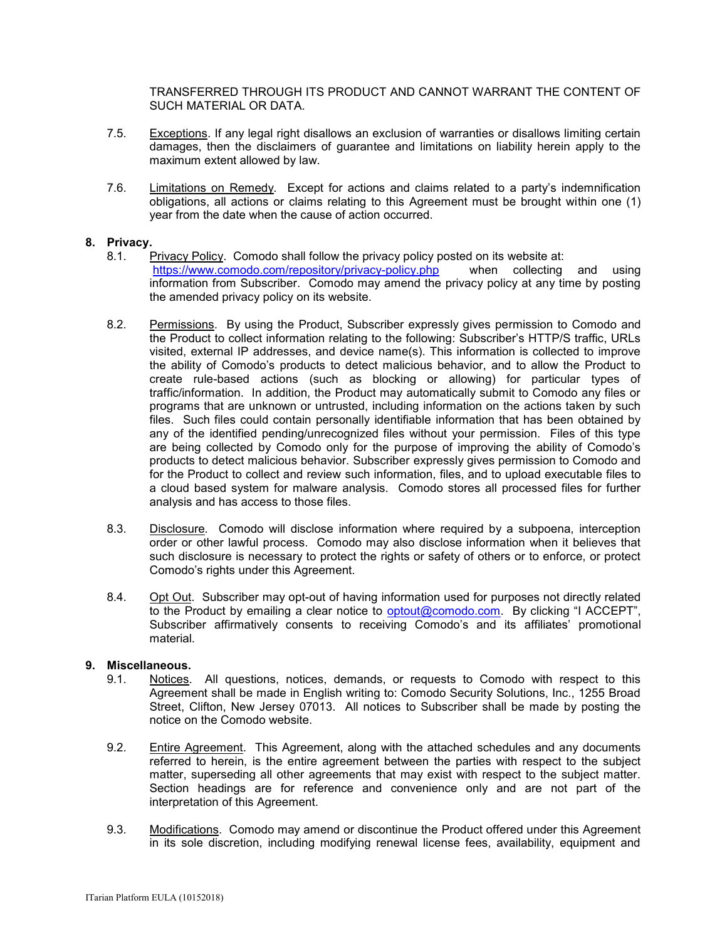TRANSFERRED THROUGH ITS PRODUCT AND CANNOT WARRANT THE CONTENT OF SUCH MATERIAL OR DATA.

- 7.5. Exceptions. If any legal right disallows an exclusion of warranties or disallows limiting certain damages, then the disclaimers of guarantee and limitations on liability herein apply to the maximum extent allowed by law.
- 7.6. Limitations on Remedy*.* Except for actions and claims related to a party's indemnification obligations, all actions or claims relating to this Agreement must be brought within one (1) year from the date when the cause of action occurred.

### **8. Privacy.**

- 8.1. Privacy Policy. Comodo shall follow the privacy policy posted on its website at: <https://www.comodo.com/repository/privacy-policy.php>when collecting and using information from Subscriber. Comodo may amend the privacy policy at any time by posting the amended privacy policy on its website.
- 8.2. Permissions. By using the Product, Subscriber expressly gives permission to Comodo and the Product to collect information relating to the following: Subscriber's HTTP/S traffic, URLs visited, external IP addresses, and device name(s). This information is collected to improve the ability of Comodo's products to detect malicious behavior, and to allow the Product to create rule-based actions (such as blocking or allowing) for particular types of traffic/information. In addition, the Product may automatically submit to Comodo any files or programs that are unknown or untrusted, including information on the actions taken by such files. Such files could contain personally identifiable information that has been obtained by any of the identified pending/unrecognized files without your permission. Files of this type are being collected by Comodo only for the purpose of improving the ability of Comodo's products to detect malicious behavior. Subscriber expressly gives permission to Comodo and for the Product to collect and review such information, files, and to upload executable files to a cloud based system for malware analysis. Comodo stores all processed files for further analysis and has access to those files.
- 8.3. Disclosure*.* Comodo will disclose information where required by a subpoena, interception order or other lawful process. Comodo may also disclose information when it believes that such disclosure is necessary to protect the rights or safety of others or to enforce, or protect Comodo's rights under this Agreement.
- 8.4. Opt Out. Subscriber may opt-out of having information used for purposes not directly related to the Product by emailing a clear notice to [optout@comodo.com.](mailto:optout@comodo.com) By clicking "I ACCEPT", Subscriber affirmatively consents to receiving Comodo's and its affiliates' promotional material.

# **9. Miscellaneous.**

- 9.1. Notices. All questions, notices, demands, or requests to Comodo with respect to this Agreement shall be made in English writing to: Comodo Security Solutions, Inc., 1255 Broad Street, Clifton, New Jersey 07013. All notices to Subscriber shall be made by posting the notice on the Comodo website.
- 9.2. Entire Agreement. This Agreement, along with the attached schedules and any documents referred to herein, is the entire agreement between the parties with respect to the subject matter, superseding all other agreements that may exist with respect to the subject matter. Section headings are for reference and convenience only and are not part of the interpretation of this Agreement.
- 9.3. Modifications. Comodo may amend or discontinue the Product offered under this Agreement in its sole discretion, including modifying renewal license fees, availability, equipment and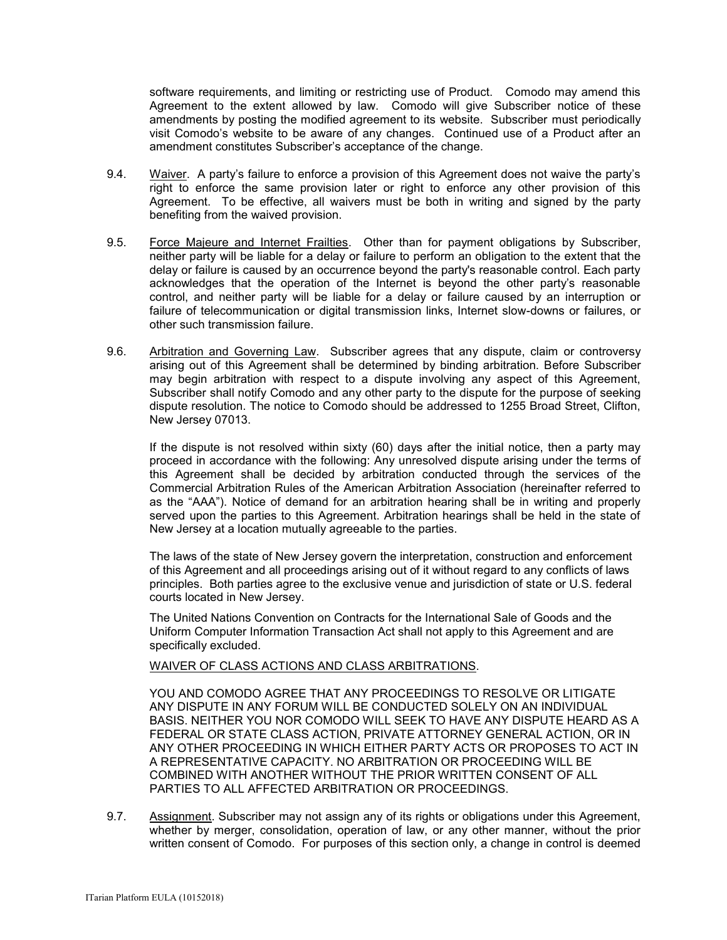software requirements, and limiting or restricting use of Product. Comodo may amend this Agreement to the extent allowed by law. Comodo will give Subscriber notice of these amendments by posting the modified agreement to its website. Subscriber must periodically visit Comodo's website to be aware of any changes. Continued use of a Product after an amendment constitutes Subscriber's acceptance of the change.

- 9.4. Waiver. A party's failure to enforce a provision of this Agreement does not waive the party's right to enforce the same provision later or right to enforce any other provision of this Agreement. To be effective, all waivers must be both in writing and signed by the party benefiting from the waived provision.
- 9.5. Force Majeure and Internet Frailties. Other than for payment obligations by Subscriber, neither party will be liable for a delay or failure to perform an obligation to the extent that the delay or failure is caused by an occurrence beyond the party's reasonable control. Each party acknowledges that the operation of the Internet is beyond the other party's reasonable control, and neither party will be liable for a delay or failure caused by an interruption or failure of telecommunication or digital transmission links, Internet slow-downs or failures, or other such transmission failure.
- 9.6. Arbitration and Governing Law. Subscriber agrees that any dispute, claim or controversy arising out of this Agreement shall be determined by binding arbitration. Before Subscriber may begin arbitration with respect to a dispute involving any aspect of this Agreement, Subscriber shall notify Comodo and any other party to the dispute for the purpose of seeking dispute resolution. The notice to Comodo should be addressed to 1255 Broad Street, Clifton, New Jersey 07013.

If the dispute is not resolved within sixty (60) days after the initial notice, then a party may proceed in accordance with the following: Any unresolved dispute arising under the terms of this Agreement shall be decided by arbitration conducted through the services of the Commercial Arbitration Rules of the American Arbitration Association (hereinafter referred to as the "AAA"). Notice of demand for an arbitration hearing shall be in writing and properly served upon the parties to this Agreement. Arbitration hearings shall be held in the state of New Jersey at a location mutually agreeable to the parties.

The laws of the state of New Jersey govern the interpretation, construction and enforcement of this Agreement and all proceedings arising out of it without regard to any conflicts of laws principles. Both parties agree to the exclusive venue and jurisdiction of state or U.S. federal courts located in New Jersey.

The United Nations Convention on Contracts for the International Sale of Goods and the Uniform Computer Information Transaction Act shall not apply to this Agreement and are specifically excluded.

WAIVER OF CLASS ACTIONS AND CLASS ARBITRATIONS.

YOU AND COMODO AGREE THAT ANY PROCEEDINGS TO RESOLVE OR LITIGATE ANY DISPUTE IN ANY FORUM WILL BE CONDUCTED SOLELY ON AN INDIVIDUAL BASIS. NEITHER YOU NOR COMODO WILL SEEK TO HAVE ANY DISPUTE HEARD AS A FEDERAL OR STATE CLASS ACTION, PRIVATE ATTORNEY GENERAL ACTION, OR IN ANY OTHER PROCEEDING IN WHICH EITHER PARTY ACTS OR PROPOSES TO ACT IN A REPRESENTATIVE CAPACITY. NO ARBITRATION OR PROCEEDING WILL BE COMBINED WITH ANOTHER WITHOUT THE PRIOR WRITTEN CONSENT OF ALL PARTIES TO ALL AFFECTED ARBITRATION OR PROCEEDINGS.

9.7. Assignment. Subscriber may not assign any of its rights or obligations under this Agreement, whether by merger, consolidation, operation of law, or any other manner, without the prior written consent of Comodo. For purposes of this section only, a change in control is deemed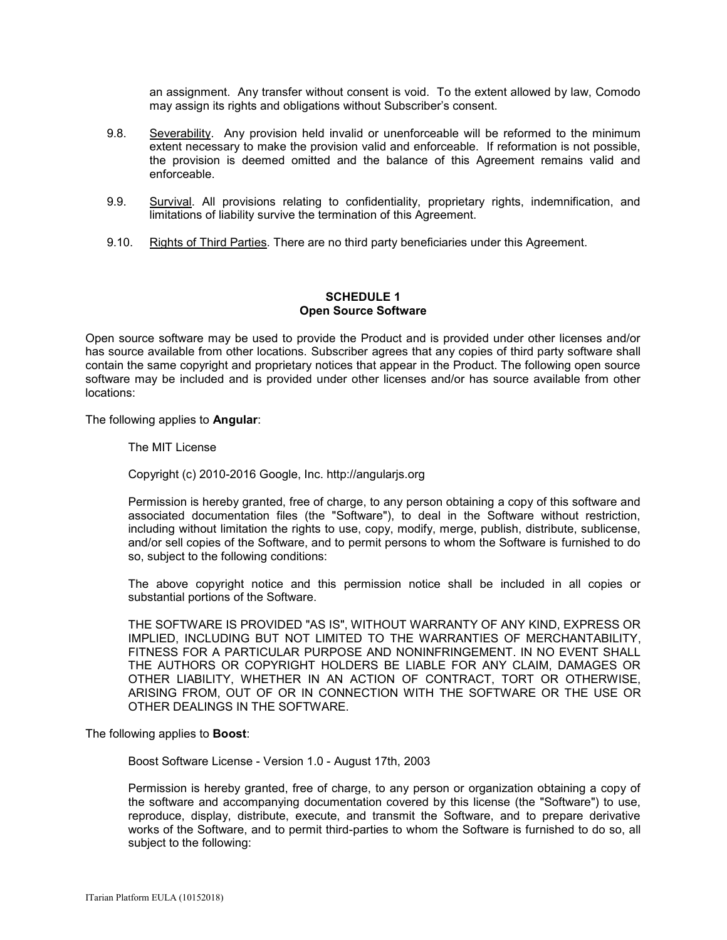an assignment. Any transfer without consent is void. To the extent allowed by law, Comodo may assign its rights and obligations without Subscriber's consent.

- 9.8. Severability. Any provision held invalid or unenforceable will be reformed to the minimum extent necessary to make the provision valid and enforceable. If reformation is not possible, the provision is deemed omitted and the balance of this Agreement remains valid and enforceable.
- 9.9. Survival. All provisions relating to confidentiality, proprietary rights, indemnification, and limitations of liability survive the termination of this Agreement.
- 9.10. Rights of Third Parties*.* There are no third party beneficiaries under this Agreement.

# **SCHEDULE 1 Open Source Software**

Open source software may be used to provide the Product and is provided under other licenses and/or has source available from other locations. Subscriber agrees that any copies of third party software shall contain the same copyright and proprietary notices that appear in the Product. The following open source software may be included and is provided under other licenses and/or has source available from other locations:

The following applies to **Angular**:

The MIT License

Copyright (c) 2010-2016 Google, Inc. http://angularjs.org

Permission is hereby granted, free of charge, to any person obtaining a copy of this software and associated documentation files (the "Software"), to deal in the Software without restriction, including without limitation the rights to use, copy, modify, merge, publish, distribute, sublicense, and/or sell copies of the Software, and to permit persons to whom the Software is furnished to do so, subject to the following conditions:

The above copyright notice and this permission notice shall be included in all copies or substantial portions of the Software.

THE SOFTWARE IS PROVIDED "AS IS", WITHOUT WARRANTY OF ANY KIND, EXPRESS OR IMPLIED, INCLUDING BUT NOT LIMITED TO THE WARRANTIES OF MERCHANTABILITY, FITNESS FOR A PARTICULAR PURPOSE AND NONINFRINGEMENT. IN NO EVENT SHALL THE AUTHORS OR COPYRIGHT HOLDERS BE LIABLE FOR ANY CLAIM, DAMAGES OR OTHER LIABILITY, WHETHER IN AN ACTION OF CONTRACT, TORT OR OTHERWISE, ARISING FROM, OUT OF OR IN CONNECTION WITH THE SOFTWARE OR THE USE OR OTHER DEALINGS IN THE SOFTWARE.

#### The following applies to **Boost**:

Boost Software License - Version 1.0 - August 17th, 2003

Permission is hereby granted, free of charge, to any person or organization obtaining a copy of the software and accompanying documentation covered by this license (the "Software") to use, reproduce, display, distribute, execute, and transmit the Software, and to prepare derivative works of the Software, and to permit third-parties to whom the Software is furnished to do so, all subject to the following: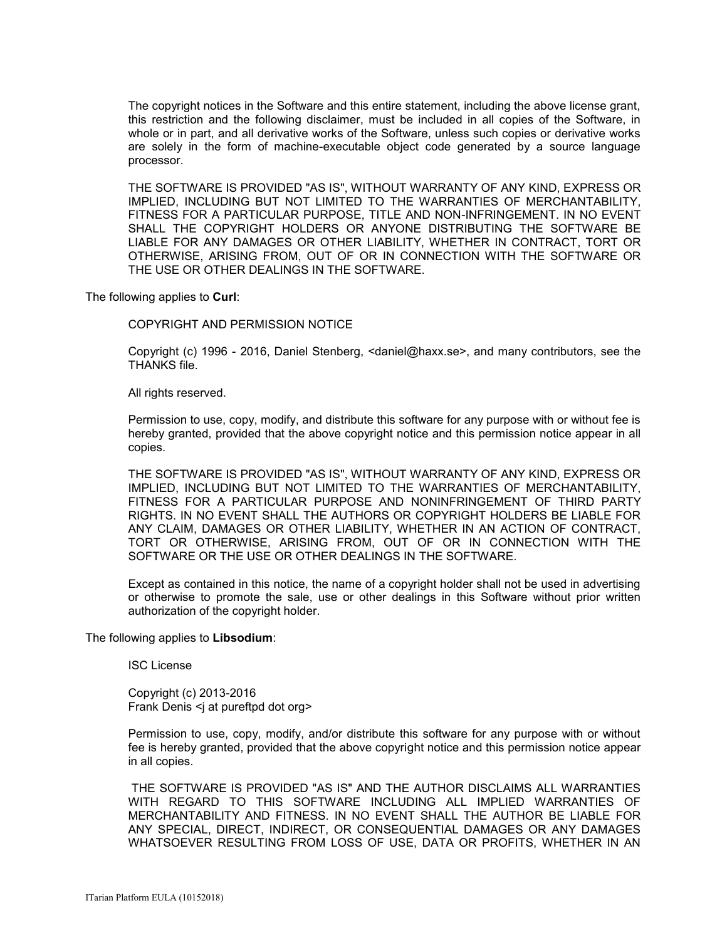The copyright notices in the Software and this entire statement, including the above license grant, this restriction and the following disclaimer, must be included in all copies of the Software, in whole or in part, and all derivative works of the Software, unless such copies or derivative works are solely in the form of machine-executable object code generated by a source language processor.

THE SOFTWARE IS PROVIDED "AS IS", WITHOUT WARRANTY OF ANY KIND, EXPRESS OR IMPLIED, INCLUDING BUT NOT LIMITED TO THE WARRANTIES OF MERCHANTABILITY, FITNESS FOR A PARTICULAR PURPOSE, TITLE AND NON-INFRINGEMENT. IN NO EVENT SHALL THE COPYRIGHT HOLDERS OR ANYONE DISTRIBUTING THE SOFTWARE BE LIABLE FOR ANY DAMAGES OR OTHER LIABILITY, WHETHER IN CONTRACT, TORT OR OTHERWISE, ARISING FROM, OUT OF OR IN CONNECTION WITH THE SOFTWARE OR THE USE OR OTHER DEALINGS IN THE SOFTWARE.

The following applies to **Curl**:

COPYRIGHT AND PERMISSION NOTICE

Copyright (c) 1996 - 2016, Daniel Stenberg, <daniel@haxx.se>, and many contributors, see the THANKS file.

All rights reserved.

Permission to use, copy, modify, and distribute this software for any purpose with or without fee is hereby granted, provided that the above copyright notice and this permission notice appear in all copies.

THE SOFTWARE IS PROVIDED "AS IS", WITHOUT WARRANTY OF ANY KIND, EXPRESS OR IMPLIED, INCLUDING BUT NOT LIMITED TO THE WARRANTIES OF MERCHANTABILITY, FITNESS FOR A PARTICULAR PURPOSE AND NONINFRINGEMENT OF THIRD PARTY RIGHTS. IN NO EVENT SHALL THE AUTHORS OR COPYRIGHT HOLDERS BE LIABLE FOR ANY CLAIM, DAMAGES OR OTHER LIABILITY, WHETHER IN AN ACTION OF CONTRACT, TORT OR OTHERWISE, ARISING FROM, OUT OF OR IN CONNECTION WITH THE SOFTWARE OR THE USE OR OTHER DEALINGS IN THE SOFTWARE.

Except as contained in this notice, the name of a copyright holder shall not be used in advertising or otherwise to promote the sale, use or other dealings in this Software without prior written authorization of the copyright holder.

The following applies to **Libsodium**:

ISC License

Copyright (c) 2013-2016 Frank Denis <i at pureftpd dot org>

Permission to use, copy, modify, and/or distribute this software for any purpose with or without fee is hereby granted, provided that the above copyright notice and this permission notice appear in all copies.

THE SOFTWARE IS PROVIDED "AS IS" AND THE AUTHOR DISCLAIMS ALL WARRANTIES WITH REGARD TO THIS SOFTWARE INCLUDING ALL IMPLIED WARRANTIES OF MERCHANTABILITY AND FITNESS. IN NO EVENT SHALL THE AUTHOR BE LIABLE FOR ANY SPECIAL, DIRECT, INDIRECT, OR CONSEQUENTIAL DAMAGES OR ANY DAMAGES WHATSOEVER RESULTING FROM LOSS OF USE, DATA OR PROFITS, WHETHER IN AN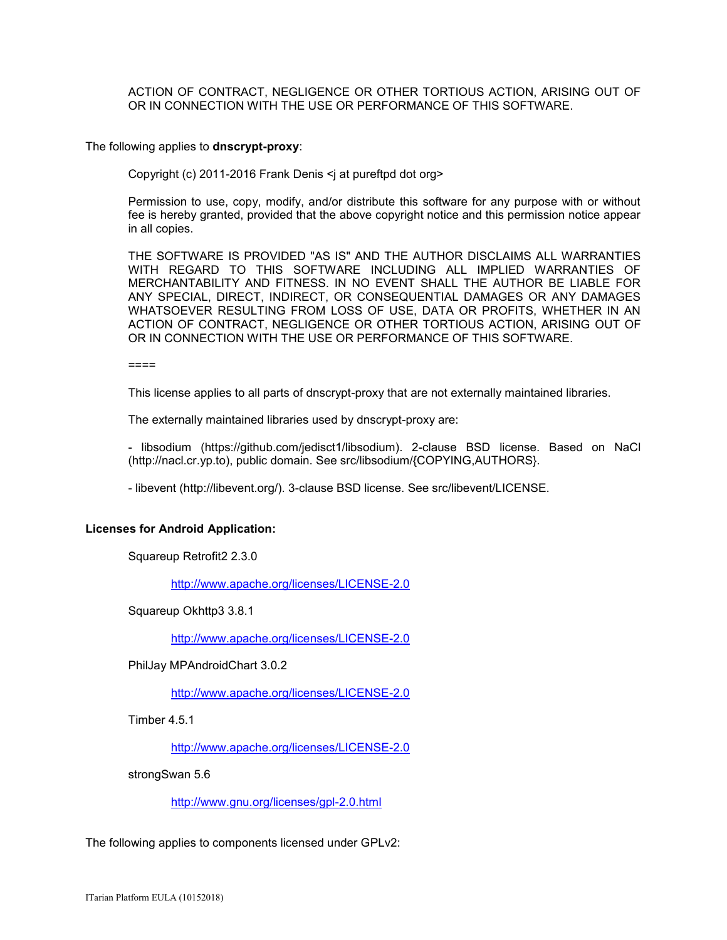ACTION OF CONTRACT, NEGLIGENCE OR OTHER TORTIOUS ACTION, ARISING OUT OF OR IN CONNECTION WITH THE USE OR PERFORMANCE OF THIS SOFTWARE.

#### The following applies to **dnscrypt-proxy**:

Copyright (c) 2011-2016 Frank Denis <j at pureftpd dot org>

Permission to use, copy, modify, and/or distribute this software for any purpose with or without fee is hereby granted, provided that the above copyright notice and this permission notice appear in all copies.

THE SOFTWARE IS PROVIDED "AS IS" AND THE AUTHOR DISCLAIMS ALL WARRANTIES WITH REGARD TO THIS SOFTWARE INCLUDING ALL IMPLIED WARRANTIES OF MERCHANTABILITY AND FITNESS. IN NO EVENT SHALL THE AUTHOR BE LIABLE FOR ANY SPECIAL, DIRECT, INDIRECT, OR CONSEQUENTIAL DAMAGES OR ANY DAMAGES WHATSOEVER RESULTING FROM LOSS OF USE, DATA OR PROFITS, WHETHER IN AN ACTION OF CONTRACT, NEGLIGENCE OR OTHER TORTIOUS ACTION, ARISING OUT OF OR IN CONNECTION WITH THE USE OR PERFORMANCE OF THIS SOFTWARE.

====

This license applies to all parts of dnscrypt-proxy that are not externally maintained libraries.

The externally maintained libraries used by dnscrypt-proxy are:

- libsodium (https://github.com/jedisct1/libsodium). 2-clause BSD license. Based on NaCl (http://nacl.cr.yp.to), public domain. See src/libsodium/{COPYING,AUTHORS}.

- libevent (http://libevent.org/). 3-clause BSD license. See src/libevent/LICENSE.

#### **Licenses for Android Application:**

Squareup Retrofit2 2.3.0

<http://www.apache.org/licenses/LICENSE-2.0>

Squareup Okhttp3 3.8.1

<http://www.apache.org/licenses/LICENSE-2.0>

PhilJay MPAndroidChart 3.0.2

<http://www.apache.org/licenses/LICENSE-2.0>

Timber 4.5.1

<http://www.apache.org/licenses/LICENSE-2.0>

strongSwan 5.6

<http://www.gnu.org/licenses/gpl-2.0.html>

The following applies to components licensed under GPLv2: